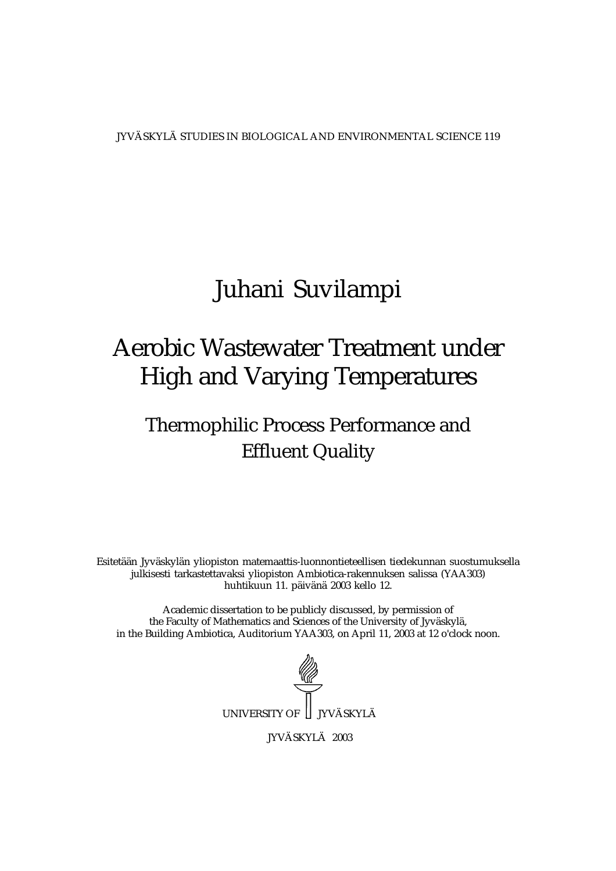JYVÄSKYLÄ STUDIES IN BIOLOGICAL AND ENVIRONMENTAL SCIENCE 119

## Juhani Suvilampi

## Aerobic Wastewater Treatment under High and Varying Temperatures

## Thermophilic Process Performance and Effluent Quality

Esitetään Jyväskylän yliopiston matemaattis-luonnontieteellisen tiedekunnan suostumuksella julkisesti tarkastettavaksi yliopiston Ambiotica-rakennuksen salissa (YAA303) huhtikuun 11. päivänä 2003 kello 12.

Academic dissertation to be publicly discussed, by permission of the Faculty of Mathematics and Sciences of the University of Jyväskylä, in the Building Ambiotica, Auditorium YAA303, on April 11, 2003 at 12 o'clock noon.



JYVÄSKYLÄ 2003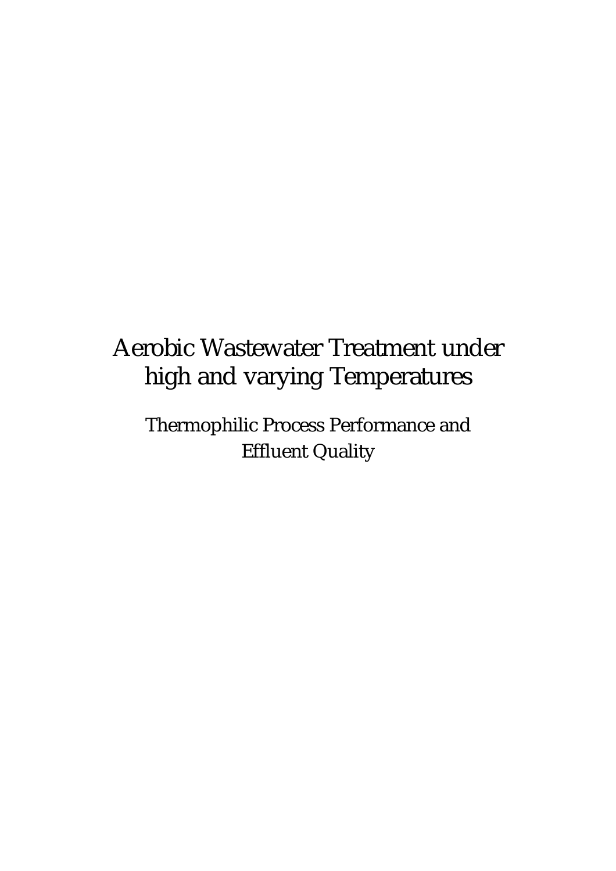# Aerobic Wastewater Treatment under high and varying Temperatures

Thermophilic Process Performance and Effluent Quality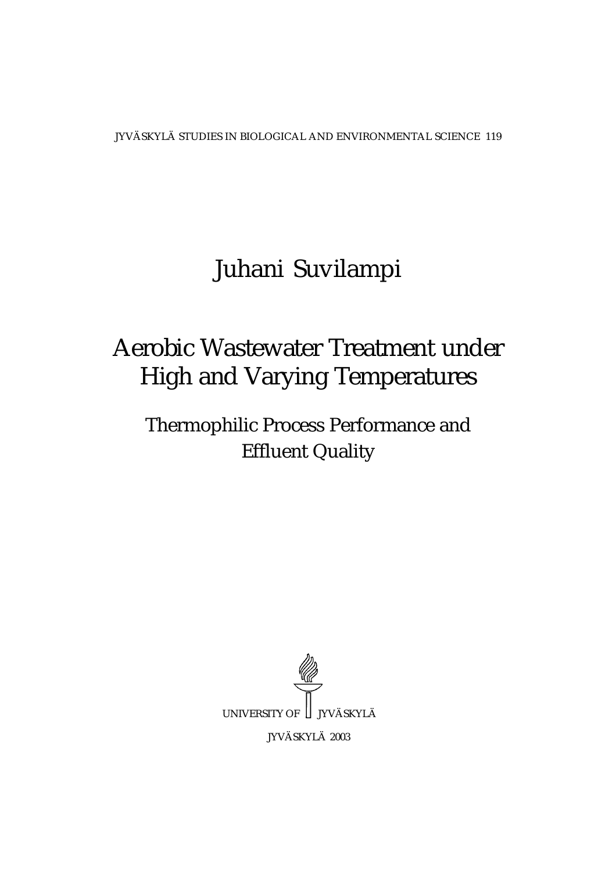JYVÄSKYLÄ STUDIES IN BIOLOGICAL AND ENVIRONMENTAL SCIENCE 119

# Juhani Suvilampi

# Aerobic Wastewater Treatment under High and Varying Temperatures

## Thermophilic Process Performance and Effluent Quality

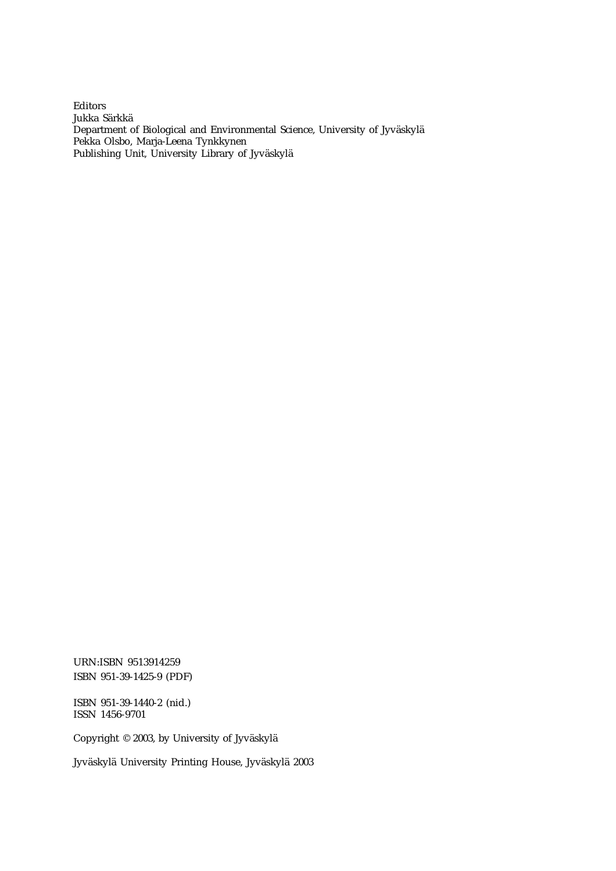Editors Jukka Särkkä Department of Biological and Environmental Science, University of Jyväskylä Pekka Olsbo, Marja-Leena Tynkkynen Publishing Unit, University Library of Jyväskylä

URN:ISBN 9513914259 ISBN 951-39-1425-9 (PDF)

ISBN 951-39-1440-2 (nid.) ISSN 1456-9701

Copyright © 2003, by University of Jyväskylä

Jyväskylä University Printing House, Jyväskylä 2003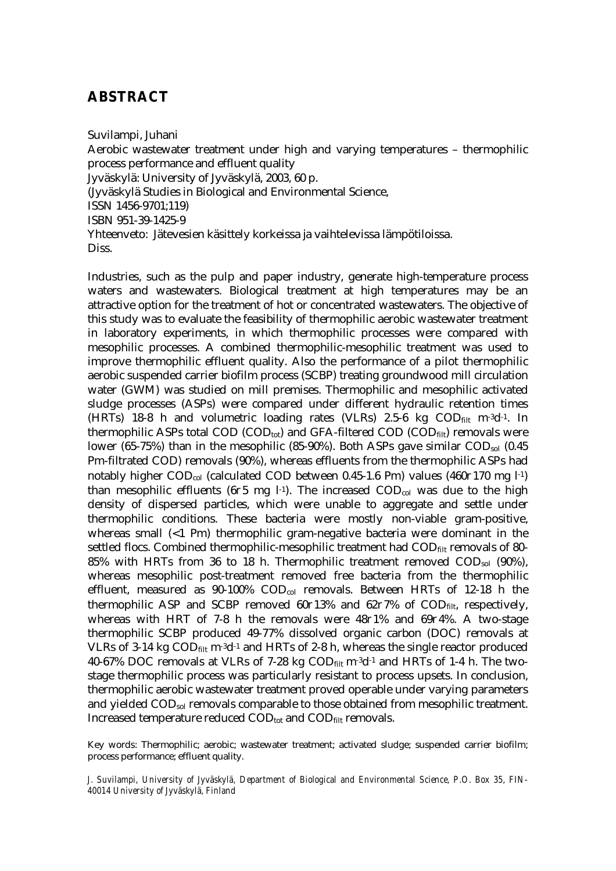### **ABSTRACT**

Suvilampi, Juhani Aerobic wastewater treatment under high and varying temperatures – thermophilic process performance and effluent quality Jyväskylä: University of Jyväskylä, 2003, 60 p. (Jyväskylä Studies in Biological and Environmental Science, ISSN 1456-9701;119) ISBN 951-39-1425-9 Yhteenveto: Jätevesien käsittely korkeissa ja vaihtelevissa lämpötiloissa. **Diss** 

Industries, such as the pulp and paper industry, generate high-temperature process waters and wastewaters. Biological treatment at high temperatures may be an attractive option for the treatment of hot or concentrated wastewaters. The objective of this study was to evaluate the feasibility of thermophilic aerobic wastewater treatment in laboratory experiments, in which thermophilic processes were compared with mesophilic processes. A combined thermophilic-mesophilic treatment was used to improve thermophilic effluent quality. Also the performance of a pilot thermophilic aerobic suspended carrier biofilm process (SCBP) treating groundwood mill circulation water (GWM) was studied on mill premises. Thermophilic and mesophilic activated sludge processes (ASPs) were compared under different hydraulic retention times (HRTs) 18-8 h and volumetric loading rates (VLRs) 2.5-6 kg  $\text{COD}_{\text{filt}}$  m<sup>-3</sup>d<sup>-1</sup>. In thermophilic ASPs total COD (COD<sub>tot</sub>) and GFA-filtered COD (COD<sub>filt</sub>) removals were lower (65-75%) than in the mesophilic (85-90%). Both ASPs gave similar COD<sub>sol</sub> (0.45 Pm-filtrated COD) removals (90%), whereas effluents from the thermophilic ASPs had notably higher COD<sub>col</sub> (calculated COD between 0.45-1.6  $\sigma$ m) values (460 $\partial$ 170 mg l<sup>-1</sup>) than mesophilic effluents (6 $\partial$ 5 mg l<sup>-1</sup>). The increased COD<sub>col</sub> was due to the high density of dispersed particles, which were unable to aggregate and settle under thermophilic conditions. These bacteria were mostly non-viable gram-positive, whereas small  $(1 \text{ cm})$  thermophilic gram-negative bacteria were dominant in the settled flocs. Combined thermophilic-mesophilic treatment had COD<sub>filt</sub> removals of 80-85% with HRTs from 36 to 18 h. Thermophilic treatment removed  $\text{COD}_{sol}$  (90%), whereas mesophilic post-treatment removed free bacteria from the thermophilic effluent, measured as 90-100% COD<sub>col</sub> removals. Between HRTs of 12-18 h the thermophilic ASP and SCBP removed  $60\partial13\%$  and  $62\partial7\%$  of COD<sub>filt</sub>, respectively, whereas with HRT of 7-8 h the removals were  $48\partial1\%$  and  $69\partial4\%$ . A two-stage thermophilic SCBP produced 49-77% dissolved organic carbon (DOC) removals at VLRs of 3-14 kg  $\text{COD}_{\text{filt}}$  m<sup>-3</sup>d<sup>-1</sup> and HRTs of 2-8 h, whereas the single reactor produced 40-67% DOC removals at VLRs of 7-28 kg  $\text{COD}_{\text{filt}}$  m<sup>-3</sup>d<sup>-1</sup> and HRTs of 1-4 h. The twostage thermophilic process was particularly resistant to process upsets. In conclusion, thermophilic aerobic wastewater treatment proved operable under varying parameters and yielded CODsol removals comparable to those obtained from mesophilic treatment. Increased temperature reduced  $\text{COD}_{\text{tot}}$  and  $\text{COD}_{\text{filt}}$  removals.

Key words: Thermophilic; aerobic; wastewater treatment; activated sludge; suspended carrier biofilm; process performance; effluent quality.

*J. Suvilampi, University of Jyväskylä, Department of Biological and Environmental Science, P.O. Box 35, FIN-40014 University of Jyväskylä, Finland*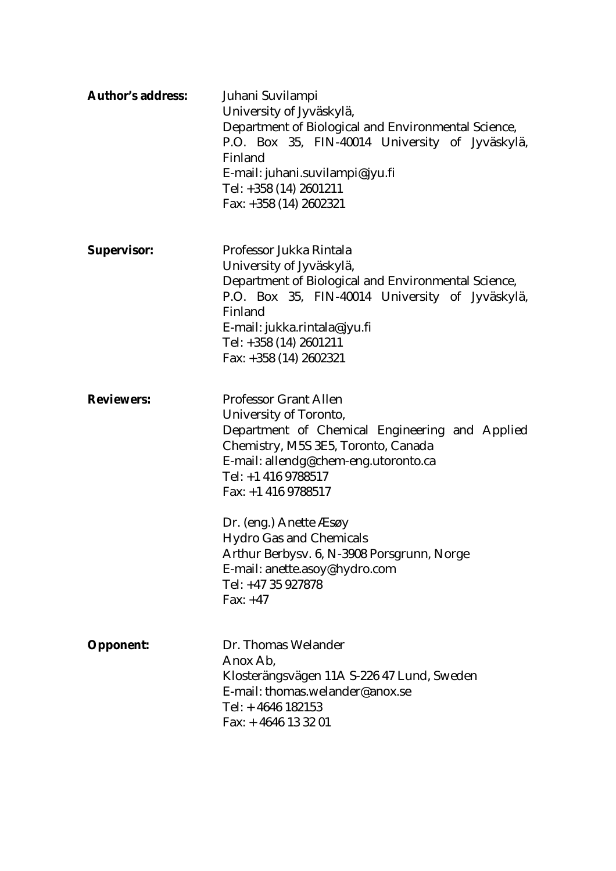| <b>Author's address:</b> | Juhani Suvilampi<br>University of Jyväskylä,<br>Department of Biological and Environmental Science,<br>P.O. Box 35, FIN-40014 University of Jyväskylä,<br>Finland<br>E-mail: juhani.suvilampi@jyu.fi<br>Tel: +358 (14) 2601211<br>Fax: $+358$ (14) 2602321                                                                                                                                                             |
|--------------------------|------------------------------------------------------------------------------------------------------------------------------------------------------------------------------------------------------------------------------------------------------------------------------------------------------------------------------------------------------------------------------------------------------------------------|
| <b>Supervisor:</b>       | Professor Jukka Rintala<br>University of Jyväskylä,<br>Department of Biological and Environmental Science,<br>P.O. Box 35, FIN-40014 University of Jyväskylä,<br>Finland<br>E-mail: jukka.rintala@jyu.fi<br>Tel: +358 (14) 2601211<br>Fax: $+358(14)2602321$                                                                                                                                                           |
| <b>Reviewers:</b>        | <b>Professor Grant Allen</b><br><b>University of Toronto,</b><br>Department of Chemical Engineering and Applied<br>Chemistry, M5S 3E5, Toronto, Canada<br>E-mail: allendg@chem-eng.utoronto.ca<br>Tel: +1 416 9788517<br>Fax: $+1$ 416 9788517<br>Dr. (eng.) Anette <i>Æsøy</i><br><b>Hydro Gas and Chemicals</b><br>Arthur Berbysv. 6, N-3908 Porsgrunn, Norge<br>E-mail: anette.asoy@hydro.com<br>Tel: +47 35 927878 |
| <b>Opponent:</b>         | Fax: $+47$<br>Dr. Thomas Welander<br>Anox Ab.<br>Klosterängsvägen 11A S-226 47 Lund, Sweden<br>E-mail: thomas.welander@anox.se<br>Tel: $+4646$ 182153<br>Fax: $+4646$ 13 32 01                                                                                                                                                                                                                                         |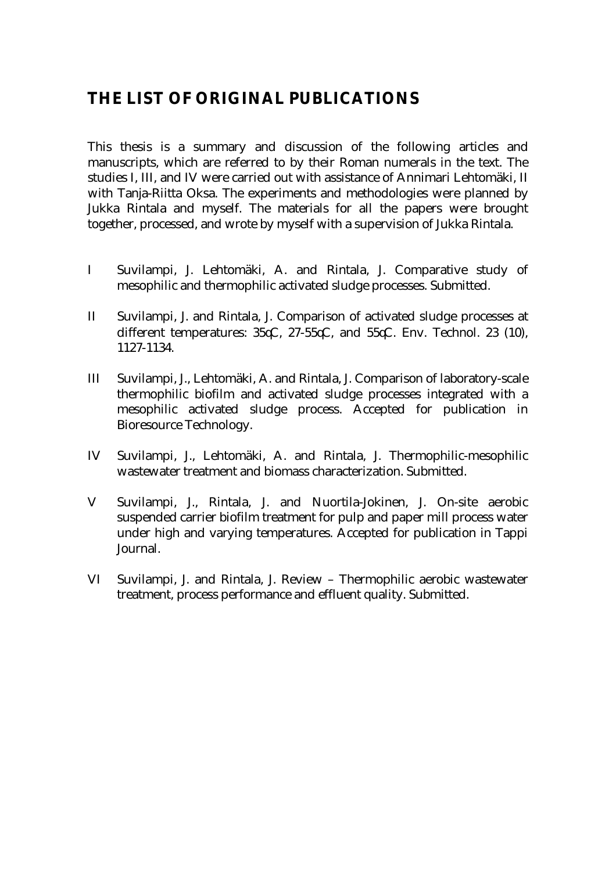## **THE LIST OF ORIGINAL PUBLICATIONS**

This thesis is a summary and discussion of the following articles and manuscripts, which are referred to by their Roman numerals in the text. The studies I, III, and IV were carried out with assistance of Annimari Lehtomäki, II with Tanja-Riitta Oksa. The experiments and methodologies were planned by Jukka Rintala and myself. The materials for all the papers were brought together, processed, and wrote by myself with a supervision of Jukka Rintala.

- I Suvilampi, J. Lehtomäki, A. and Rintala, J. Comparative study of mesophilic and thermophilic activated sludge processes. Submitted.
- II Suvilampi, J. and Rintala, J. Comparison of activated sludge processes at different temperatures:  $35\text{C}$ ,  $27-55\text{C}$ , and  $55\text{C}$ . Env. Technol. 23 (10), 1127-1134.
- III Suvilampi, J., Lehtomäki, A. and Rintala, J. Comparison of laboratory-scale thermophilic biofilm and activated sludge processes integrated with a mesophilic activated sludge process. Accepted for publication in Bioresource Technology.
- IV Suvilampi, J., Lehtomäki, A. and Rintala, J. Thermophilic-mesophilic wastewater treatment and biomass characterization. Submitted.
- V Suvilampi, J., Rintala, J. and Nuortila-Jokinen, J. On-site aerobic suspended carrier biofilm treatment for pulp and paper mill process water under high and varying temperatures. Accepted for publication in Tappi Journal.
- VI Suvilampi, J. and Rintala, J. Review Thermophilic aerobic wastewater treatment, process performance and effluent quality. Submitted.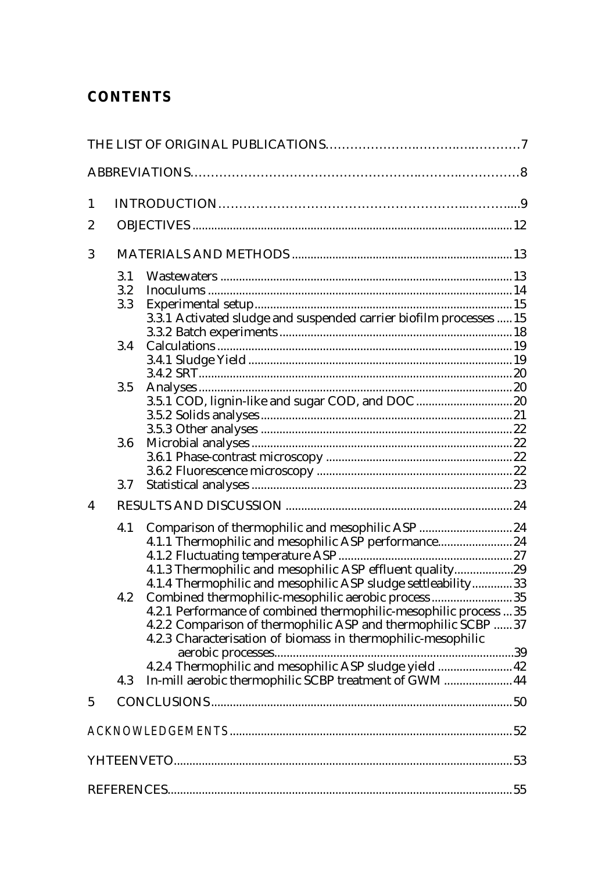## **CONTENTS**

| $\mathbf{1}$            |            |                                                                                                                           |  |
|-------------------------|------------|---------------------------------------------------------------------------------------------------------------------------|--|
| $\boldsymbol{2}$        |            |                                                                                                                           |  |
| 3                       |            |                                                                                                                           |  |
|                         | 3.1<br>3.2 |                                                                                                                           |  |
|                         | 3.3        |                                                                                                                           |  |
|                         |            | 3.3.1 Activated sludge and suspended carrier biofilm processes  15                                                        |  |
|                         | 3.4        |                                                                                                                           |  |
|                         |            |                                                                                                                           |  |
|                         |            |                                                                                                                           |  |
|                         | 3.5        | 3.5.1 COD, lignin-like and sugar COD, and DOC  20                                                                         |  |
|                         |            |                                                                                                                           |  |
|                         |            |                                                                                                                           |  |
|                         | 3.6        |                                                                                                                           |  |
|                         |            |                                                                                                                           |  |
|                         | 3.7        |                                                                                                                           |  |
| $\overline{\mathbf{4}}$ |            |                                                                                                                           |  |
|                         | 4.1        | Comparison of thermophilic and mesophilic ASP  24                                                                         |  |
|                         |            | 4.1.1 Thermophilic and mesophilic ASP performance 24                                                                      |  |
|                         |            |                                                                                                                           |  |
|                         |            | 4.1.3 Thermophilic and mesophilic ASP effluent quality29<br>4.1.4 Thermophilic and mesophilic ASP sludge settleability 33 |  |
|                         | 4.2        | Combined thermophilic-mesophilic aerobic process35                                                                        |  |
|                         |            | 4.2.1 Performance of combined thermophilic-mesophilic process 35                                                          |  |
|                         |            | 4.2.2 Comparison of thermophilic ASP and thermophilic SCBP 37                                                             |  |
|                         |            | 4.2.3 Characterisation of biomass in thermophilic-mesophilic                                                              |  |
|                         |            |                                                                                                                           |  |
|                         | 4.3        | In-mill aerobic thermophilic SCBP treatment of GWM  44                                                                    |  |
| $\overline{5}$          |            |                                                                                                                           |  |
|                         |            |                                                                                                                           |  |
|                         |            |                                                                                                                           |  |
|                         |            |                                                                                                                           |  |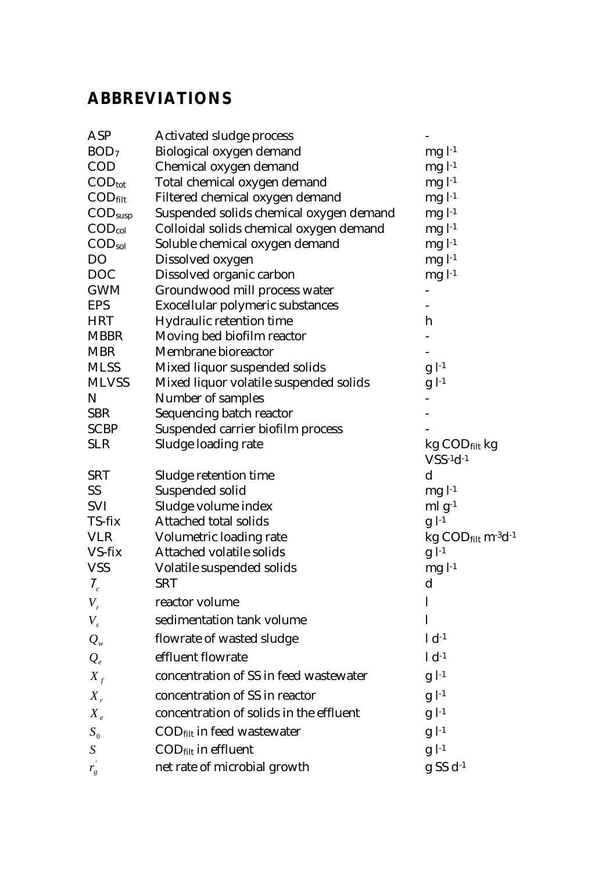## **ABBREVIATIONS**

| ASP                          | <b>Activated sludge process</b>         |                                                           |
|------------------------------|-----------------------------------------|-----------------------------------------------------------|
| BOD <sub>7</sub>             | <b>Biological oxygen demand</b>         | $mgl11}$                                                  |
| <b>COD</b>                   | Chemical oxygen demand                  | $mgl11}$                                                  |
| $\text{COD}_{\text{tot}}$    | Total chemical oxygen demand            | $mgl11}$                                                  |
| $\text{COD}_{\text{filt}}$   | Filtered chemical oxygen demand         | $mgl11}$                                                  |
| $\mathrm{COD}_\mathrm{susp}$ | Suspended solids chemical oxygen demand | $mgl^{-1}$                                                |
| $\mathrm{COD}_\mathrm{col}$  | Colloidal solids chemical oxygen demand | $mgl1}$                                                   |
| $\mathrm{COD}_\mathrm{sol}$  | Soluble chemical oxygen demand          | $mgl1}$                                                   |
| DO                           | Dissolved oxygen                        | $mgl^{-1}$                                                |
| <b>DOC</b>                   | Dissolved organic carbon                | $mgl1}$                                                   |
| <b>GWM</b>                   | Groundwood mill process water           |                                                           |
| EPS                          | Exocellular polymeric substances        |                                                           |
| HRT                          | Hydraulic retention time                | h                                                         |
| <b>MBBR</b>                  | Moving bed biofilm reactor              |                                                           |
| <b>MBR</b>                   | <b>Membrane bioreactor</b>              |                                                           |
| MLSS                         | Mixed liquor suspended solids           | $g$ $l^{-1}$                                              |
| <b>MLVSS</b>                 | Mixed liquor volatile suspended solids  | $g$ $l^{-1}$                                              |
| N                            | <b>Number of samples</b>                |                                                           |
| SBR                          | <b>Sequencing batch reactor</b>         |                                                           |
| SCBP                         | Suspended carrier biofilm process       |                                                           |
| <b>SLR</b>                   | Sludge loading rate                     | $kg$ COD $_{\text{filt}}$ kg                              |
|                              |                                         | $VSS-1d-1$                                                |
| SRT                          | Sludge retention time                   | $\mathbf d$                                               |
| SS                           | Suspended solid                         | $mgl-1$                                                   |
| SVI                          | Sludge volume index                     | $ml g-1$                                                  |
| TS-fix                       | <b>Attached total solids</b>            | $g$ $l$ <sup>-1</sup>                                     |
| VLR                          | Volumetric loading rate                 | $kg$ COD $_{\text{filt}}$ m <sup>-3</sup> d <sup>-1</sup> |
| VS-fix                       | <b>Attached volatile solids</b>         | $g$ $l^{-1}$                                              |
| VSS                          | Volatile suspended solids               | $mgl-1$                                                   |
| $\chi_{_c}$                  | <b>SRT</b>                              | $\mathbf d$                                               |
| $V_{r}$                      | reactor volume                          | 1                                                         |
| $V_{\rm s}$                  | sedimentation tank volume               | 1                                                         |
| $Q_{w}$                      | flowrate of wasted sludge               | $1 d^{-1}$                                                |
| $Q_e$                        | effluent flowrate                       | $1 d^{-1}$                                                |
| $X_{f}$                      | concentration of SS in feed wastewater  | $g$ $l^{-1}$                                              |
| $X_{r}$                      | concentration of SS in reactor          | $g$ $l^{-1}$                                              |
| $X_e$                        | concentration of solids in the effluent | $g$ $l^{-1}$                                              |
| $S_0$                        | COD <sub>filt</sub> in feed wastewater  | $g$ $l^{-1}$                                              |
| S                            | COD <sub>filt</sub> in effluent         | $g$ <sup><math>-1</math></sup>                            |
| $r_{g}$                      | net rate of microbial growth            | $g S S d^{-1}$                                            |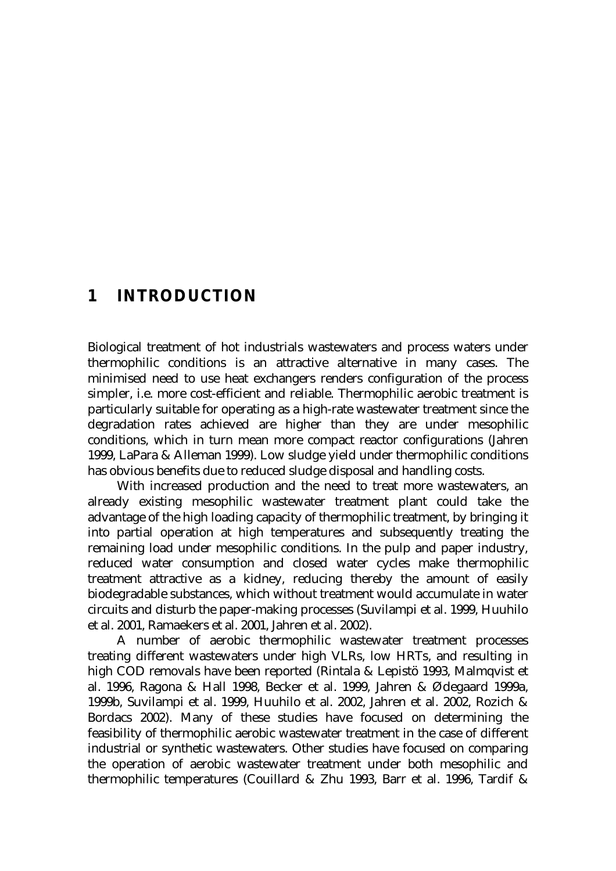## **1 INTRODUCTION**

Biological treatment of hot industrials wastewaters and process waters under thermophilic conditions is an attractive alternative in many cases. The minimised need to use heat exchangers renders configuration of the process simpler, i.e. more cost-efficient and reliable. Thermophilic aerobic treatment is particularly suitable for operating as a high-rate wastewater treatment since the degradation rates achieved are higher than they are under mesophilic conditions, which in turn mean more compact reactor configurations (Jahren 1999, LaPara & Alleman 1999). Low sludge yield under thermophilic conditions has obvious benefits due to reduced sludge disposal and handling costs.

 With increased production and the need to treat more wastewaters, an already existing mesophilic wastewater treatment plant could take the advantage of the high loading capacity of thermophilic treatment, by bringing it into partial operation at high temperatures and subsequently treating the remaining load under mesophilic conditions. In the pulp and paper industry, reduced water consumption and closed water cycles make thermophilic treatment attractive as a kidney, reducing thereby the amount of easily biodegradable substances, which without treatment would accumulate in water circuits and disturb the paper-making processes (Suvilampi et al. 1999, Huuhilo et al. 2001, Ramaekers et al. 2001, Jahren et al. 2002).

 A number of aerobic thermophilic wastewater treatment processes treating different wastewaters under high VLRs, low HRTs, and resulting in high COD removals have been reported (Rintala & Lepistö 1993, Malmqvist et al. 1996, Ragona & Hall 1998, Becker et al. 1999, Jahren & Ødegaard 1999a, 1999b, Suvilampi et al. 1999, Huuhilo et al. 2002, Jahren et al. 2002, Rozich & Bordacs 2002). Many of these studies have focused on determining the feasibility of thermophilic aerobic wastewater treatment in the case of different industrial or synthetic wastewaters. Other studies have focused on comparing the operation of aerobic wastewater treatment under both mesophilic and thermophilic temperatures (Couillard & Zhu 1993, Barr et al. 1996, Tardif &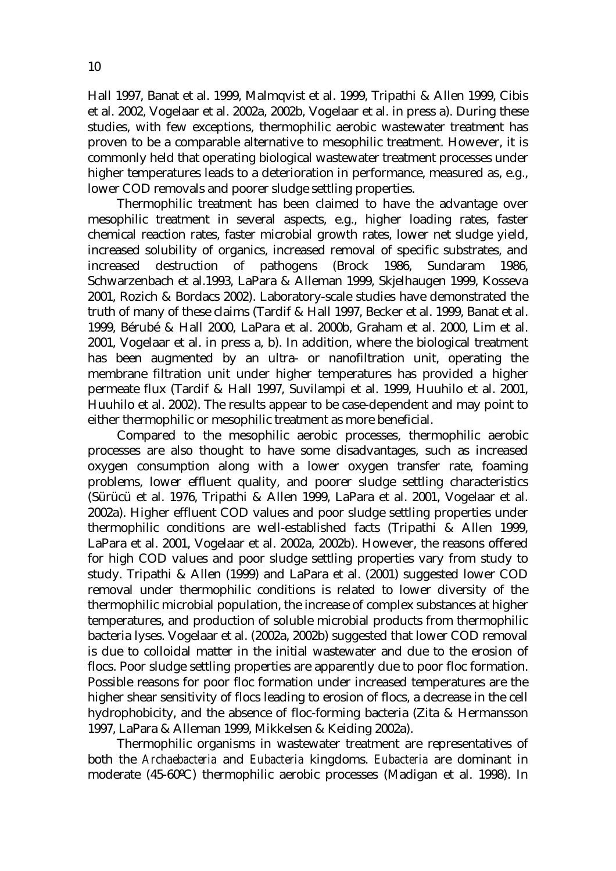Hall 1997, Banat et al. 1999, Malmqvist et al. 1999, Tripathi & Allen 1999, Cibis et al. 2002, Vogelaar et al. 2002a, 2002b, Vogelaar et al. in press a). During these studies, with few exceptions, thermophilic aerobic wastewater treatment has proven to be a comparable alternative to mesophilic treatment. However, it is commonly held that operating biological wastewater treatment processes under higher temperatures leads to a deterioration in performance, measured as, e.g., lower COD removals and poorer sludge settling properties.

 Thermophilic treatment has been claimed to have the advantage over mesophilic treatment in several aspects, e.g., higher loading rates, faster chemical reaction rates, faster microbial growth rates, lower net sludge yield, increased solubility of organics, increased removal of specific substrates, and increased destruction of pathogens (Brock 1986, Sundaram 1986, Schwarzenbach et al.1993, LaPara & Alleman 1999, Skjelhaugen 1999, Kosseva 2001, Rozich & Bordacs 2002). Laboratory-scale studies have demonstrated the truth of many of these claims (Tardif & Hall 1997, Becker et al. 1999, Banat et al. 1999, Bérubé & Hall 2000, LaPara et al. 2000b, Graham et al. 2000, Lim et al. 2001, Vogelaar et al. in press a, b). In addition, where the biological treatment has been augmented by an ultra- or nanofiltration unit, operating the membrane filtration unit under higher temperatures has provided a higher permeate flux (Tardif & Hall 1997, Suvilampi et al. 1999, Huuhilo et al. 2001, Huuhilo et al. 2002). The results appear to be case-dependent and may point to either thermophilic or mesophilic treatment as more beneficial.

 Compared to the mesophilic aerobic processes, thermophilic aerobic processes are also thought to have some disadvantages, such as increased oxygen consumption along with a lower oxygen transfer rate, foaming problems, lower effluent quality, and poorer sludge settling characteristics (Sürücü et al. 1976, Tripathi & Allen 1999, LaPara et al. 2001, Vogelaar et al. 2002a). Higher effluent COD values and poor sludge settling properties under thermophilic conditions are well-established facts (Tripathi & Allen 1999, LaPara et al. 2001, Vogelaar et al. 2002a, 2002b). However, the reasons offered for high COD values and poor sludge settling properties vary from study to study. Tripathi & Allen (1999) and LaPara et al. (2001) suggested lower COD removal under thermophilic conditions is related to lower diversity of the thermophilic microbial population, the increase of complex substances at higher temperatures, and production of soluble microbial products from thermophilic bacteria lyses. Vogelaar et al. (2002a, 2002b) suggested that lower COD removal is due to colloidal matter in the initial wastewater and due to the erosion of flocs. Poor sludge settling properties are apparently due to poor floc formation. Possible reasons for poor floc formation under increased temperatures are the higher shear sensitivity of flocs leading to erosion of flocs, a decrease in the cell hydrophobicity, and the absence of floc-forming bacteria (Zita & Hermansson 1997, LaPara & Alleman 1999, Mikkelsen & Keiding 2002a).

 Thermophilic organisms in wastewater treatment are representatives of both the *Archaebacteria* and *Eubacteria* kingdoms. *Eubacteria* are dominant in moderate (45-60ºC) thermophilic aerobic processes (Madigan et al. 1998). In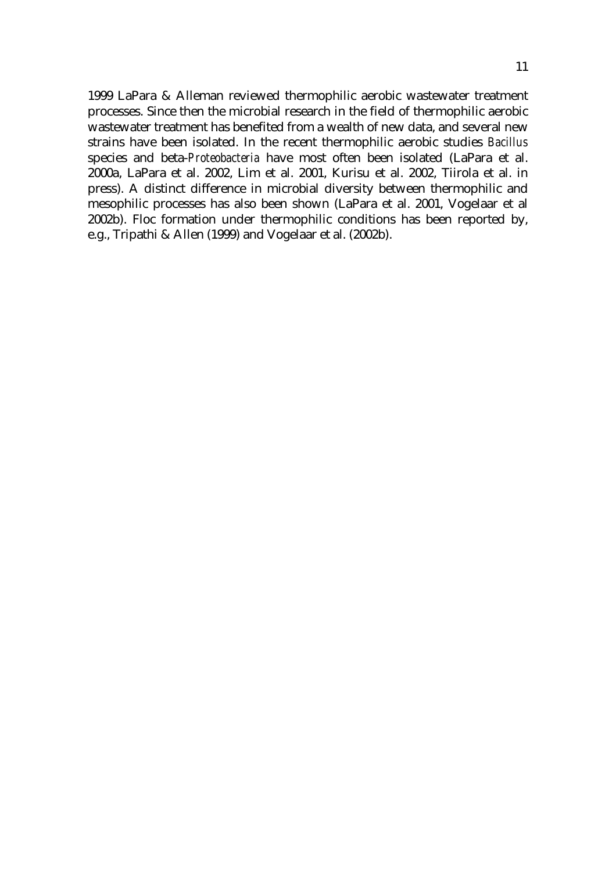1999 LaPara & Alleman reviewed thermophilic aerobic wastewater treatment processes. Since then the microbial research in the field of thermophilic aerobic wastewater treatment has benefited from a wealth of new data, and several new strains have been isolated. In the recent thermophilic aerobic studies *Bacillus* species and beta-*Proteobacteria* have most often been isolated (LaPara et al. 2000a, LaPara et al. 2002, Lim et al. 2001, Kurisu et al. 2002, Tiirola et al. in press). A distinct difference in microbial diversity between thermophilic and mesophilic processes has also been shown (LaPara et al. 2001, Vogelaar et al 2002b). Floc formation under thermophilic conditions has been reported by, e.g., Tripathi & Allen (1999) and Vogelaar et al. (2002b).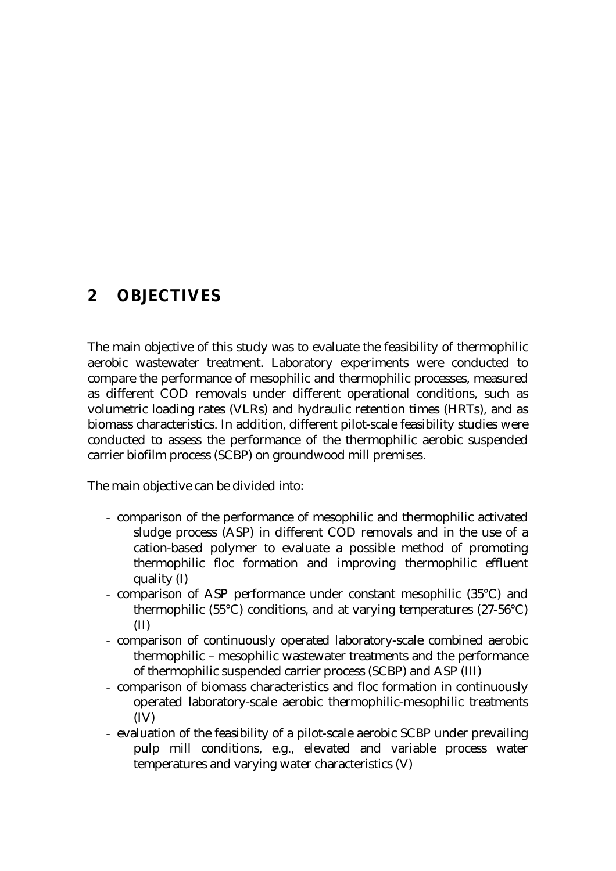## **2 OBJECTIVES**

The main objective of this study was to evaluate the feasibility of thermophilic aerobic wastewater treatment. Laboratory experiments were conducted to compare the performance of mesophilic and thermophilic processes, measured as different COD removals under different operational conditions, such as volumetric loading rates (VLRs) and hydraulic retention times (HRTs), and as biomass characteristics. In addition, different pilot-scale feasibility studies were conducted to assess the performance of the thermophilic aerobic suspended carrier biofilm process (SCBP) on groundwood mill premises.

The main objective can be divided into:

- comparison of the performance of mesophilic and thermophilic activated sludge process (ASP) in different COD removals and in the use of a cation-based polymer to evaluate a possible method of promoting thermophilic floc formation and improving thermophilic effluent quality (I)
- comparison of ASP performance under constant mesophilic (35°C) and thermophilic (55°C) conditions, and at varying temperatures (27-56°C) (II)
- comparison of continuously operated laboratory-scale combined aerobic thermophilic – mesophilic wastewater treatments and the performance of thermophilic suspended carrier process (SCBP) and ASP (III)
- comparison of biomass characteristics and floc formation in continuously operated laboratory-scale aerobic thermophilic-mesophilic treatments (IV)
- evaluation of the feasibility of a pilot-scale aerobic SCBP under prevailing pulp mill conditions, e.g., elevated and variable process water temperatures and varying water characteristics (V)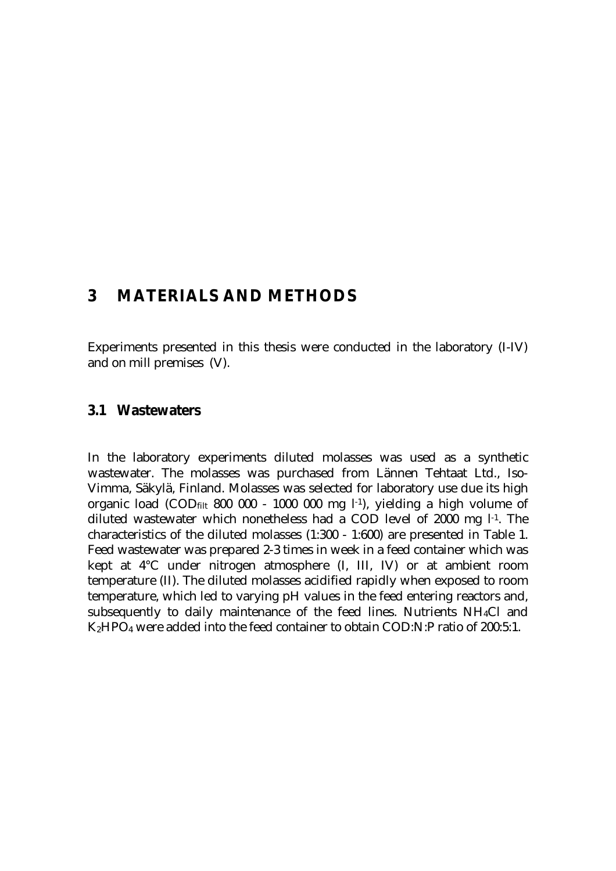## **3 MATERIALS AND METHODS**

Experiments presented in this thesis were conducted in the laboratory (I-IV) and on mill premises (V).

#### **3.1 Wastewaters**

In the laboratory experiments diluted molasses was used as a synthetic wastewater. The molasses was purchased from Lännen Tehtaat Ltd., Iso-Vimma, Säkylä, Finland. Molasses was selected for laboratory use due its high organic load  $(COD_{\text{filt}} 800 000 - 1000 000 \text{ mg } l^{-1})$ , yielding a high volume of diluted wastewater which nonetheless had a COD level of 2000 mg l-1. The characteristics of the diluted molasses (1:300 - 1:600) are presented in Table 1. Feed wastewater was prepared 2-3 times in week in a feed container which was kept at 4°C under nitrogen atmosphere (I, III, IV) or at ambient room temperature (II). The diluted molasses acidified rapidly when exposed to room temperature, which led to varying pH values in the feed entering reactors and, subsequently to daily maintenance of the feed lines. Nutrients NH4Cl and K2HPO4 were added into the feed container to obtain COD:N:P ratio of 200:5:1.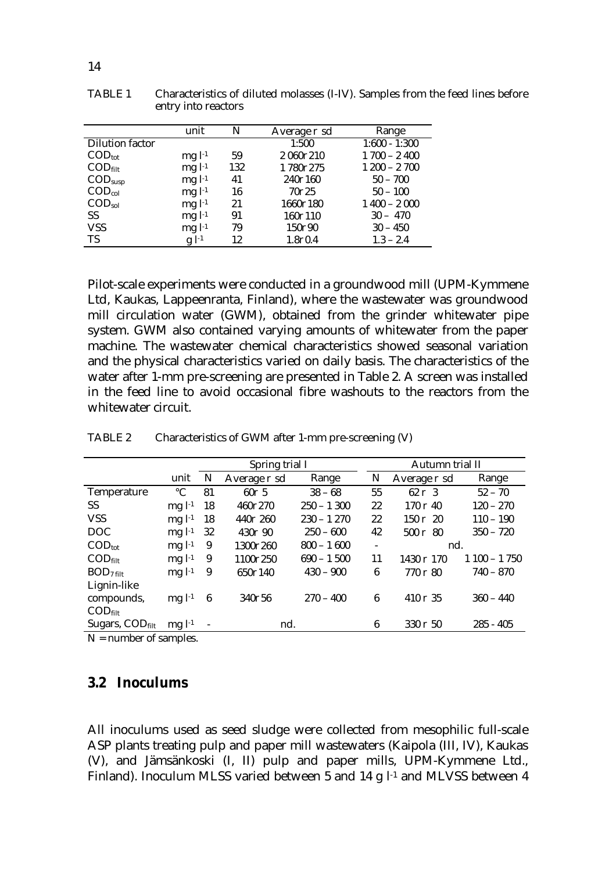|                               | unit         | N   | Average $\partial$ sd | Range           |
|-------------------------------|--------------|-----|-----------------------|-----------------|
| <b>Dilution factor</b>        |              |     | 1:500                 | $1:600 - 1:300$ |
| $\text{COD}_{\text{tot}}$     | mgl1         | 59  | 2 0607210             | $1700 - 2400$   |
| $\mathrm{COD}_{\text{filt}}$  | $mgl^{1}$    | 132 | 17807275              | $1200 - 2700$   |
| $\mathrm{COD}_\mathrm{susp}$  | $mgl^{-1}$   | 41  | 2407160               | $50 - 700$      |
| $\mathrm{COD}_\mathrm{col}$   | $mgl^{-1}$   | 16  | 70025                 | $50 - 100$      |
| $\mathrm{COD}_{\mathrm{sol}}$ | $mgl^{-1}$   | 21  | 16607180              | $1400 - 2000$   |
| <b>SS</b>                     | $mgl^{-1}$   | 91  | 1607110               | $30 - 470$      |
| <b>VSS</b>                    | $mgl^{-1}$   | 79  | 150∂90                | $30 - 450$      |
| TS                            | $g$ $l^{-1}$ | 12  | 1.800.4               | $1.3 - 2.4$     |

TABLE 1 Characteristics of diluted molasses (I-IV). Samples from the feed lines before entry into reactors

Pilot-scale experiments were conducted in a groundwood mill (UPM-Kymmene Ltd, Kaukas, Lappeenranta, Finland), where the wastewater was groundwood mill circulation water (GWM), obtained from the grinder whitewater pipe system. GWM also contained varying amounts of whitewater from the paper machine. The wastewater chemical characteristics showed seasonal variation and the physical characteristics varied on daily basis. The characteristics of the water after 1-mm pre-screening are presented in Table 2. A screen was installed in the feed line to avoid occasional fibre washouts to the reactors from the whitewater circuit.

|                                    |                 | Spring trial I |                       |              | Autumn trial II          |                              |               |
|------------------------------------|-----------------|----------------|-----------------------|--------------|--------------------------|------------------------------|---------------|
|                                    | unit            | N              | Average $\partial$ sd | Range        | N                        | Average $\partial$ sd        | Range         |
| <b>Temperature</b>                 | $\rm ^{\circ}C$ | 81             | $60\partial$ 5        | $38 - 68$    | 55                       | $62 \partial 3$              | $52 - 70$     |
| SS.                                | $mgl-1$         | 18             | 4609270               | $250 - 1300$ | 22                       | $170$ $\partial$ 40          | $120 - 270$   |
| <b>VSS</b>                         | $mgl^{-1}$      | 18             | 440∂ 260              | $230 - 1270$ | 22                       | $150 \;{\rm \partial} \; 20$ | $110 - 190$   |
| <b>DOC</b>                         | $mgl-1$         | 32             | $430\partial 90$      | $250 - 600$  | 42                       | $500 \;{\rm \AA}$ 80         | $350 - 720$   |
| $\mathrm{COD}_\mathrm{tot}$        | $mgl-1$         | 9              | 13007260              | $800 - 1600$ | $\overline{\phantom{a}}$ | nd.                          |               |
| $\text{COD}_{\text{filt}}$         | $mgl-1$         | 9              | 11007250              | $690 - 1500$ | 11                       | 1430 ∂ 170                   | $1100 - 1750$ |
| $BOD7$ filt                        | $mgl^{-1}$      | 9              | 650∂140               | $430 - 900$  | 6                        | $770\,\mathrm{\partial}\ 80$ | $740 - 870$   |
| Lignin-like                        |                 |                |                       |              |                          |                              |               |
| compounds,                         | $mgl-1$         | 6              | $340\partial 56$      | $270 - 400$  | $\boldsymbol{6}$         | 410 $\partial$ 35            | $360 - 440$   |
| $\mathrm{COD}_{\text{filt}}$       |                 |                |                       |              |                          |                              |               |
| Sugars, $\text{COD}_{\text{filt}}$ | $mgl^{-1}$      |                | nd.                   |              | 6                        | $330 \partial 50$            | $285 - 405$   |
|                                    |                 |                |                       |              |                          |                              |               |

TABLE 2 Characteristics of GWM after 1-mm pre-screening (V)

N = number of samples.

#### **3.2 Inoculums**

All inoculums used as seed sludge were collected from mesophilic full-scale ASP plants treating pulp and paper mill wastewaters (Kaipola (III, IV), Kaukas (V), and Jämsänkoski (I, II) pulp and paper mills, UPM-Kymmene Ltd., Finland). Inoculum MLSS varied between 5 and 14 g l<sup>-1</sup> and MLVSS between 4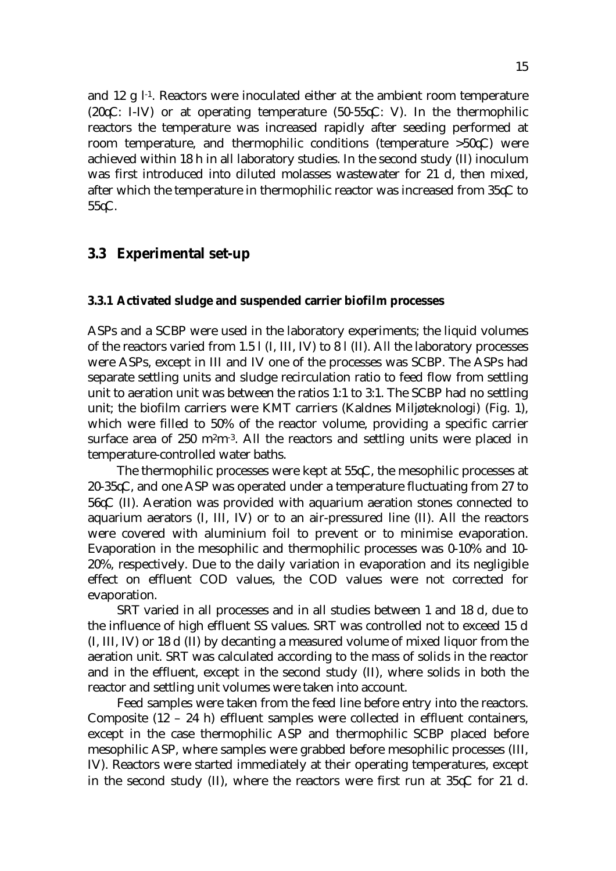and 12 g  $l<sup>-1</sup>$ . Reactors were inoculated either at the ambient room temperature (20 $\mathcal{LC}$ : I-IV) or at operating temperature (50-55 $\mathcal{LC}$ : V). In the thermophilic reactors the temperature was increased rapidly after seeding performed at room temperature, and thermophilic conditions (temperature  $>50C$ ) were achieved within 18 h in all laboratory studies. In the second study (II) inoculum was first introduced into diluted molasses wastewater for 21 d, then mixed, after which the temperature in thermophilic reactor was increased from  $35\mathcal{C}$  to  $55\sigma$ .

#### **3.3 Experimental set-up**

#### **3.3.1 Activated sludge and suspended carrier biofilm processes**

ASPs and a SCBP were used in the laboratory experiments; the liquid volumes of the reactors varied from 1.5 l (I, III, IV) to 8 l (II). All the laboratory processes were ASPs, except in III and IV one of the processes was SCBP. The ASPs had separate settling units and sludge recirculation ratio to feed flow from settling unit to aeration unit was between the ratios 1:1 to 3:1. The SCBP had no settling unit; the biofilm carriers were KMT carriers (Kaldnes Miljøteknologi) (Fig. 1), which were filled to 50% of the reactor volume, providing a specific carrier surface area of 250 m<sup>2</sup>m<sup>-3</sup>. All the reactors and settling units were placed in temperature-controlled water baths.

The thermophilic processes were kept at  $55\text{C}$ , the mesophilic processes at 20-35 $\mathcal{K}$ , and one ASP was operated under a temperature fluctuating from 27 to  $56\text{C}$  (II). Aeration was provided with aquarium aeration stones connected to aquarium aerators (I, III, IV) or to an air-pressured line (II). All the reactors were covered with aluminium foil to prevent or to minimise evaporation. Evaporation in the mesophilic and thermophilic processes was 0-10% and 10- 20%, respectively. Due to the daily variation in evaporation and its negligible effect on effluent COD values, the COD values were not corrected for evaporation.

 SRT varied in all processes and in all studies between 1 and 18 d, due to the influence of high effluent SS values. SRT was controlled not to exceed 15 d (I, III, IV) or 18 d (II) by decanting a measured volume of mixed liquor from the aeration unit. SRT was calculated according to the mass of solids in the reactor and in the effluent, except in the second study (II), where solids in both the reactor and settling unit volumes were taken into account.

 Feed samples were taken from the feed line before entry into the reactors. Composite (12 – 24 h) effluent samples were collected in effluent containers, except in the case thermophilic ASP and thermophilic SCBP placed before mesophilic ASP, where samples were grabbed before mesophilic processes (III, IV). Reactors were started immediately at their operating temperatures, except in the second study (II), where the reactors were first run at  $35\text{C}$  for 21 d.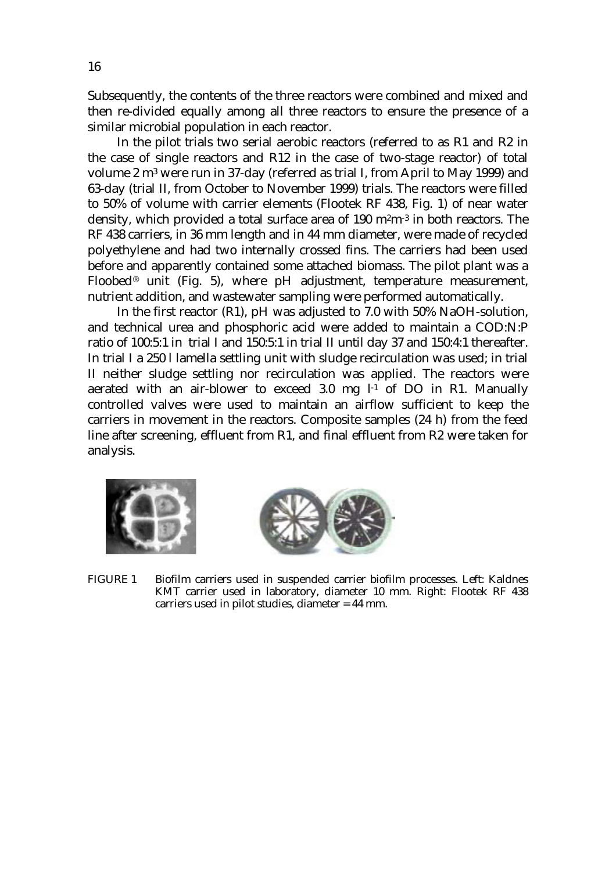Subsequently, the contents of the three reactors were combined and mixed and then re-divided equally among all three reactors to ensure the presence of a similar microbial population in each reactor.

In the pilot trials two serial aerobic reactors (referred to as R1 and R2 in the case of single reactors and R12 in the case of two-stage reactor) of total volume 2 m3 were run in 37-day (referred as trial I, from April to May 1999) and 63-day (trial II, from October to November 1999) trials. The reactors were filled to 50% of volume with carrier elements (Flootek RF 438, Fig. 1) of near water density, which provided a total surface area of 190 m<sup>2</sup>m<sup>-3</sup> in both reactors. The RF 438 carriers, in 36 mm length and in 44 mm diameter, were made of recycled polyethylene and had two internally crossed fins. The carriers had been used before and apparently contained some attached biomass. The pilot plant was a Floobed® unit (Fig. 5), where pH adjustment, temperature measurement, nutrient addition, and wastewater sampling were performed automatically.

In the first reactor (R1), pH was adjusted to 7.0 with 50% NaOH-solution, and technical urea and phosphoric acid were added to maintain a COD:N:P ratio of 100:5:1 in trial I and 150:5:1 in trial II until day 37 and 150:4:1 thereafter. In trial I a 250 l lamella settling unit with sludge recirculation was used; in trial II neither sludge settling nor recirculation was applied. The reactors were aerated with an air-blower to exceed 3.0 mg  $l<sup>-1</sup>$  of DO in R1. Manually controlled valves were used to maintain an airflow sufficient to keep the carriers in movement in the reactors. Composite samples (24 h) from the feed line after screening, effluent from R1, and final effluent from R2 were taken for analysis.





FIGURE 1 Biofilm carriers used in suspended carrier biofilm processes. Left: Kaldnes KMT carrier used in laboratory, diameter 10 mm. Right: Flootek RF 438 carriers used in pilot studies, diameter = 44 mm.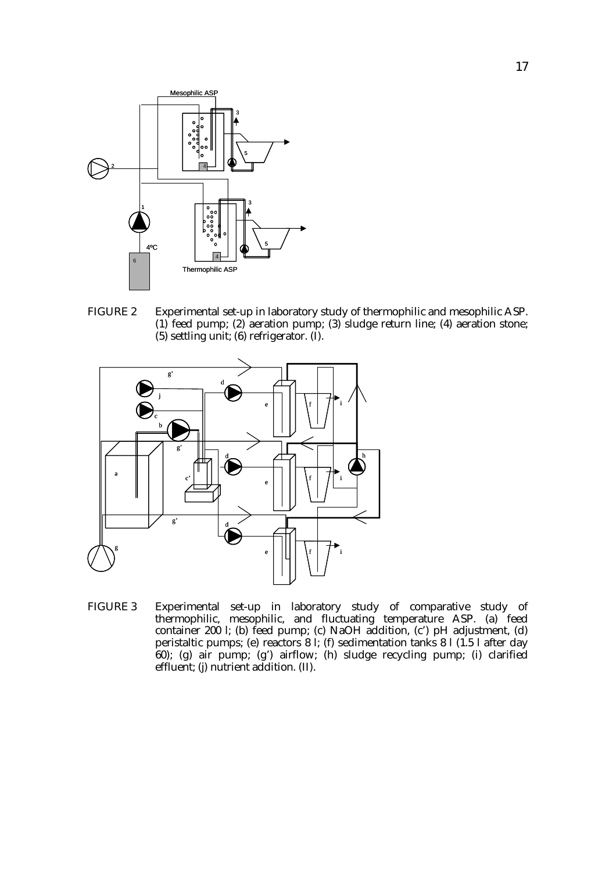

FIGURE 2 Experimental set-up in laboratory study of thermophilic and mesophilic ASP. (1) feed pump; (2) aeration pump; (3) sludge return line; (4) aeration stone;  $(5)$  settling unit;  $(6)$  refrigerator.  $(1)$ .



FIGURE 3 Experimental set-up in laboratory study of comparative study of thermophilic, mesophilic, and fluctuating temperature ASP. (a) feed container 200 l; (b) feed pump; (c) NaOH addition, (c') pH adjustment, (d) peristaltic pumps; (e) reactors 8 l; (f) sedimentation tanks 8 l (1.5 l after day 60); (g) air pump; (g') airflow; (h) sludge recycling pump; (i) clarified effluent; (j) nutrient addition. (II).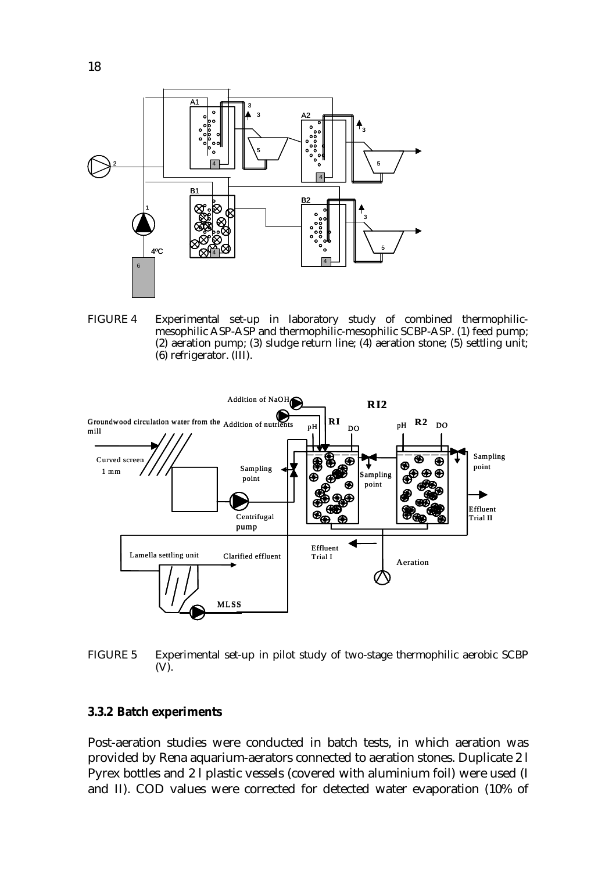

FIGURE 4 Experimental set-up in laboratory study of combined thermophilicmesophilic ASP-ASP and thermophilic-mesophilic SCBP-ASP. (1) feed pump; (2) aeration pump; (3) sludge return line; (4) aeration stone; (5) settling unit; (6) refrigerator. (III).



FIGURE 5 Experimental set-up in pilot study of two-stage thermophilic aerobic SCBP (V).

#### **3.3.2 Batch experiments**

Post-aeration studies were conducted in batch tests, in which aeration was provided by Rena aquarium-aerators connected to aeration stones. Duplicate 2 l Pyrex bottles and 2 l plastic vessels (covered with aluminium foil) were used (I and II). COD values were corrected for detected water evaporation (10% of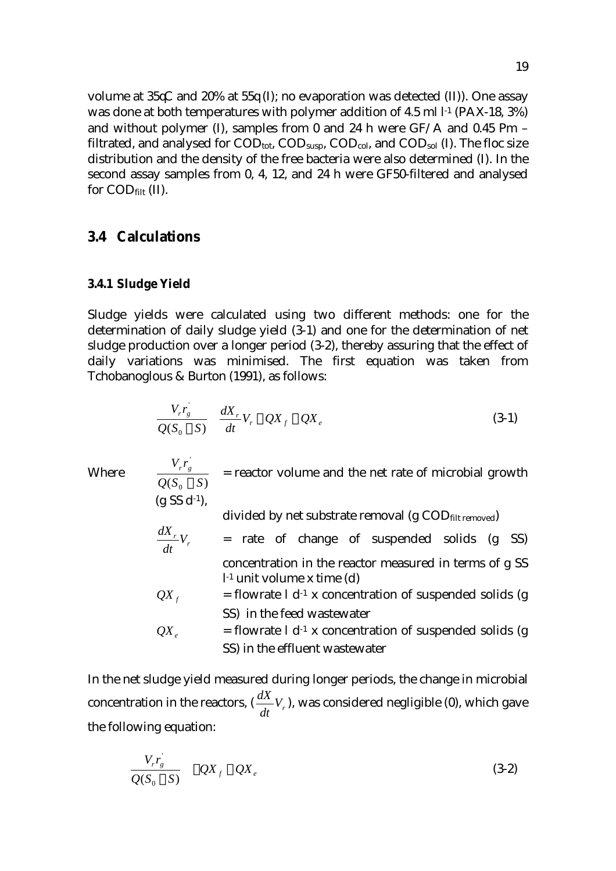volume at  $35\text{C}$  and  $20\%$  at  $55\text{V(I)}$ ; no evaporation was detected (II)). One assay was done at both temperatures with polymer addition of 4.5 ml l<sup>-1</sup> (PAX-18, 3%) and without polymer (I), samples from 0 and 24 h were  $GF/A$  and 0.45  $\sigma$ m – filtrated, and analysed for  $\text{COD}_{\text{tot}}$ ,  $\text{COD}_{\text{sub}}$ ,  $\text{COD}_{\text{col}}$ , and  $\text{COD}_{\text{sol}}$  (I). The floc size distribution and the density of the free bacteria were also determined (I). In the second assay samples from 0, 4, 12, and 24 h were GF50-filtered and analysed for CODfilt (II).

#### **3.4 Calculations**

#### **3.4.1 Sludge Yield**

'

Sludge yields were calculated using two different methods: one for the determination of daily sludge yield (3-1) and one for the determination of net sludge production over a longer period (3-2), thereby assuring that the effect of daily variations was minimised. The first equation was taken from Tchobanoglous & Burton (1991), as follows:

$$
\frac{V_r r_g}{Q(S_0 4 S)} \left| \frac{dX_r}{dt} V_r 4 QX_f 2 QX_e \right|
$$
\n(3-1)

Where  $(S_0 4 S)$  $Q(S_0 \mid S)$  $V_r r_g$  $\frac{g}{4}$  = reactor volume and the net rate of microbial growth  $(g S S d^{-1}),$ divided by net substrate removal (g COD<sub>filt removed</sub>)  $\binom{r}{r}$ *dt*  $=$  rate of change of suspended solids  $(g$  SS) concentration in the reactor measured in terms of g SS l-1 unit volume x time (d)  $QX_f$  = flowrate l d<sup>-1</sup> x concentration of suspended solids (g SS) in the feed wastewater  $QX$ <sub>c</sub> = flowrate l d<sup>-1</sup> x concentration of suspended solids (g SS) in the effluent wastewater

In the net sludge yield measured during longer periods, the change in microbial concentration in the reactors,  $(\frac{dX}{dt}V_r)$ , was considered negligible (0), which gave the following equation:

$$
\frac{V_r r_g}{Q(S_0 4 S)} | 4Q X_f 2Q X_e
$$
\n(3-2)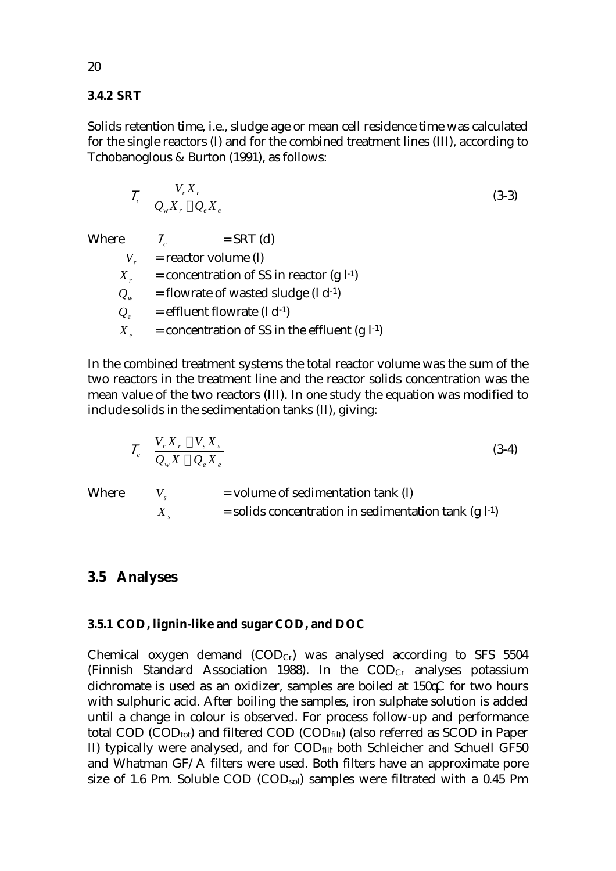#### **3.4.2 SRT**

Solids retention time, i.e., sludge age or mean cell residence time was calculated for the single reactors (I) and for the combined treatment lines (III), according to Tchobanoglous & Burton (1991), as follows:

$$
\chi_c \mid \frac{V_r X_r}{Q_w X_r 2 Q_e X_e} \tag{3-3}
$$

| <b>Where</b> | $=$ SRT (d)<br>$\chi_{c}$                       |
|--------------|-------------------------------------------------|
| $V_{\perp}$  | $=$ reactor volume (l)                          |
| $X_{r}$      | = concentration of SS in reactor $(g l^{-1})$   |
| $Q_{w}$      | = flowrate of wasted sludge $(l d^{-1})$        |
| $Q_e$        | = effluent flowrate $(l d^{-1})$                |
| $X_{e}$      | = concentration of SS in the effluent $(g l-1)$ |

In the combined treatment systems the total reactor volume was the sum of the two reactors in the treatment line and the reactor solids concentration was the mean value of the two reactors (III). In one study the equation was modified to include solids in the sedimentation tanks (II), giving:

$$
\chi_c \perp \frac{V_r X_r 2 V_s X_s}{Q_w X 2 Q_e X_e}
$$
\n
$$
(3-4)
$$

Where  $V_s$  = volume of sedimentation tank (l)  $X_s$  = solids concentration in sedimentation tank (g  $l<sup>-1</sup>$ )

#### **3.5 Analyses**

#### **3.5.1 COD, lignin-like and sugar COD, and DOC**

Chemical oxygen demand  $(COD<sub>Cr</sub>)$  was analysed according to SFS 5504 (Finnish Standard Association 1988). In the  $\text{COD}_{Cr}$  analyses potassium dichromate is used as an oxidizer, samples are boiled at  $150\n\textdegree\textdegree C$  for two hours with sulphuric acid. After boiling the samples, iron sulphate solution is added until a change in colour is observed. For process follow-up and performance total COD ( $\text{COD}_{\text{tot}}$ ) and filtered COD ( $\text{COD}_{\text{filt}}$ ) (also referred as SCOD in Paper II) typically were analysed, and for CODfilt both Schleicher and Schuell GF50 and Whatman GF/A filters were used. Both filters have an approximate pore size of 1.6 cm. Soluble COD (COD<sub>sol</sub>) samples were filtrated with a 0.45 cm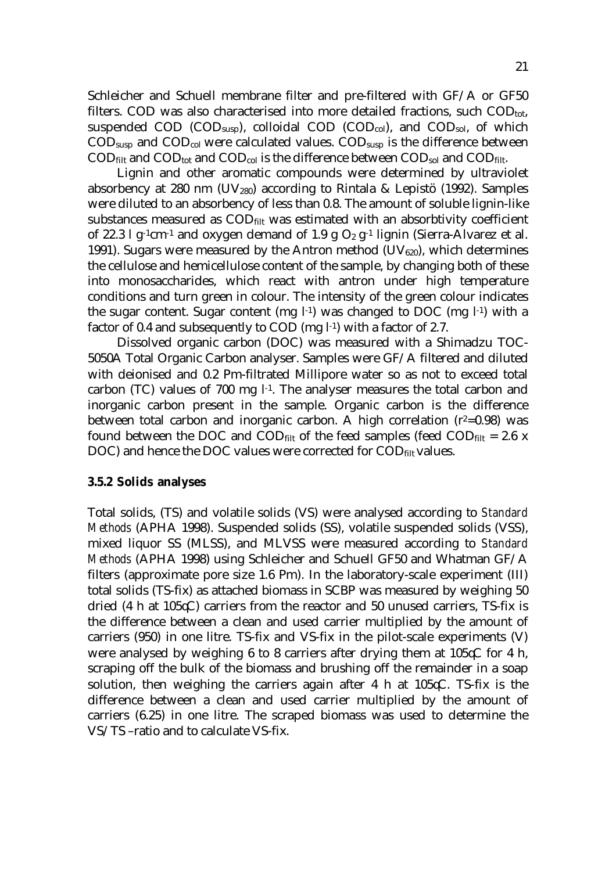Schleicher and Schuell membrane filter and pre-filtered with GF/A or GF50 filters. COD was also characterised into more detailed fractions, such  $\text{COD}_{\text{tot}}$ , suspended COD (COD<sub>susp</sub>), colloidal COD (COD<sub>col</sub>), and COD<sub>sol</sub>, of which  $\text{COD}_{\text{susp}}$  and  $\text{COD}_{\text{col}}$  were calculated values.  $\text{COD}_{\text{susp}}$  is the difference between  $\text{COD}_{\text{filt}}$  and  $\text{COD}_{\text{tot}}$  and  $\text{COD}_{\text{col}}$  is the difference between  $\text{COD}_{\text{sol}}$  and  $\text{COD}_{\text{filt}}$ .

 Lignin and other aromatic compounds were determined by ultraviolet absorbency at 280 nm (UV<sub>280</sub>) according to Rintala & Lepistö (1992). Samples were diluted to an absorbency of less than 0.8. The amount of soluble lignin-like substances measured as  $\text{COD}_{\text{filt}}$  was estimated with an absorbtivity coefficient of 22.3 l g<sup>-1</sup>cm<sup>-1</sup> and oxygen demand of 1.9 g  $O_2$  g<sup>-1</sup> lignin (Sierra-Alvarez et al. 1991). Sugars were measured by the Antron method  $(UV_{620})$ , which determines the cellulose and hemicellulose content of the sample, by changing both of these into monosaccharides, which react with antron under high temperature conditions and turn green in colour. The intensity of the green colour indicates the sugar content. Sugar content (mg  $l^{-1}$ ) was changed to DOC (mg  $l^{-1}$ ) with a factor of 0.4 and subsequently to COD (mg l<sup>-1</sup>) with a factor of 2.7.

 Dissolved organic carbon (DOC) was measured with a Shimadzu TOC-5050A Total Organic Carbon analyser. Samples were GF/A filtered and diluted with deionised and 0.2 om-filtrated Millipore water so as not to exceed total carbon (TC) values of 700 mg l-1. The analyser measures the total carbon and inorganic carbon present in the sample. Organic carbon is the difference between total carbon and inorganic carbon. A high correlation  $(r^2=0.98)$  was found between the DOC and COD $_{\text{filt}}$  of the feed samples (feed COD $_{\text{filt}}$  = 2.6 x DOC) and hence the DOC values were corrected for COD<sub>filt</sub> values.

#### **3.5.2 Solids analyses**

Total solids, (TS) and volatile solids (VS) were analysed according to *Standard Methods* (APHA 1998). Suspended solids (SS), volatile suspended solids (VSS), mixed liquor SS (MLSS), and MLVSS were measured according to *Standard Methods* (APHA 1998) using Schleicher and Schuell GF50 and Whatman GF/A filters (approximate pore size 1.6  $\sigma$ m). In the laboratory-scale experiment (III) total solids (TS-fix) as attached biomass in SCBP was measured by weighing 50 dried (4 h at 105 $\&$ ) carriers from the reactor and 50 unused carriers, TS-fix is the difference between a clean and used carrier multiplied by the amount of carriers (950) in one litre. TS-fix and VS-fix in the pilot-scale experiments (V) were analysed by weighing 6 to 8 carriers after drying them at  $105\mathcal{K}$  for 4 h, scraping off the bulk of the biomass and brushing off the remainder in a soap solution, then weighing the carriers again after 4 h at  $105\text{C}$ . TS-fix is the difference between a clean and used carrier multiplied by the amount of carriers (6.25) in one litre. The scraped biomass was used to determine the VS/TS –ratio and to calculate VS-fix.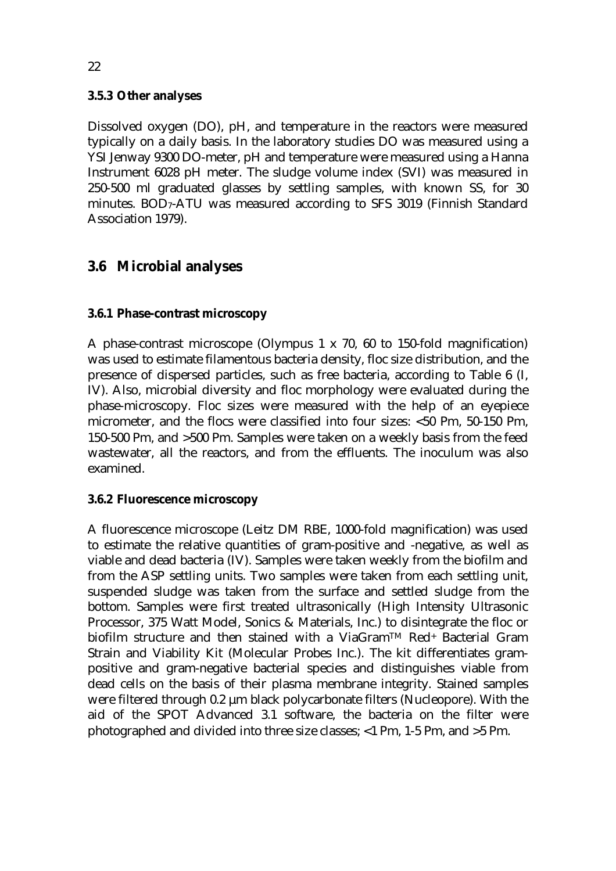#### **3.5.3 Other analyses**

Dissolved oxygen (DO), pH, and temperature in the reactors were measured typically on a daily basis. In the laboratory studies DO was measured using a YSI Jenway 9300 DO-meter, pH and temperature were measured using a Hanna Instrument 6028 pH meter. The sludge volume index (SVI) was measured in 250-500 ml graduated glasses by settling samples, with known SS, for 30 minutes. BOD7-ATU was measured according to SFS 3019 (Finnish Standard Association 1979).

### **3.6 Microbial analyses**

#### **3.6.1 Phase-contrast microscopy**

A phase-contrast microscope (Olympus 1 x 70, 60 to 150-fold magnification) was used to estimate filamentous bacteria density, floc size distribution, and the presence of dispersed particles, such as free bacteria, according to Table 6 (I, IV). Also, microbial diversity and floc morphology were evaluated during the phase-microscopy. Floc sizes were measured with the help of an eyepiece micrometer, and the flocs were classified into four sizes:  $<$ 50  $\sigma$ m, 50-150  $\sigma$ m, 150-500  $\sigma$ m, and >500  $\sigma$ m. Samples were taken on a weekly basis from the feed wastewater, all the reactors, and from the effluents. The inoculum was also examined.

#### **3.6.2 Fluorescence microscopy**

A fluorescence microscope (Leitz DM RBE, 1000-fold magnification) was used to estimate the relative quantities of gram-positive and -negative, as well as viable and dead bacteria (IV). Samples were taken weekly from the biofilm and from the ASP settling units. Two samples were taken from each settling unit, suspended sludge was taken from the surface and settled sludge from the bottom. Samples were first treated ultrasonically (High Intensity Ultrasonic Processor, 375 Watt Model, Sonics & Materials, Inc.) to disintegrate the floc or biofilm structure and then stained with a ViaGramTM Red+ Bacterial Gram Strain and Viability Kit (Molecular Probes Inc.). The kit differentiates grampositive and gram-negative bacterial species and distinguishes viable from dead cells on the basis of their plasma membrane integrity. Stained samples were filtered through 0.2 µm black polycarbonate filters (Nucleopore). With the aid of the SPOT Advanced 3.1 software, the bacteria on the filter were photographed and divided into three size classes;  $<$ 1  $\sigma$ m, 1-5  $\sigma$ m, and  $>$ 5  $\sigma$ m.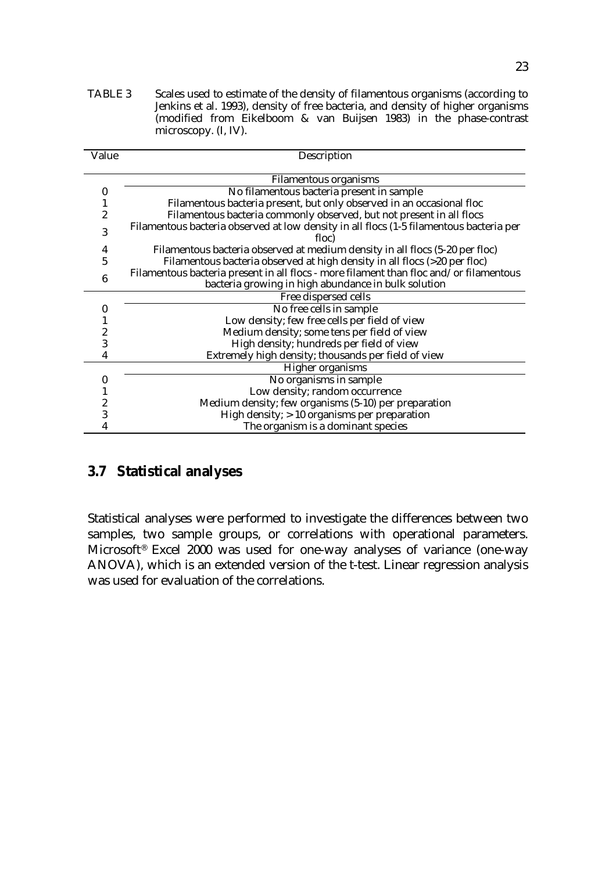TABLE 3 Scales used to estimate of the density of filamentous organisms (according to Jenkins et al. 1993), density of free bacteria, and density of higher organisms (modified from Eikelboom & van Buijsen 1983) in the phase-contrast microscopy. (I, IV).

| Value | Description                                                                                      |  |  |  |  |  |  |
|-------|--------------------------------------------------------------------------------------------------|--|--|--|--|--|--|
|       | <b>Filamentous organisms</b>                                                                     |  |  |  |  |  |  |
| 0     | No filamentous bacteria present in sample                                                        |  |  |  |  |  |  |
|       | Filamentous bacteria present, but only observed in an occasional floc                            |  |  |  |  |  |  |
| 2     | Filamentous bacteria commonly observed, but not present in all flocs                             |  |  |  |  |  |  |
| 3     | Filamentous bacteria observed at low density in all flocs (1-5 filamentous bacteria per<br>floc) |  |  |  |  |  |  |
| 4     | Filamentous bacteria observed at medium density in all flocs (5-20 per floc)                     |  |  |  |  |  |  |
| 5     | Filamentous bacteria observed at high density in all flocs (>20 per floc)                        |  |  |  |  |  |  |
| 6     | Filamentous bacteria present in all flocs - more filament than floc and/or filamentous           |  |  |  |  |  |  |
|       | bacteria growing in high abundance in bulk solution                                              |  |  |  |  |  |  |
|       | Free dispersed cells                                                                             |  |  |  |  |  |  |
| 0     | No free cells in sample                                                                          |  |  |  |  |  |  |
|       | Low density; few free cells per field of view                                                    |  |  |  |  |  |  |
| 2     | Medium density; some tens per field of view                                                      |  |  |  |  |  |  |
| 3     | High density; hundreds per field of view                                                         |  |  |  |  |  |  |
| 4     | Extremely high density; thousands per field of view                                              |  |  |  |  |  |  |
|       | <b>Higher organisms</b>                                                                          |  |  |  |  |  |  |
|       | No organisms in sample                                                                           |  |  |  |  |  |  |
|       | Low density; random occurrence                                                                   |  |  |  |  |  |  |
| 2     | Medium density; few organisms (5-10) per preparation                                             |  |  |  |  |  |  |
| 3     | High density; > 10 organisms per preparation                                                     |  |  |  |  |  |  |
|       | The organism is a dominant species                                                               |  |  |  |  |  |  |

### **3.7 Statistical analyses**

Statistical analyses were performed to investigate the differences between two samples, two sample groups, or correlations with operational parameters. Microsoft® Excel 2000 was used for one-way analyses of variance (one-way ANOVA), which is an extended version of the t-test. Linear regression analysis was used for evaluation of the correlations.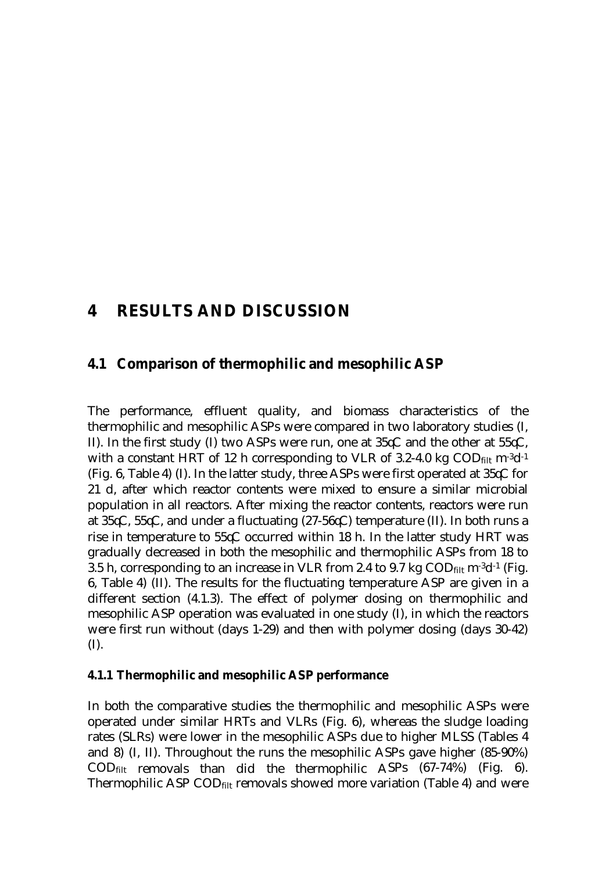## **4 RESULTS AND DISCUSSION**

#### **4.1 Comparison of thermophilic and mesophilic ASP**

The performance, effluent quality, and biomass characteristics of the thermophilic and mesophilic ASPs were compared in two laboratory studies (I, II). In the first study (I) two ASPs were run, one at  $35\mathcal{K}$  and the other at  $55\mathcal{K}$ , with a constant HRT of 12 h corresponding to VLR of 3.2-4.0 kg  $\text{COD}_{\text{filt}}$  m<sup>-3</sup>d<sup>-1</sup> (Fig. 6, Table 4) (I). In the latter study, three ASPs were first operated at  $35\mathcal{\nabla}$  for 21 d, after which reactor contents were mixed to ensure a similar microbial population in all reactors. After mixing the reactor contents, reactors were run at  $35\text{C}$ ,  $55\text{C}$ , and under a fluctuating (27-56 $\text{C}$ ) temperature (II). In both runs a rise in temperature to  $55\text{C}$  occurred within 18 h. In the latter study HRT was gradually decreased in both the mesophilic and thermophilic ASPs from 18 to 3.5 h, corresponding to an increase in VLR from 2.4 to 9.7 kg  $\text{COD}_{\text{filt}}$  m<sup>-3</sup>d<sup>-1</sup> (Fig. 6, Table 4) (II). The results for the fluctuating temperature ASP are given in a different section (4.1.3). The effect of polymer dosing on thermophilic and mesophilic ASP operation was evaluated in one study (I), in which the reactors were first run without (days 1-29) and then with polymer dosing (days 30-42) (I).

#### **4.1.1 Thermophilic and mesophilic ASP performance**

In both the comparative studies the thermophilic and mesophilic ASPs were operated under similar HRTs and VLRs (Fig. 6), whereas the sludge loading rates (SLRs) were lower in the mesophilic ASPs due to higher MLSS (Tables 4 and 8) (I, II). Throughout the runs the mesophilic ASPs gave higher (85-90%)  $\text{COD}_{\text{filt}}$  removals than did the thermophilic ASPs  $(67-74%)$  (Fig. 6). Thermophilic ASP COD<sub>filt</sub> removals showed more variation (Table 4) and were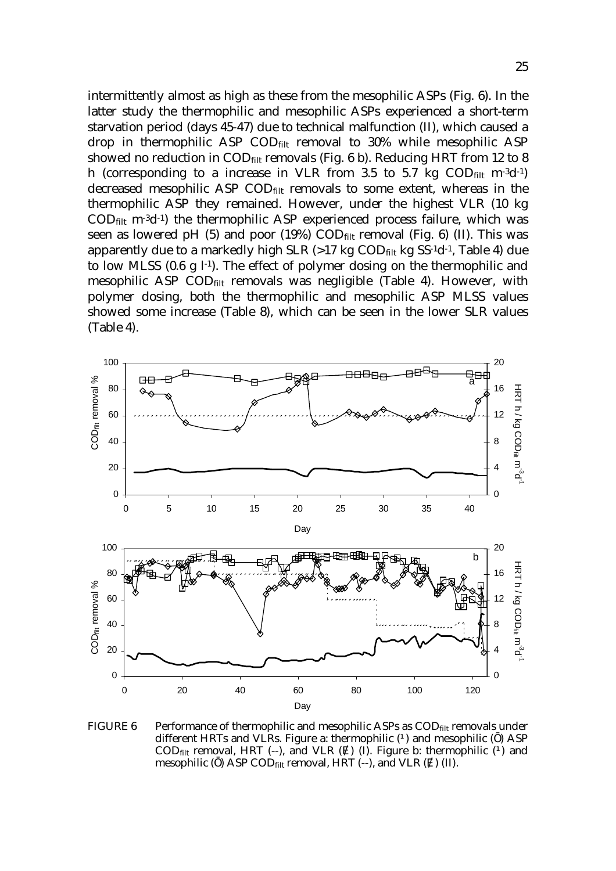intermittently almost as high as these from the mesophilic ASPs (Fig. 6). In the latter study the thermophilic and mesophilic ASPs experienced a short-term starvation period (days 45-47) due to technical malfunction (II), which caused a drop in thermophilic ASP  $\text{COD}_{\text{filt}}$  removal to 30% while mesophilic ASP showed no reduction in  $\text{COD}_{\text{filt}}$  removals (Fig. 6 b). Reducing HRT from 12 to 8 h (corresponding to a increase in VLR from 3.5 to 5.7 kg  $\text{COD}_{\text{filt}}$  m<sup>-3</sup>d<sup>-1</sup>) decreased mesophilic ASP CODfilt removals to some extent, whereas in the thermophilic ASP they remained. However, under the highest VLR (10 kg  $\text{COD}_{\text{filt}}$  m<sup>-3</sup>d<sup>-1</sup>) the thermophilic ASP experienced process failure, which was seen as lowered pH  $(5)$  and poor  $(19%)$  COD $_{\text{filt}}$  removal (Fig. 6) (II). This was apparently due to a markedly high SLR  $(>17 \text{ kg COD}_{\text{filt}}$  kg SS<sup>-1</sup>d<sup>-1</sup>, Table 4) due to low MLSS (0.6 g  $l^{-1}$ ). The effect of polymer dosing on the thermophilic and mesophilic ASP COD<sub>filt</sub> removals was negligible (Table 4). However, with polymer dosing, both the thermophilic and mesophilic ASP MLSS values showed some increase (Table 8), which can be seen in the lower SLR values (Table 4).



FIGURE 6 Performance of thermophilic and mesophilic ASPs as  $\text{COD}_{\text{filt}}$  removals under different HRTs and VLRs. Figure a: thermophilic  $(\dot{Q})$  and mesophilic () ASP  $\text{COD}_{\text{filt}}$  removal, HRT (--), and VLR () (I). Figure b: thermophilic ( $\acute{\text{O}}$  and mesophilic ( ) ASP COD $_{\text{filt}}$  removal, HRT (--), and VLR ( ) (II).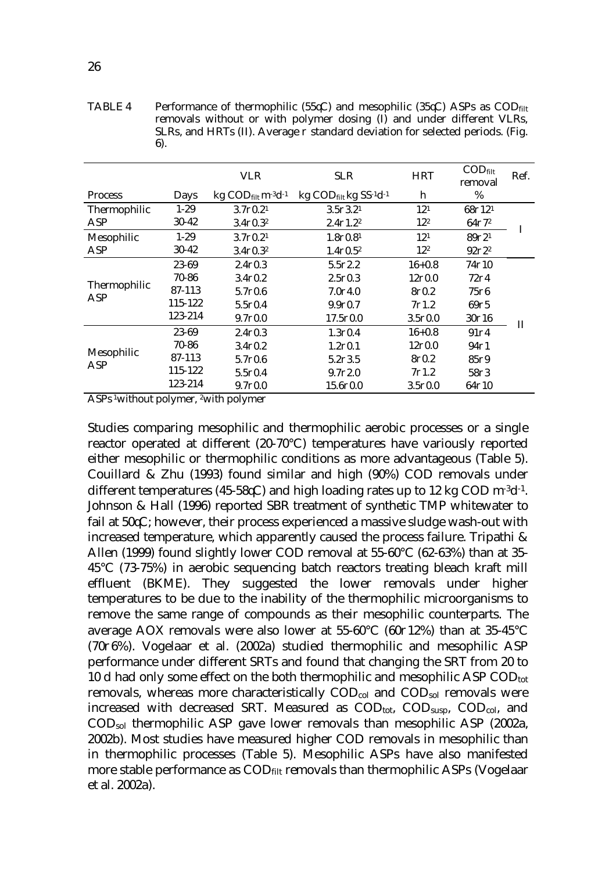TABLE 4 Performance of thermophilic (55 $\mathcal{LC}$ ) and mesophilic (35 $\mathcal{LC}$ ) ASPs as COD<sub>filt</sub> removals without or with polymer dosing (I) and under different VLRs, SLRs, and HRTs (II). Average  $\partial$  standard deviation for selected periods. (Fig. 6).

|                |                                                       | <b>VLR</b>                                                | <b>SLR</b>                                                   | <b>HRT</b>        | $\mathrm{COD}_{\mathrm{filt}}$<br>removal | Ref. |
|----------------|-------------------------------------------------------|-----------------------------------------------------------|--------------------------------------------------------------|-------------------|-------------------------------------------|------|
| <b>Process</b> | Days                                                  | $kg$ COD $_{\text{filt}}$ m <sup>-3</sup> d <sup>-1</sup> | $kg$ COD <sub>filt</sub> kg SS <sup>-1</sup> d <sup>-1</sup> | h                 | %                                         |      |
| Thermophilic   | $1 - 29$<br>$3.7\partial 0.21$<br>$3.5\partial 3.2^1$ |                                                           | 12 <sup>1</sup>                                              | 687121            |                                           |      |
| ASP            | $30 - 42$                                             | $3.4 \partial 0.3^2$                                      | $2.4\partial 1.2^2$                                          | 12 <sup>2</sup>   | $64\partial72$                            |      |
| Mesophilic     | $1-29$                                                | $3.7\partial 0.21$                                        | $1.8\partial 0.81$                                           | 12 <sup>1</sup>   | 89721                                     | п    |
| ASP            | 30-42                                                 | $3.4 \partial 0.3^2$                                      | $1.4 \partial 0.5^2$                                         | 12 <sup>2</sup>   | $92\partial 2^2$                          |      |
|                | 23-69                                                 | 2.400.3                                                   | 5.502.2                                                      | $16 + 0.8$        | 74∂10                                     |      |
|                | 70-86                                                 | 3.400.2                                                   | 2.500.3                                                      | 12∂0.0            | 72∂4                                      |      |
| Thermophilic   | 87-113                                                | 5.700.6                                                   | 7.004.0                                                      | 800.2             | $75\partial$ 6                            |      |
| ASP            | 115-122                                               | 5.500.4                                                   | 9.900.7                                                      | 7 <sub>01.2</sub> | 6975                                      |      |
|                | 123-214                                               | $9.7\partial 0.0$                                         | $17.5 \partial 0.0$                                          | 3.500.0           | 30016                                     | Н    |
|                | 23-69                                                 | 2.400.3                                                   | 1.300.4                                                      | $16 + 0.8$        | 91∂4                                      |      |
|                | 70-86                                                 | 3.400.2                                                   | $1.2\partial 0.1$                                            | $12\partial 0.0$  | $94\partial 1$                            |      |
| Mesophilic     | 87-113                                                | 5.700.6                                                   | 5.203.5                                                      | 800.2             | 85∂9                                      |      |
| ASP            | 115-122                                               | 5.500.4                                                   | 9.7 <sub>0</sub> 2.0                                         | 7 <sub>01.2</sub> | 5803                                      |      |
|                | 123-214                                               | $9.7\partial 0.0$                                         | 15.600.0                                                     | 3.500.0           | 64∂10                                     |      |

ASPs 1without polymer, 2with polymer

Studies comparing mesophilic and thermophilic aerobic processes or a single reactor operated at different (20-70°C) temperatures have variously reported either mesophilic or thermophilic conditions as more advantageous (Table 5). Couillard & Zhu (1993) found similar and high (90%) COD removals under different temperatures (45-58 $\text{\degree}$ C) and high loading rates up to 12 kg COD m<sup>-3</sup>d<sup>-1</sup>. Johnson & Hall (1996) reported SBR treatment of synthetic TMP whitewater to fail at  $50\text{C}$ ; however, their process experienced a massive sludge wash-out with increased temperature, which apparently caused the process failure. Tripathi & Allen (1999) found slightly lower COD removal at 55-60°C (62-63%) than at 35- 45°C (73-75%) in aerobic sequencing batch reactors treating bleach kraft mill effluent (BKME). They suggested the lower removals under higher temperatures to be due to the inability of the thermophilic microorganisms to remove the same range of compounds as their mesophilic counterparts. The average AOX removals were also lower at  $55{\text -}60^{\circ}$ C (60 $\partial$ 12%) than at  $35{\text -}45^{\circ}$ C  $(70\partial 6\%)$ . Vogelaar et al.  $(2002a)$  studied thermophilic and mesophilic ASP performance under different SRTs and found that changing the SRT from 20 to 10 d had only some effect on the both thermophilic and mesophilic ASP  $\text{COD}_{\text{tot}}$ removals, whereas more characteristically COD<sub>col</sub> and COD<sub>sol</sub> removals were increased with decreased SRT. Measured as  $\text{COD}_{\text{tot}}$ ,  $\text{COD}_{\text{susb}}$ ,  $\text{COD}_{\text{col}}$ , and CODsol thermophilic ASP gave lower removals than mesophilic ASP (2002a, 2002b). Most studies have measured higher COD removals in mesophilic than in thermophilic processes (Table 5). Mesophilic ASPs have also manifested more stable performance as  $\text{COD}_{\text{filt}}$  removals than thermophilic ASPs (Vogelaar et al. 2002a).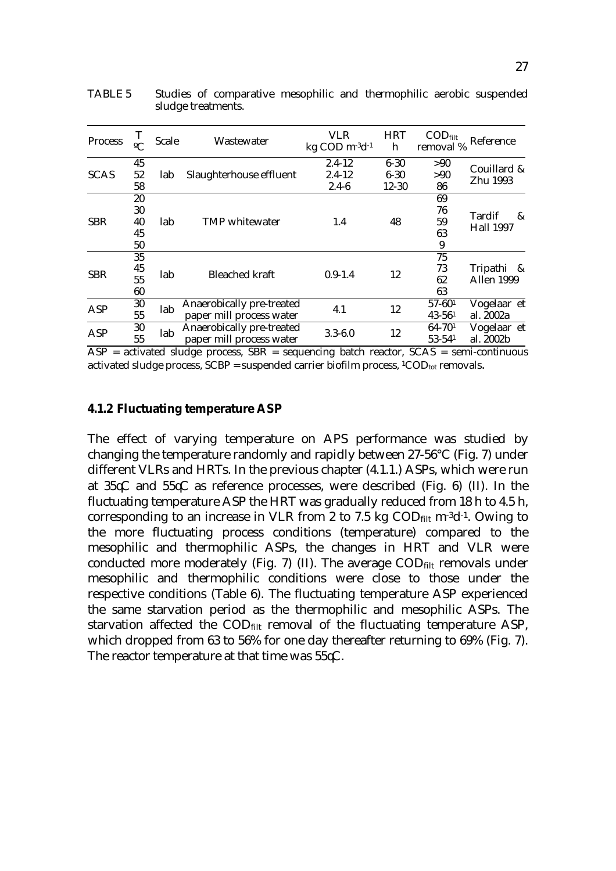| <b>Process</b> | $\mathbf{C}$               | <b>Scale</b> | Wastewater                                            | VLR<br>kg COD m <sup>-3</sup> d <sup>-1</sup> | <b>HRT</b><br>h                   | $\mathrm{COD}_{\text{filt}}$<br>removal % | Reference                       |
|----------------|----------------------------|--------------|-------------------------------------------------------|-----------------------------------------------|-----------------------------------|-------------------------------------------|---------------------------------|
| <b>SCAS</b>    | 45<br>52<br>58             | lab          | Slaughterhouse effluent                               | $2.4 - 12$<br>$2.4 - 12$<br>$2.4 - 6$         | $6 - 30$<br>$6 - 30$<br>$12 - 30$ | >90<br>>90<br>86                          | Couillard &<br>Zhu 1993         |
| <b>SBR</b>     | 20<br>30<br>40<br>45<br>50 | lab          | <b>TMP</b> whitewater                                 | 1.4                                           | 48                                | 69<br>76<br>59<br>63<br>9                 | Tardif<br>&<br><b>Hall 1997</b> |
| <b>SBR</b>     | 35<br>45<br>55<br>60       | lab          | <b>Bleached kraft</b>                                 | $0.9 - 1.4$                                   | 12                                | 75<br>73<br>62<br>63                      | Tripathi &<br><b>Allen 1999</b> |
| <b>ASP</b>     | 30<br>55                   | lab          | Anaerobically pre-treated<br>paper mill process water | 4.1                                           | 12                                | $57 - 601$<br>$43 - 561$                  | Vogelaar et<br>al. 2002a        |
| <b>ASP</b>     | 30<br>55                   | lab          | Anaerobically pre-treated<br>paper mill process water | $3.3 - 6.0$                                   | 12                                | $64 - 701$<br>$53 - 541$                  | Vogelaar et<br>al. 2002b        |

TABLE 5 Studies of comparative mesophilic and thermophilic aerobic suspended sludge treatments.

 $\overline{ASP}$  = activated sludge process,  $\overline{SBR}$  = sequencing batch reactor,  $\overline{SCAS}$  = semi-continuous activated sludge process,  $SCBP$  = suspended carrier biofilm process,  ${}^{1}COD_{tot}$  removals.

#### **4.1.2 Fluctuating temperature ASP**

The effect of varying temperature on APS performance was studied by changing the temperature randomly and rapidly between 27-56°C (Fig. 7) under different VLRs and HRTs. In the previous chapter (4.1.1.) ASPs, which were run at  $35\text{C}$  and  $55\text{C}$  as reference processes, were described (Fig. 6) (II). In the fluctuating temperature ASP the HRT was gradually reduced from 18 h to 4.5 h, corresponding to an increase in VLR from 2 to 7.5 kg  $\text{COD}_{\text{filt}}$  m<sup>-3</sup>d<sup>-1</sup>. Owing to the more fluctuating process conditions (temperature) compared to the mesophilic and thermophilic ASPs, the changes in HRT and VLR were conducted more moderately (Fig. 7) (II). The average  $\text{COD}_{\text{filt}}$  removals under mesophilic and thermophilic conditions were close to those under the respective conditions (Table 6). The fluctuating temperature ASP experienced the same starvation period as the thermophilic and mesophilic ASPs. The starvation affected the  $\text{COD}_{\text{filt}}$  removal of the fluctuating temperature ASP, which dropped from 63 to 56% for one day thereafter returning to 69% (Fig. 7). The reactor temperature at that time was  $55\text{C}$ .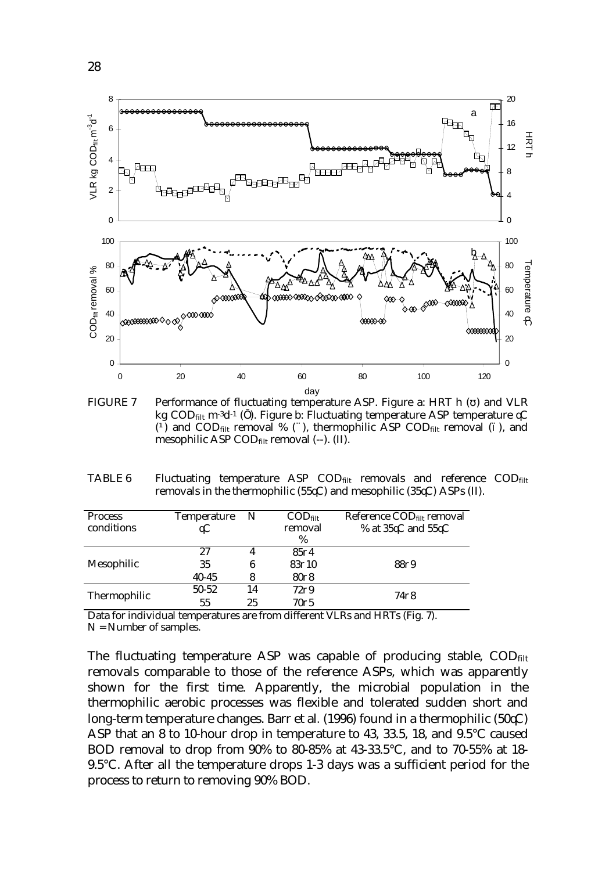

FIGURE 7 Performance of fluctuating temperature ASP. Figure a: HRT h ( ) and VLR kg COD<sub>filt</sub> m<sup>-3</sup>d<sup>-1</sup> ( ). Figure b: Fluctuating temperature ASP temperature  $\nabla$  $\overrightarrow{O}$  and COD<sub>filt</sub> removal % ( $\hat{A}$ ), thermophilic ASP COD<sub>filt</sub> removal (), and mesophilic ASP CODfilt removal (--). (II).

TABLE 6 Fluctuating temperature ASP  $\text{COD}_{\text{filt}}$  removals and reference  $\text{COD}_{\text{filt}}$ removals in the thermophilic (55 $\&$ C) and mesophilic (35 $\&$ C) ASPs (II).

| <b>Process</b>      | <b>Temperature</b> | $\mathbf N$ | $\mathrm{COD}_{\text{filt}}$ | Reference COD <sub>filt</sub> removal  |
|---------------------|--------------------|-------------|------------------------------|----------------------------------------|
| conditions          | $\alpha$           |             | removal                      | % at $35\text{\AA}$ and $55\text{\AA}$ |
|                     |                    |             | %                            |                                        |
|                     | 27                 | 4           | 8504                         |                                        |
| Mesophilic          | 35                 | 6           | 83710                        | 8829                                   |
|                     | $40 - 45$          | 8           | 8008                         |                                        |
| <b>Thermophilic</b> | $50 - 52$          | 14          | 7299                         | 7478                                   |
|                     | 55                 | 25          | 70 <sub>0</sub> 5            |                                        |

Data for individual temperatures are from different VLRs and HRTs (Fig. 7).

 $N =$  Number of samples.

The fluctuating temperature ASP was capable of producing stable, COD<sub>filt</sub> removals comparable to those of the reference ASPs, which was apparently shown for the first time. Apparently, the microbial population in the thermophilic aerobic processes was flexible and tolerated sudden short and long-term temperature changes. Barr et al.  $(1996)$  found in a thermophilic  $(50\text{C})$ ASP that an 8 to 10-hour drop in temperature to 43, 33.5, 18, and 9.5°C caused BOD removal to drop from 90% to 80-85% at 43-33.5°C, and to 70-55% at 18- 9.5°C. After all the temperature drops 1-3 days was a sufficient period for the process to return to removing 90% BOD.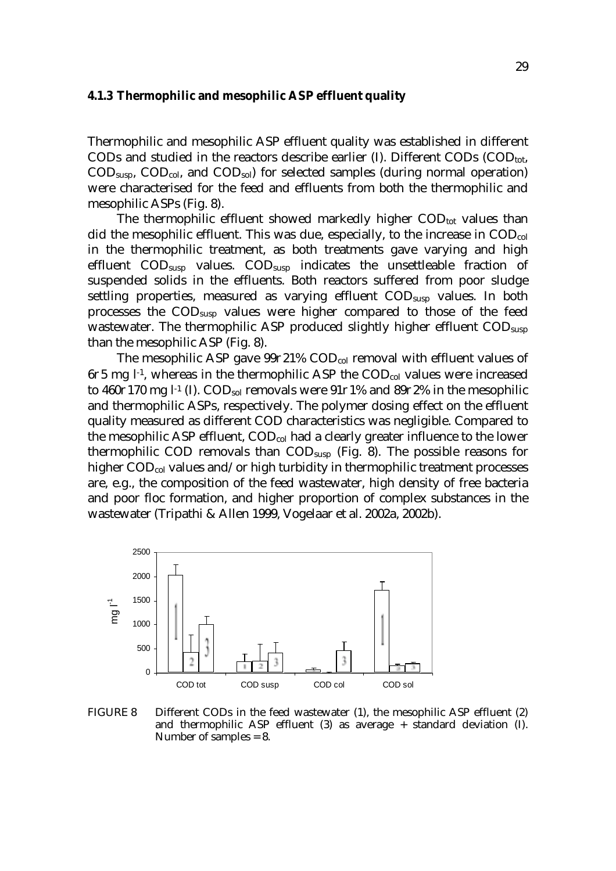#### **4.1.3 Thermophilic and mesophilic ASP effluent quality**

Thermophilic and mesophilic ASP effluent quality was established in different CODs and studied in the reactors describe earlier (I). Different CODs  $(COD_{\text{tot}})$ ,  $\text{COD}_{\text{susp}}$ ,  $\text{COD}_{\text{col}}$ , and  $\text{COD}_{\text{sol}}$ ) for selected samples (during normal operation) were characterised for the feed and effluents from both the thermophilic and mesophilic ASPs (Fig. 8).

The thermophilic effluent showed markedly higher  $\text{COD}_{\text{tot}}$  values than did the mesophilic effluent. This was due, especially, to the increase in  $\text{COD}_{\text{col}}$ in the thermophilic treatment, as both treatments gave varying and high effluent COD<sub>susp</sub> values. COD<sub>susp</sub> indicates the unsettleable fraction of suspended solids in the effluents. Both reactors suffered from poor sludge settling properties, measured as varying effluent COD<sub>susp</sub> values. In both processes the CODsusp values were higher compared to those of the feed wastewater. The thermophilic ASP produced slightly higher effluent COD<sub>susp</sub> than the mesophilic ASP (Fig. 8).

The mesophilic ASP gave  $99\partial 21\%$  COD<sub>col</sub> removal with effluent values of  $6\delta$ 5 mg l<sup>-1</sup>, whereas in the thermophilic ASP the COD<sub>col</sub> values were increased to 460 $\partial$ 170 mg l<sup>-1</sup> (I). COD<sub>sol</sub> removals were 91 $\partial$ 1% and 89 $\partial$ 2% in the mesophilic and thermophilic ASPs, respectively. The polymer dosing effect on the effluent quality measured as different COD characteristics was negligible. Compared to the mesophilic ASP effluent,  $\text{COD}_{\text{col}}$  had a clearly greater influence to the lower thermophilic COD removals than CODsusp (Fig. 8). The possible reasons for higher COD<sub>col</sub> values and/or high turbidity in thermophilic treatment processes are, e.g., the composition of the feed wastewater, high density of free bacteria and poor floc formation, and higher proportion of complex substances in the wastewater (Tripathi & Allen 1999, Vogelaar et al. 2002a, 2002b).



FIGURE 8 Different CODs in the feed wastewater (1), the mesophilic ASP effluent (2) and thermophilic ASP effluent (3) as average + standard deviation (I). Number of samples = 8.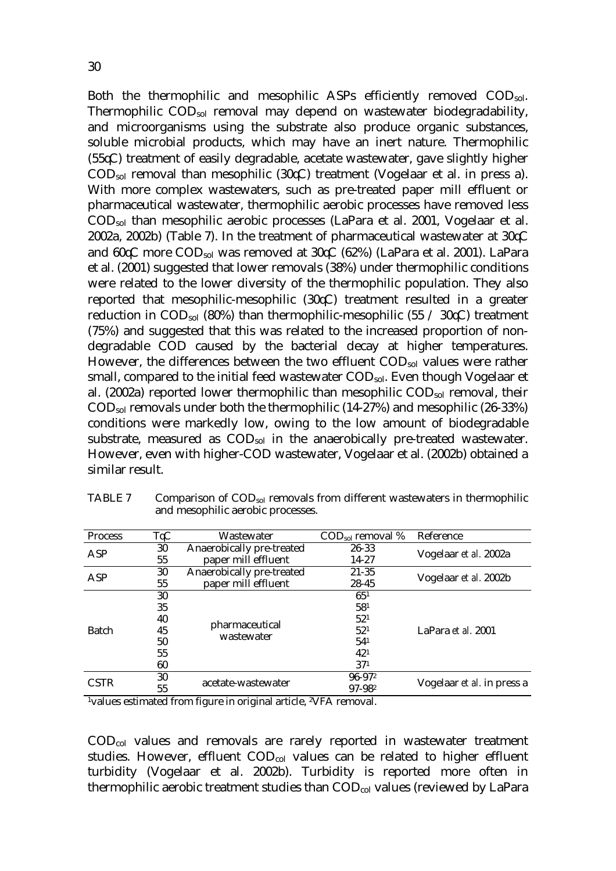Both the thermophilic and mesophilic ASPs efficiently removed COD<sub>sol</sub>. Thermophilic CODsol removal may depend on wastewater biodegradability, and microorganisms using the substrate also produce organic substances, soluble microbial products, which may have an inert nature. Thermophilic  $(55\text{C})$  treatment of easily degradable, acetate wastewater, gave slightly higher  $\text{COD}_{sol}$  removal than mesophilic (30 $\text{C}$ ) treatment (Vogelaar et al. in press a). With more complex wastewaters, such as pre-treated paper mill effluent or pharmaceutical wastewater, thermophilic aerobic processes have removed less CODsol than mesophilic aerobic processes (LaPara et al. 2001, Vogelaar et al. 2002a, 2002b) (Table 7). In the treatment of pharmaceutical wastewater at  $30\text{C}$ and  $60\text{\%}$  more COD<sub>sol</sub> was removed at  $30\text{\%}$  (62%) (LaPara et al. 2001). LaPara et al. (2001) suggested that lower removals (38%) under thermophilic conditions were related to the lower diversity of the thermophilic population. They also reported that mesophilic-mesophilic  $(30\text{C})$  treatment resulted in a greater reduction in COD<sub>sol</sub> (80%) than thermophilic-mesophilic (55 / 30 $\mathcal{C}$ ) treatment (75%) and suggested that this was related to the increased proportion of nondegradable COD caused by the bacterial decay at higher temperatures. However, the differences between the two effluent  $\text{COD}_{sol}$  values were rather small, compared to the initial feed wastewater CODsol. Even though Vogelaar et al. (2002a) reported lower thermophilic than mesophilic  $\text{COD}_{sol}$  removal, their CODsol removals under both the thermophilic (14-27%) and mesophilic (26-33%) conditions were markedly low, owing to the low amount of biodegradable substrate, measured as COD<sub>sol</sub> in the anaerobically pre-treated wastewater. However, even with higher-COD wastewater, Vogelaar et al. (2002b) obtained a similar result.

| <b>Process</b> | TVC                       | Wastewater                                                                           | $\text{COD}_{\text{sol}}$ removal % | Reference                  |
|----------------|---------------------------|--------------------------------------------------------------------------------------|-------------------------------------|----------------------------|
| ASP            | 30                        | Anaerobically pre-treated                                                            | 26-33                               | Vogelaar et al. 2002a      |
|                | 55                        | paper mill effluent                                                                  | 14-27                               |                            |
| ASP            | 30                        | Anaerobically pre-treated                                                            | 21-35                               | Vogelaar et al. 2002b      |
|                | 55                        | paper mill effluent                                                                  | 28-45                               |                            |
|                | 30                        |                                                                                      | 65 <sup>1</sup>                     |                            |
|                | 35                        | pharmaceutical<br>wastewater                                                         | 581                                 |                            |
|                | 40                        |                                                                                      | 52 <sup>1</sup>                     |                            |
| <b>Batch</b>   | 45                        |                                                                                      | 52 <sup>1</sup>                     | LaPara et al. 2001         |
|                | 50                        |                                                                                      | 54 <sup>1</sup>                     |                            |
|                | 55                        |                                                                                      | 42 <sup>1</sup>                     |                            |
|                | 60                        |                                                                                      | 37 <sup>1</sup>                     |                            |
| <b>CSTR</b>    | 30                        | acetate-wastewater                                                                   | $96 - 972$                          | Vogelaar et al. in press a |
|                | 55                        |                                                                                      | 97-982                              |                            |
| $\sim$ $\sim$  | $\mathbf{r}$<br>$\cdot$ . | $\sim$<br>. 1 . 1<br>$0$ $\overline{1}$ $\overline{1}$ $\overline{1}$ $\overline{1}$ |                                     |                            |

TABLE 7 Comparison of  $\text{COD}_{sol}$  removals from different wastewaters in thermophilic and mesophilic aerobic processes.

1values estimated from figure in original article, 2VFA removal.

CODcol values and removals are rarely reported in wastewater treatment studies. However, effluent  $\text{COD}_{\text{col}}$  values can be related to higher effluent turbidity (Vogelaar et al. 2002b). Turbidity is reported more often in thermophilic aerobic treatment studies than COD<sub>col</sub> values (reviewed by LaPara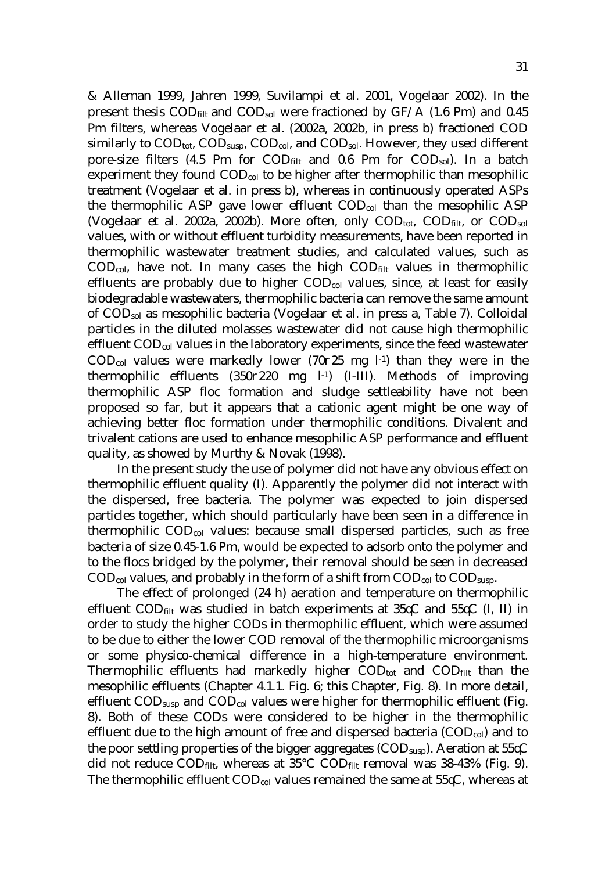& Alleman 1999, Jahren 1999, Suvilampi et al. 2001, Vogelaar 2002). In the present thesis  $\text{COD}_{\text{filt}}$  and  $\text{COD}_{\text{sol}}$  were fractioned by GF/A (1.6 cm) and 0.45 Pm filters, whereas Vogelaar et al. (2002a, 2002b, in press b) fractioned COD similarly to COD<sub>tot</sub>, COD<sub>susp</sub>, COD<sub>col</sub>, and COD<sub>sol</sub>. However, they used different pore-size filters (4.5  $\sigma$ m for COD<sub>filt</sub> and 0.6  $\sigma$ m for COD<sub>sol</sub>). In a batch experiment they found  $\text{COD}_{\text{col}}$  to be higher after thermophilic than mesophilic treatment (Vogelaar et al. in press b), whereas in continuously operated ASPs the thermophilic ASP gave lower effluent CODcol than the mesophilic ASP (Vogelaar et al. 2002a, 2002b). More often, only  $\text{COD}_{\text{tot}}$ ,  $\text{COD}_{\text{filt}}$ , or  $\text{COD}_{\text{sol}}$ values, with or without effluent turbidity measurements, have been reported in thermophilic wastewater treatment studies, and calculated values, such as  $\text{COD}_{\text{col}}$ , have not. In many cases the high  $\text{COD}_{\text{filt}}$  values in thermophilic effluents are probably due to higher  $\text{COD}_{\text{col}}$  values, since, at least for easily biodegradable wastewaters, thermophilic bacteria can remove the same amount of CODsol as mesophilic bacteria (Vogelaar et al. in press a, Table 7). Colloidal particles in the diluted molasses wastewater did not cause high thermophilic effluent CODcol values in the laboratory experiments, since the feed wastewater  $\text{COD}_{\text{col}}$  values were markedly lower (70 $\partial$ 25 mg l<sup>-1</sup>) than they were in the thermophilic effluents  $(350\partial220 \text{ mg} l^{-1})$  (I-III). Methods of improving thermophilic ASP floc formation and sludge settleability have not been proposed so far, but it appears that a cationic agent might be one way of achieving better floc formation under thermophilic conditions. Divalent and trivalent cations are used to enhance mesophilic ASP performance and effluent quality, as showed by Murthy & Novak (1998).

 In the present study the use of polymer did not have any obvious effect on thermophilic effluent quality (I). Apparently the polymer did not interact with the dispersed, free bacteria. The polymer was expected to join dispersed particles together, which should particularly have been seen in a difference in thermophilic CODcol values: because small dispersed particles, such as free bacteria of size  $0.45$ -1.6  $\sigma$ m, would be expected to adsorb onto the polymer and to the flocs bridged by the polymer, their removal should be seen in decreased  $\text{COD}_{\text{col}}$  values, and probably in the form of a shift from  $\text{COD}_{\text{col}}$  to  $\text{COD}_{\text{susp}}$ .

 The effect of prolonged (24 h) aeration and temperature on thermophilic effluent COD<sub>filt</sub> was studied in batch experiments at  $35\text{C}$  and  $55\text{C}$  (I, II) in order to study the higher CODs in thermophilic effluent, which were assumed to be due to either the lower COD removal of the thermophilic microorganisms or some physico-chemical difference in a high-temperature environment. Thermophilic effluents had markedly higher  $\text{COD}_{\text{tot}}$  and  $\text{COD}_{\text{filt}}$  than the mesophilic effluents (Chapter 4.1.1. Fig. 6; this Chapter, Fig. 8). In more detail, effluent  $\text{COD}_{\text{susp}}$  and  $\text{COD}_{\text{col}}$  values were higher for thermophilic effluent (Fig. 8). Both of these CODs were considered to be higher in the thermophilic effluent due to the high amount of free and dispersed bacteria  $(COD_{col})$  and to the poor settling properties of the bigger aggregates ( $\text{COD}_{\text{susp}}$ ). Aeration at 55 $\mathcal{K}$ did not reduce COD<sub>filt</sub>, whereas at  $35^{\circ}$ C COD<sub>filt</sub> removal was  $38-43\%$  (Fig. 9). The thermophilic effluent COD<sub>col</sub> values remained the same at 55 $\mathcal{K}$ , whereas at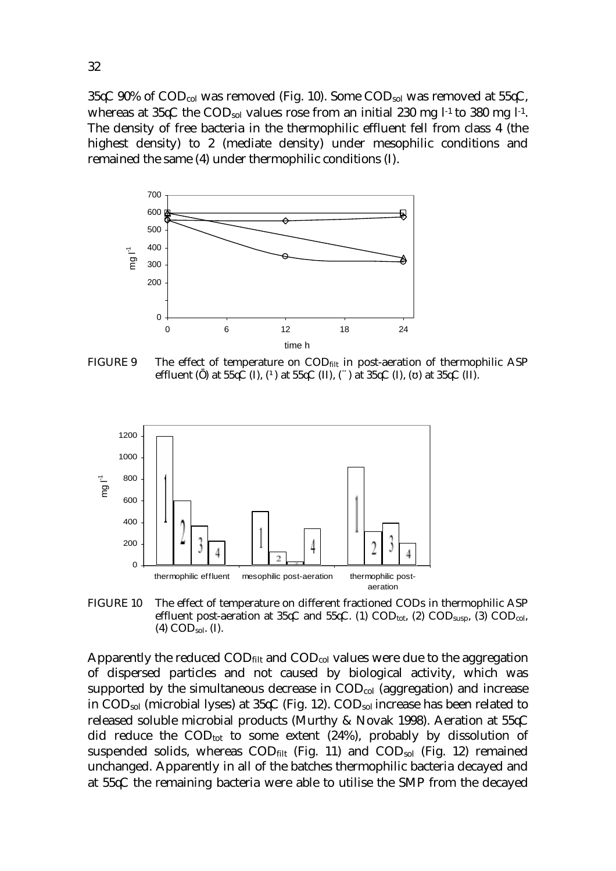35 $\mathcal{C}$  90% of COD<sub>col</sub> was removed (Fig. 10). Some COD<sub>sol</sub> was removed at 55 $\mathcal{C}$ , whereas at  $35\mathcal{K}$  the COD<sub>sol</sub> values rose from an initial 230 mg l<sup>-1</sup> to 380 mg l<sup>-1</sup>. The density of free bacteria in the thermophilic effluent fell from class 4 (the highest density) to 2 (mediate density) under mesophilic conditions and remained the same (4) under thermophilic conditions (I).



FIGURE 9 The effect of temperature on COD<sub>filt</sub> in post-aeration of thermophilic ASP effluent ( ) at  $55\overline{C}$  (I), ( $\overline{O}$  at  $55\overline{C}$  (II), ( $\overline{A}$ ) at  $35\overline{C}$  (I), ( ) at  $35\overline{C}$  (II).



FIGURE 10 The effect of temperature on different fractioned CODs in thermophilic ASP effluent post-aeration at  $35\mathcal{C}$  and  $55\mathcal{C}$ . (1)  $\text{COD}_{\text{tot}}$ , (2)  $\text{COD}_{\text{susp}}$ , (3)  $\text{COD}_{\text{col}}$ ,  $(4)$  COD<sub>sol</sub>. (I).

Apparently the reduced  $\text{COD}_{\text{filt}}$  and  $\text{COD}_{\text{col}}$  values were due to the aggregation of dispersed particles and not caused by biological activity, which was supported by the simultaneous decrease in  $\text{COD}_{\text{col}}$  (aggregation) and increase in COD<sub>sol</sub> (microbial lyses) at  $35\mathcal{C}$  (Fig. 12). COD<sub>sol</sub> increase has been related to released soluble microbial products (Murthy & Novak 1998). Aeration at  $55\text{C}$ did reduce the  $\text{COD}_{\text{tot}}$  to some extent (24%), probably by dissolution of suspended solids, whereas CODfilt (Fig. 11) and CODsol (Fig. 12) remained unchanged. Apparently in all of the batches thermophilic bacteria decayed and at  $55\text{C}$  the remaining bacteria were able to utilise the SMP from the decayed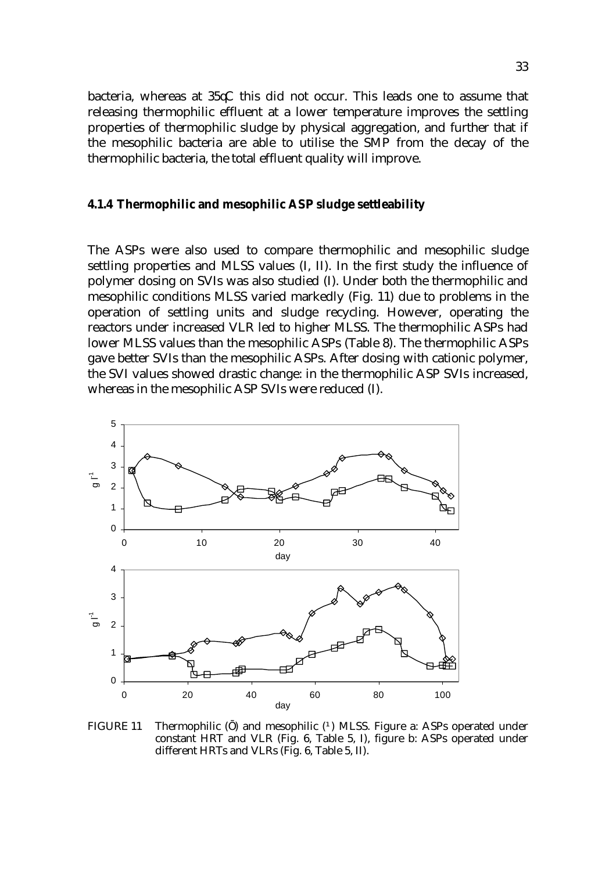bacteria, whereas at  $35\mathcal{C}$  this did not occur. This leads one to assume that releasing thermophilic effluent at a lower temperature improves the settling properties of thermophilic sludge by physical aggregation, and further that if the mesophilic bacteria are able to utilise the SMP from the decay of the thermophilic bacteria, the total effluent quality will improve.

#### **4.1.4 Thermophilic and mesophilic ASP sludge settleability**

The ASPs were also used to compare thermophilic and mesophilic sludge settling properties and MLSS values (I, II). In the first study the influence of polymer dosing on SVIs was also studied (I). Under both the thermophilic and mesophilic conditions MLSS varied markedly (Fig. 11) due to problems in the operation of settling units and sludge recycling. However, operating the reactors under increased VLR led to higher MLSS. The thermophilic ASPs had lower MLSS values than the mesophilic ASPs (Table 8). The thermophilic ASPs gave better SVIs than the mesophilic ASPs. After dosing with cationic polymer, the SVI values showed drastic change: in the thermophilic ASP SVIs increased, whereas in the mesophilic ASP SVIs were reduced (I).



FIGURE 11 Thermophilic ( ) and mesophilic ( ) MLSS. Figure a: ASPs operated under constant HRT and VLR (Fig. 6, Table 5, I), figure b: ASPs operated under different HRTs and VLRs (Fig. 6, Table 5, II).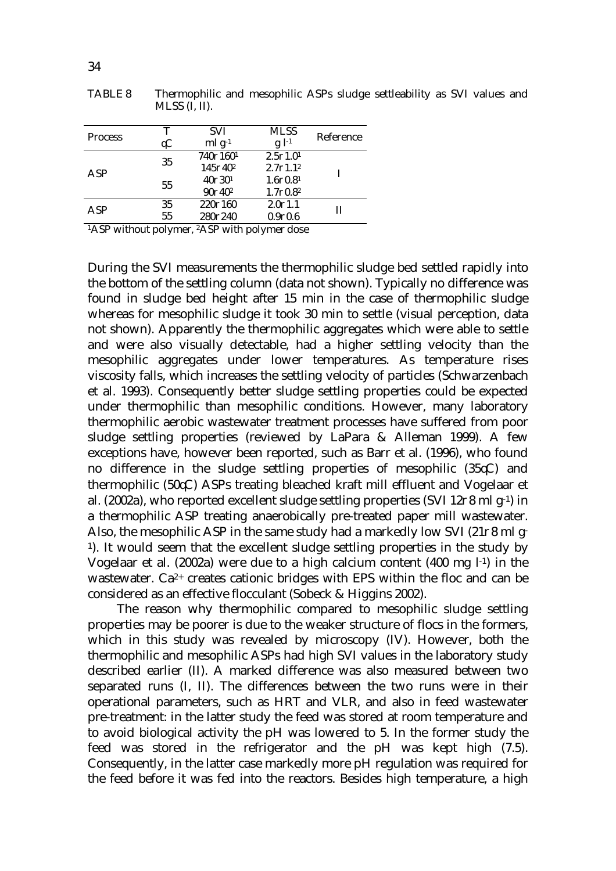| <b>Process</b> | т              | <b>SVI</b>                      | <b>MLSS</b>          | Reference |
|----------------|----------------|---------------------------------|----------------------|-----------|
|                | AC             | $mlg^{-1}$                      | $g$ $l^{-1}$         |           |
| ASP            | 35             | 740∂1601                        | $2.5\partial1.01$    |           |
|                |                | 145∂40 <sup>2</sup>             | $2.7\partial 1.1^2$  |           |
|                | 55             | $40\partial 30^1$               | $1.6 \partial 0.8^1$ |           |
|                |                | 90 <sub>0</sub> 40 <sup>2</sup> | $1.7\partial 0.8^2$  |           |
| ASP            | 35             | 220∂160                         | 2.001.1              | Н         |
|                | 55             | 280∂240                         | 0.900.6              |           |
| $1$ A $CD$     | $\cdots$<br>п. | $\cdots$<br>$9$ A $CD$          |                      |           |

TABLE 8 Thermophilic and mesophilic ASPs sludge settleability as SVI values and MLSS (I, II).

1ASP without polymer, 2ASP with polymer dose

During the SVI measurements the thermophilic sludge bed settled rapidly into the bottom of the settling column (data not shown). Typically no difference was found in sludge bed height after 15 min in the case of thermophilic sludge whereas for mesophilic sludge it took 30 min to settle (visual perception, data not shown). Apparently the thermophilic aggregates which were able to settle and were also visually detectable, had a higher settling velocity than the mesophilic aggregates under lower temperatures. As temperature rises viscosity falls, which increases the settling velocity of particles (Schwarzenbach et al. 1993). Consequently better sludge settling properties could be expected under thermophilic than mesophilic conditions. However, many laboratory thermophilic aerobic wastewater treatment processes have suffered from poor sludge settling properties (reviewed by LaPara & Alleman 1999). A few exceptions have, however been reported, such as Barr et al. (1996), who found no difference in the sludge settling properties of mesophilic  $(35\text{C})$  and thermophilic (50<sup>\</sup>C) ASPs treating bleached kraft mill effluent and Vogelaar et al. (2002a), who reported excellent sludge settling properties (SVI 12 $\partial$ 8 ml g<sup>-1</sup>) in a thermophilic ASP treating anaerobically pre-treated paper mill wastewater. Also, the mesophilic ASP in the same study had a markedly low SVI (21 $\partial$ 8 ml g-1). It would seem that the excellent sludge settling properties in the study by Vogelaar et al. (2002a) were due to a high calcium content (400 mg  $l<sup>-1</sup>$ ) in the wastewater. Ca<sup>2+</sup> creates cationic bridges with EPS within the floc and can be considered as an effective flocculant (Sobeck & Higgins 2002).

 The reason why thermophilic compared to mesophilic sludge settling properties may be poorer is due to the weaker structure of flocs in the formers, which in this study was revealed by microscopy (IV). However, both the thermophilic and mesophilic ASPs had high SVI values in the laboratory study described earlier (II). A marked difference was also measured between two separated runs (I, II). The differences between the two runs were in their operational parameters, such as HRT and VLR, and also in feed wastewater pre-treatment: in the latter study the feed was stored at room temperature and to avoid biological activity the pH was lowered to 5. In the former study the feed was stored in the refrigerator and the pH was kept high (7.5). Consequently, in the latter case markedly more pH regulation was required for the feed before it was fed into the reactors. Besides high temperature, a high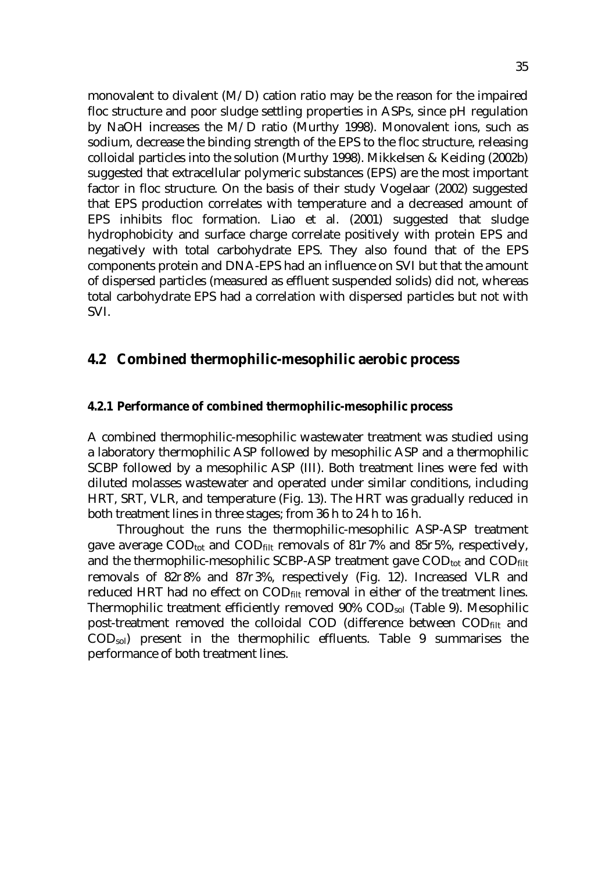monovalent to divalent (M/D) cation ratio may be the reason for the impaired floc structure and poor sludge settling properties in ASPs, since pH regulation by NaOH increases the M/D ratio (Murthy 1998). Monovalent ions, such as sodium, decrease the binding strength of the EPS to the floc structure, releasing colloidal particles into the solution (Murthy 1998). Mikkelsen & Keiding (2002b) suggested that extracellular polymeric substances (EPS) are the most important factor in floc structure. On the basis of their study Vogelaar (2002) suggested that EPS production correlates with temperature and a decreased amount of EPS inhibits floc formation. Liao et al. (2001) suggested that sludge hydrophobicity and surface charge correlate positively with protein EPS and negatively with total carbohydrate EPS. They also found that of the EPS components protein and DNA-EPS had an influence on SVI but that the amount of dispersed particles (measured as effluent suspended solids) did not, whereas total carbohydrate EPS had a correlation with dispersed particles but not with SVI.

#### **4.2 Combined thermophilic-mesophilic aerobic process**

#### **4.2.1 Performance of combined thermophilic-mesophilic process**

A combined thermophilic-mesophilic wastewater treatment was studied using a laboratory thermophilic ASP followed by mesophilic ASP and a thermophilic SCBP followed by a mesophilic ASP (III). Both treatment lines were fed with diluted molasses wastewater and operated under similar conditions, including HRT, SRT, VLR, and temperature (Fig. 13). The HRT was gradually reduced in both treatment lines in three stages; from 36 h to 24 h to 16 h.

 Throughout the runs the thermophilic-mesophilic ASP-ASP treatment gave average COD<sub>tot</sub> and COD<sub>filt</sub> removals of 81 $\partial$ 7% and 85 $\partial$ 5%, respectively, and the thermophilic-mesophilic SCBP-ASP treatment gave COD<sub>tot</sub> and COD<sub>filt</sub> removals of 82 $\partial$ 8% and 87 $\partial$ 3%, respectively (Fig. 12). Increased VLR and reduced HRT had no effect on COD<sub>filt</sub> removal in either of the treatment lines. Thermophilic treatment efficiently removed 90% CODsol (Table 9). Mesophilic post-treatment removed the colloidal COD (difference between COD<sub>filt</sub> and CODsol) present in the thermophilic effluents. Table 9 summarises the performance of both treatment lines.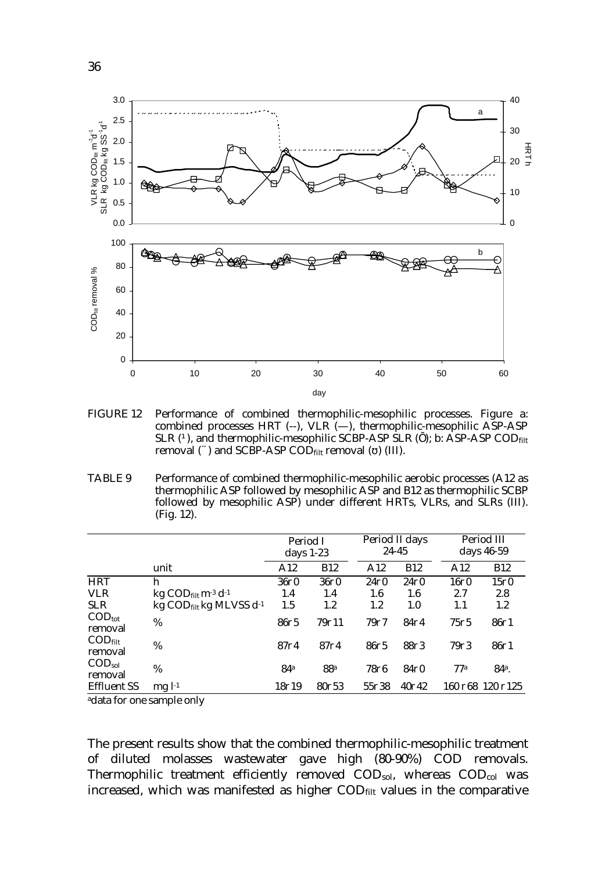

FIGURE 12 Performance of combined thermophilic-mesophilic processes. Figure a: combined processes HRT  $(-)$ , VLR  $(-)$ , thermophilic-mesophilic ASP-ASP SLR  $(\acute{O})$ , and thermophilic-mesophilic SCBP-ASP SLR ( ); b: ASP-ASP CODfilt removal ( $\hat{A}$ ) and SCBP-ASP COD<sub>filt</sub> removal ( ) (III).

TABLE 9 Performance of combined thermophilic-mesophilic aerobic processes (A12 as thermophilic ASP followed by mesophilic ASP and B12 as thermophilic SCBP followed by mesophilic ASP) under different HRTs, VLRs, and SLRs (III). (Fig. 12).

|                                         |                                                               | Period I<br>days $1-23$ |                 | Period II days<br>24-45 |            |                | Period III<br>days 46-59             |
|-----------------------------------------|---------------------------------------------------------------|-------------------------|-----------------|-------------------------|------------|----------------|--------------------------------------|
|                                         | unit                                                          | A12                     | <b>B12</b>      | A12                     | <b>B12</b> | A12            | <b>B12</b>                           |
| <b>HRT</b>                              | h                                                             | 36∂0                    | 3600            | 2400                    | 2400       | 16∂0           | 15∂0                                 |
| <b>VLR</b>                              | kg $\text{COD}_{\text{filt}}$ m <sup>-3</sup> d <sup>-1</sup> | 1.4                     | 1.4             | 1.6                     | 1.6        | 2.7            | 2.8                                  |
| <b>SLR</b>                              | $kg$ COD <sub>filt</sub> kg MLVSS $d^{-1}$                    | 1.5                     | 1.2             | $1.2\,$                 | 1.0        | 1.1            | 1.2                                  |
| $\mathrm{COD}_\mathrm{tot}$<br>removal  | $\%$                                                          | $86\partial5$           | 79711           | 7977                    | 84∂4       | $75\partial 5$ | 8601                                 |
| $\mathrm{COD}_{\text{filt}}$<br>removal | %                                                             | 8774                    | 8774            | 8675                    | 8873       | 7973           | 8601                                 |
| $\text{COD}_{\text{sol}}$<br>removal    | %                                                             | 84a                     | 88 <sup>a</sup> | 7876                    | 84∂0       | 77a            | 84 <sup>a</sup> .                    |
| <b>Effluent SS</b>                      | $mgl1}$                                                       | 18719                   | 80753           | 55∂38                   | 40042      |                | $160 \partial 68$ 120 $\partial 125$ |

adata for one sample only

The present results show that the combined thermophilic-mesophilic treatment of diluted molasses wastewater gave high (80-90%) COD removals. Thermophilic treatment efficiently removed  $\text{COD}_{sol}$ , whereas  $\text{COD}_{col}$  was increased, which was manifested as higher CODfilt values in the comparative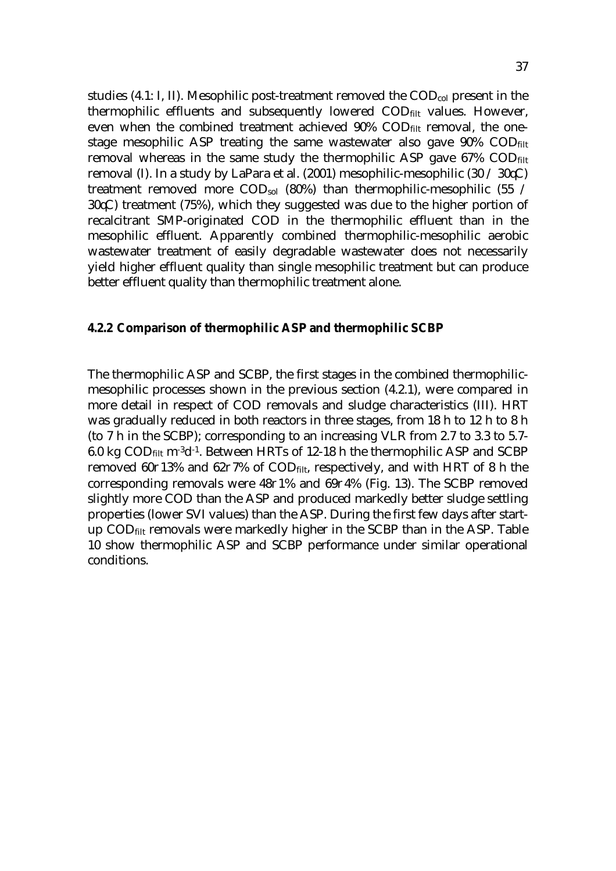studies (4.1: I, II). Mesophilic post-treatment removed the  $\text{COD}_{\text{col}}$  present in the thermophilic effluents and subsequently lowered COD<sub>filt</sub> values. However, even when the combined treatment achieved 90% CODfilt removal, the onestage mesophilic ASP treating the same wastewater also gave 90% CODfilt removal whereas in the same study the thermophilic ASP gave  $67\%$  COD $_{\text{filt}}$ removal (I). In a study by LaPara et al. (2001) mesophilic-mesophilic (30  $\div$  30  $\times$ ) treatment removed more COD<sub>sol</sub> (80%) than thermophilic-mesophilic (55 /  $30\text{\AA}$ ) treatment (75%), which they suggested was due to the higher portion of recalcitrant SMP-originated COD in the thermophilic effluent than in the mesophilic effluent. Apparently combined thermophilic-mesophilic aerobic wastewater treatment of easily degradable wastewater does not necessarily yield higher effluent quality than single mesophilic treatment but can produce better effluent quality than thermophilic treatment alone.

#### **4.2.2 Comparison of thermophilic ASP and thermophilic SCBP**

The thermophilic ASP and SCBP, the first stages in the combined thermophilicmesophilic processes shown in the previous section (4.2.1), were compared in more detail in respect of COD removals and sludge characteristics (III). HRT was gradually reduced in both reactors in three stages, from 18 h to 12 h to 8 h (to 7 h in the SCBP); corresponding to an increasing VLR from 2.7 to 3.3 to 5.7- 6.0 kg  $\text{COD}_{\text{filt}}$  m<sup>-3</sup>d<sup>-1</sup>. Between HRTs of 12-18 h the thermophilic ASP and SCBP removed 60 $\partial$ 13% and 62 $\partial$ 7% of COD<sub>filt</sub>, respectively, and with HRT of 8 h the corresponding removals were  $48\partial$ 1% and  $69\partial$ 4% (Fig. 13). The SCBP removed slightly more COD than the ASP and produced markedly better sludge settling properties (lower SVI values) than the ASP. During the first few days after startup  $\text{COD}_{\text{filt}}$  removals were markedly higher in the SCBP than in the ASP. Table 10 show thermophilic ASP and SCBP performance under similar operational conditions.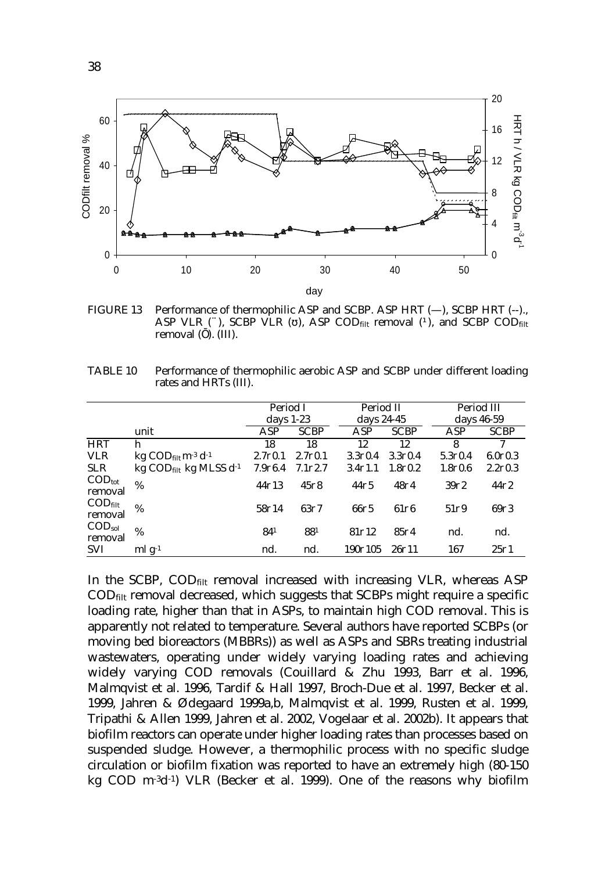

FIGURE 13 Performance of thermophilic ASP and SCBP. ASP HRT (—), SCBP HRT (--)., ASP VLR  $(\hat{A})$ , SCBP VLR  $($  ), ASP CODfilt removal  $(\hat{O})$ , and SCBP CODfilt removal ( ). (III).

TABLE 10 Performance of thermophilic aerobic ASP and SCBP under different loading rates and HRTs (III).

|                                          |                                                               | Period I<br>days $1-23$ |                      | Period II<br>days 24-45 |                   | Period III<br>days 46-59 |               |
|------------------------------------------|---------------------------------------------------------------|-------------------------|----------------------|-------------------------|-------------------|--------------------------|---------------|
|                                          | unit                                                          | ASP                     | <b>SCBP</b>          | ASP                     | <b>SCBP</b>       | <b>ASP</b>               | <b>SCBP</b>   |
| <b>HRT</b>                               | h                                                             | 18                      | 18                   | 12                      | 12                | 8                        | 7             |
| <b>VLR</b>                               | kg $\text{COD}_{\text{filt}}$ m <sup>-3</sup> d <sup>-1</sup> | $2.7\partial 0.1$       | $2.7\partial 0.1$    | 3.300.4                 | 3.300.4           | 5.300.4                  | 6.000.3       |
| <b>SLR</b>                               | $kg$ COD <sub>filt</sub> kg MLSS $d^{-1}$                     | 7.9 <sub>06.4</sub>     | 7.1 <sub>0</sub> 2.7 | $3.4\partial1.1$        | 1.800.2           | 1.800.6                  | 2.200.3       |
| $\mathrm{COD}_\mathrm{tot}$<br>removal   | %                                                             | $44\partial 13$         | $45\partial 8$       | $44\partial 5$          | 4874              | 39 <sub>0</sub> 2        | 4422          |
| $\mathrm{COD}_{\text{filt}}$<br>removal  | %                                                             | 58714                   | $63\partial7$        | 6605                    | $61\overline{06}$ | $51\overline{0}9$        | 6973          |
| $\mathrm{COD}_{\mathrm{sol}}$<br>removal | %                                                             | 841                     | 881                  | 81 <sub>0</sub> 12      | 8504              | nd.                      | nd.           |
| <b>SVI</b>                               | $mlg^{-1}$                                                    | nd.                     | nd.                  | 1907105                 | $26\partial 11$   | 167                      | $25\partial1$ |

In the SCBP, COD<sub>filt</sub> removal increased with increasing VLR, whereas ASP CODfilt removal decreased, which suggests that SCBPs might require a specific loading rate, higher than that in ASPs, to maintain high COD removal. This is apparently not related to temperature. Several authors have reported SCBPs (or moving bed bioreactors (MBBRs)) as well as ASPs and SBRs treating industrial wastewaters, operating under widely varying loading rates and achieving widely varying COD removals (Couillard & Zhu 1993, Barr et al. 1996, Malmqvist et al. 1996, Tardif & Hall 1997, Broch-Due et al. 1997, Becker et al. 1999, Jahren & Ødegaard 1999a,b, Malmqvist et al. 1999, Rusten et al. 1999, Tripathi & Allen 1999, Jahren et al. 2002, Vogelaar et al. 2002b). It appears that biofilm reactors can operate under higher loading rates than processes based on suspended sludge. However, a thermophilic process with no specific sludge circulation or biofilm fixation was reported to have an extremely high (80-150 kg COD m-3d-1) VLR (Becker et al. 1999). One of the reasons why biofilm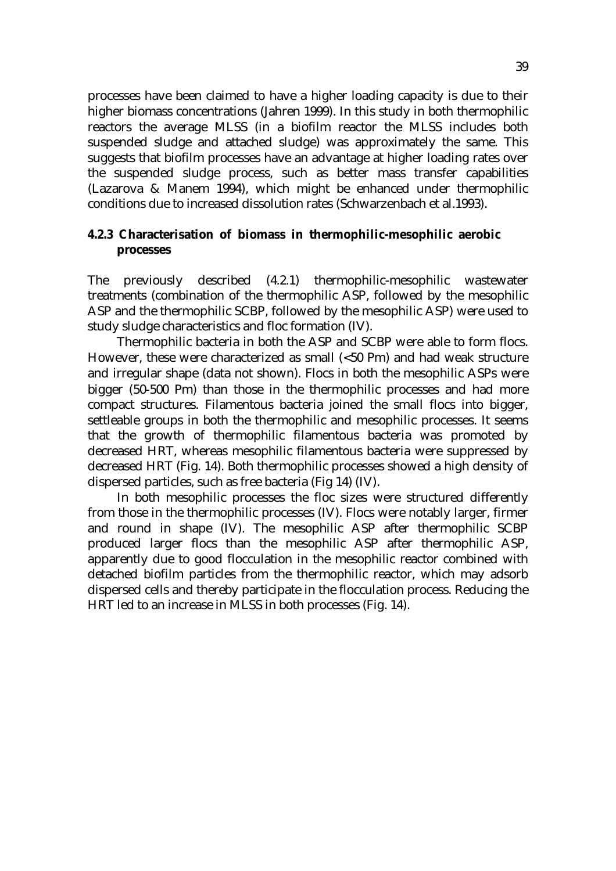processes have been claimed to have a higher loading capacity is due to their higher biomass concentrations (Jahren 1999). In this study in both thermophilic reactors the average MLSS (in a biofilm reactor the MLSS includes both suspended sludge and attached sludge) was approximately the same. This suggests that biofilm processes have an advantage at higher loading rates over the suspended sludge process, such as better mass transfer capabilities (Lazarova & Manem 1994), which might be enhanced under thermophilic conditions due to increased dissolution rates (Schwarzenbach et al.1993).

#### **4.2.3 Characterisation of biomass in thermophilic-mesophilic aerobic processes**

The previously described (4.2.1) thermophilic-mesophilic wastewater treatments (combination of the thermophilic ASP, followed by the mesophilic ASP and the thermophilic SCBP, followed by the mesophilic ASP) were used to study sludge characteristics and floc formation (IV).

 Thermophilic bacteria in both the ASP and SCBP were able to form flocs. However, these were characterized as small  $(<50$   $\sigma$ m) and had weak structure and irregular shape (data not shown). Flocs in both the mesophilic ASPs were bigger  $(50-500)$  cm) than those in the thermophilic processes and had more compact structures. Filamentous bacteria joined the small flocs into bigger, settleable groups in both the thermophilic and mesophilic processes. It seems that the growth of thermophilic filamentous bacteria was promoted by decreased HRT, whereas mesophilic filamentous bacteria were suppressed by decreased HRT (Fig. 14). Both thermophilic processes showed a high density of dispersed particles, such as free bacteria (Fig 14) (IV).

 In both mesophilic processes the floc sizes were structured differently from those in the thermophilic processes (IV). Flocs were notably larger, firmer and round in shape (IV). The mesophilic ASP after thermophilic SCBP produced larger flocs than the mesophilic ASP after thermophilic ASP, apparently due to good flocculation in the mesophilic reactor combined with detached biofilm particles from the thermophilic reactor, which may adsorb dispersed cells and thereby participate in the flocculation process. Reducing the HRT led to an increase in MLSS in both processes (Fig. 14).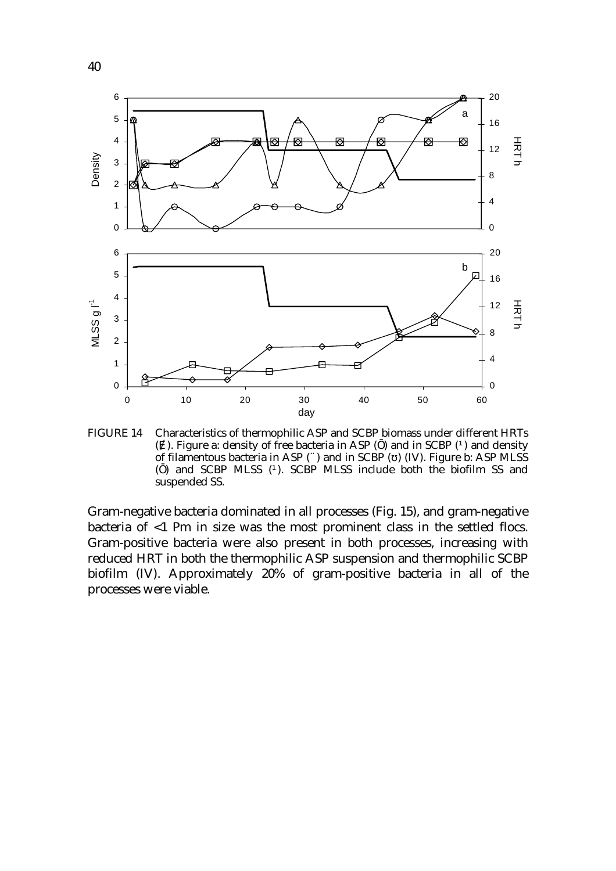

FIGURE 14 Characteristics of thermophilic ASP and SCBP biomass under different HRTs ( ). Figure a: density of free bacteria in ASP ( ) and in SCBP ( $\acute{O}$  and density of filamentous bacteria in ASP  $(\hat{A})$  and in SCBP ( ) (IV). Figure b: ASP MLSS ( ) and SCBP MLSS (Q. SCBP MLSS include both the biofilm SS and suspended SS.

Gram-negative bacteria dominated in all processes (Fig. 15), and gram-negative bacteria of  $\leq 1$   $\sigma$ m in size was the most prominent class in the settled flocs. Gram-positive bacteria were also present in both processes, increasing with reduced HRT in both the thermophilic ASP suspension and thermophilic SCBP biofilm (IV). Approximately 20% of gram-positive bacteria in all of the processes were viable.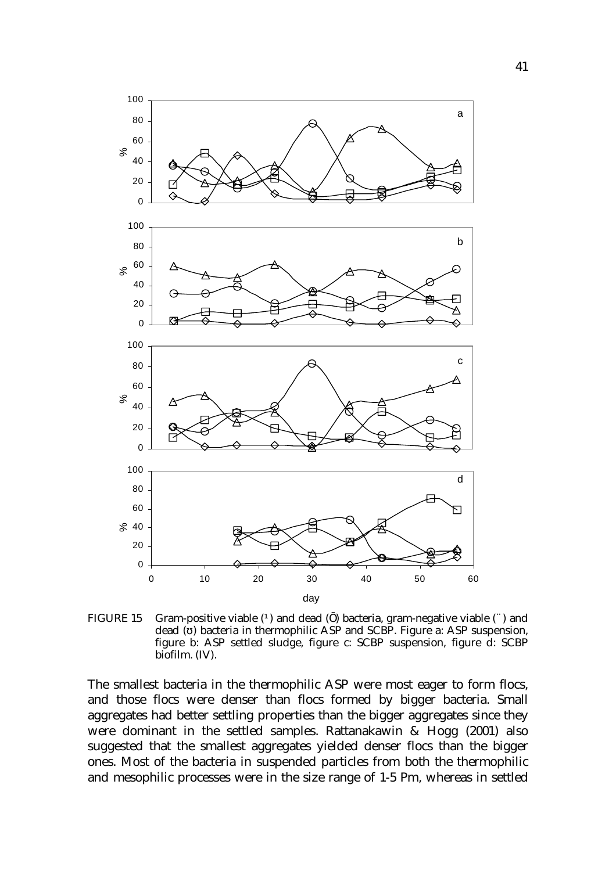

FIGURE 15 Gram-positive viable  $(①$  and dead  $( )$  bacteria, gram-negative viable  $(①$  and dead ( ) bacteria in thermophilic ASP and SCBP. Figure a: ASP suspension, figure b: ASP settled sludge, figure c: SCBP suspension, figure d: SCBP biofilm. (IV).

The smallest bacteria in the thermophilic ASP were most eager to form flocs, and those flocs were denser than flocs formed by bigger bacteria. Small aggregates had better settling properties than the bigger aggregates since they were dominant in the settled samples. Rattanakawin & Hogg (2001) also suggested that the smallest aggregates yielded denser flocs than the bigger ones. Most of the bacteria in suspended particles from both the thermophilic and mesophilic processes were in the size range of  $1-5$   $\sigma$ m, whereas in settled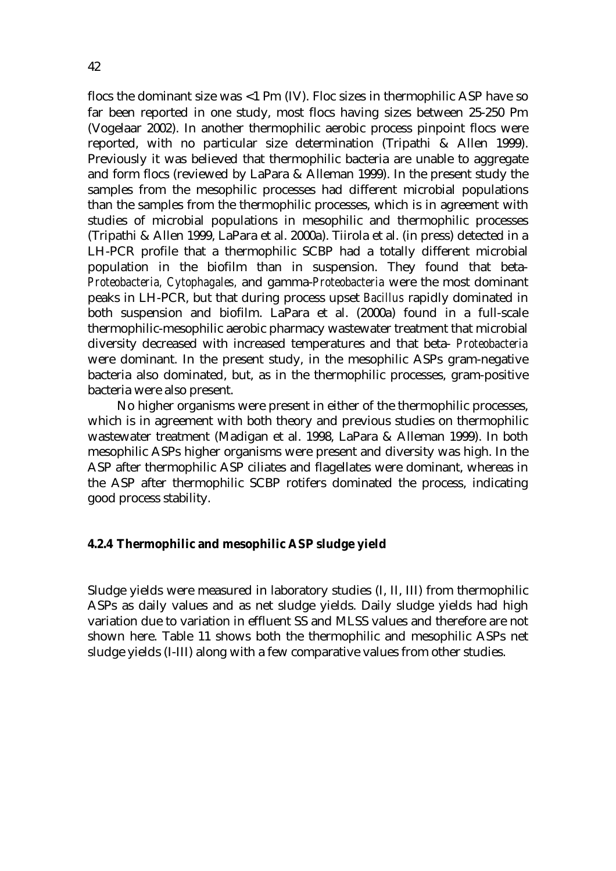flocs the dominant size was  $<$ 1  $\sigma$ m (IV). Floc sizes in thermophilic ASP have so far been reported in one study, most flocs having sizes between  $25-250$   $\sigma$ m (Vogelaar 2002). In another thermophilic aerobic process pinpoint flocs were reported, with no particular size determination (Tripathi & Allen 1999). Previously it was believed that thermophilic bacteria are unable to aggregate and form flocs (reviewed by LaPara & Alleman 1999). In the present study the samples from the mesophilic processes had different microbial populations than the samples from the thermophilic processes, which is in agreement with studies of microbial populations in mesophilic and thermophilic processes (Tripathi & Allen 1999, LaPara et al. 2000a). Tiirola et al. (in press) detected in a LH-PCR profile that a thermophilic SCBP had a totally different microbial population in the biofilm than in suspension. They found that beta-*Proteobacteria, Cytophagales,* and gamma-*Proteobacteria* were the most dominant peaks in LH-PCR, but that during process upset *Bacillus* rapidly dominated in both suspension and biofilm. LaPara et al. (2000a) found in a full-scale thermophilic-mesophilic aerobic pharmacy wastewater treatment that microbial diversity decreased with increased temperatures and that beta- *Proteobacteria* were dominant. In the present study, in the mesophilic ASPs gram-negative bacteria also dominated, but, as in the thermophilic processes, gram-positive bacteria were also present.

 No higher organisms were present in either of the thermophilic processes, which is in agreement with both theory and previous studies on thermophilic wastewater treatment (Madigan et al. 1998, LaPara & Alleman 1999). In both mesophilic ASPs higher organisms were present and diversity was high. In the ASP after thermophilic ASP ciliates and flagellates were dominant, whereas in the ASP after thermophilic SCBP rotifers dominated the process, indicating good process stability.

#### **4.2.4 Thermophilic and mesophilic ASP sludge yield**

Sludge yields were measured in laboratory studies (I, II, III) from thermophilic ASPs as daily values and as net sludge yields. Daily sludge yields had high variation due to variation in effluent SS and MLSS values and therefore are not shown here. Table 11 shows both the thermophilic and mesophilic ASPs net sludge yields (I-III) along with a few comparative values from other studies.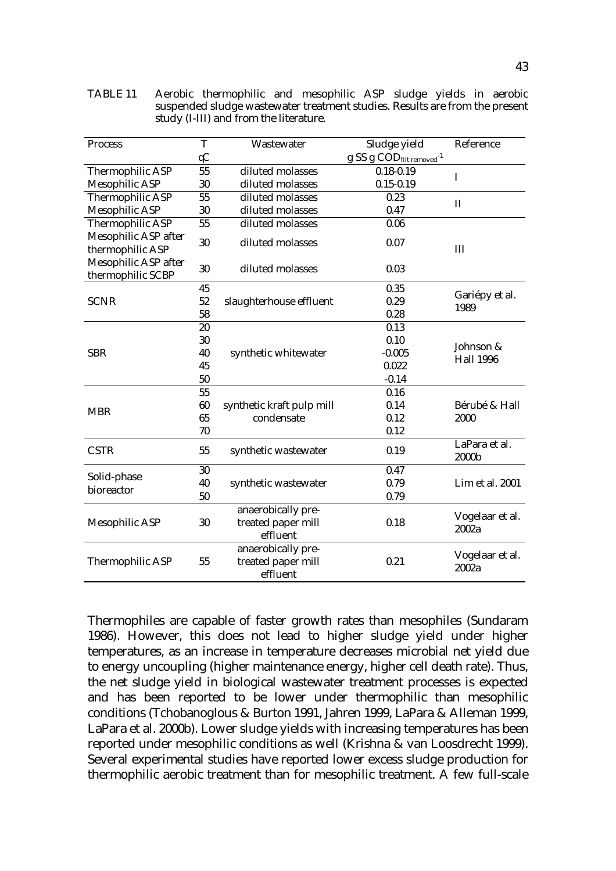| <b>Process</b>                            | T             | Wastewater                                           | Sludge yield                         | Reference                     |  |
|-------------------------------------------|---------------|------------------------------------------------------|--------------------------------------|-------------------------------|--|
|                                           | $\mathcal{A}$ |                                                      | g SS g CODfilt removed <sup>-1</sup> |                               |  |
| Thermophilic ASP                          | 55            | diluted molasses                                     | $0.18 - 0.19$                        | I                             |  |
| <b>Mesophilic ASP</b>                     | 30            | diluted molasses                                     | $0.15 - 0.19$                        |                               |  |
| <b>Thermophilic ASP</b>                   | 55            | diluted molasses                                     | 0.23                                 | $\mathbf{I}$                  |  |
| <b>Mesophilic ASP</b>                     | 30            | diluted molasses                                     | 0.47                                 |                               |  |
| <b>Thermophilic ASP</b>                   | 55            | diluted molasses                                     | 0.06                                 |                               |  |
| Mesophilic ASP after<br>thermophilic ASP  | 30            | diluted molasses                                     | 0.07                                 | III                           |  |
| Mesophilic ASP after<br>thermophilic SCBP | 30            | diluted molasses<br>0.03                             |                                      |                               |  |
|                                           | 45            |                                                      | 0.35                                 |                               |  |
| <b>SCNR</b>                               | 52            | slaughterhouse effluent                              | 0.29                                 | Gariépy et al.<br>1989        |  |
|                                           | 58            |                                                      | 0.28                                 |                               |  |
|                                           | 20            |                                                      | 0.13                                 |                               |  |
|                                           | 30            |                                                      | 0.10                                 | Johnson &<br><b>Hall 1996</b> |  |
| <b>SBR</b>                                | 40            | synthetic whitewater                                 | $-0.005$                             |                               |  |
|                                           | 45            |                                                      | 0.022                                |                               |  |
|                                           | 50            |                                                      | $-0.14$                              |                               |  |
|                                           | 55            |                                                      | 0.16                                 |                               |  |
|                                           | 60            | synthetic kraft pulp mill                            | 0.14                                 | Bérubé & Hall                 |  |
| <b>MBR</b>                                | 65            | condensate                                           | 0.12                                 | 2000                          |  |
|                                           | 70            |                                                      | 0.12                                 |                               |  |
| <b>CSTR</b>                               | 55            | synthetic wastewater                                 | 0.19                                 | LaPara et al.<br>2000b        |  |
|                                           | 30            |                                                      | 0.47                                 |                               |  |
| Solid-phase                               | 40            | synthetic wastewater                                 | 0.79                                 | Lim et al. 2001               |  |
| bioreactor                                | 50            |                                                      | 0.79                                 |                               |  |
| <b>Mesophilic ASP</b>                     | 30            | anaerobically pre-<br>treated paper mill<br>effluent | 0.18                                 | Vogelaar et al.<br>2002a      |  |
| <b>Thermophilic ASP</b>                   | 55            | anaerobically pre-<br>treated paper mill<br>effluent | 0.21                                 | Vogelaar et al.<br>2002a      |  |

TABLE 11 Aerobic thermophilic and mesophilic ASP sludge yields in aerobic suspended sludge wastewater treatment studies. Results are from the present study (I-III) and from the literature.

Thermophiles are capable of faster growth rates than mesophiles (Sundaram 1986). However, this does not lead to higher sludge yield under higher temperatures, as an increase in temperature decreases microbial net yield due to energy uncoupling (higher maintenance energy, higher cell death rate). Thus, the net sludge yield in biological wastewater treatment processes is expected and has been reported to be lower under thermophilic than mesophilic conditions (Tchobanoglous & Burton 1991, Jahren 1999, LaPara & Alleman 1999, LaPara et al. 2000b). Lower sludge yields with increasing temperatures has been reported under mesophilic conditions as well (Krishna & van Loosdrecht 1999). Several experimental studies have reported lower excess sludge production for thermophilic aerobic treatment than for mesophilic treatment. A few full-scale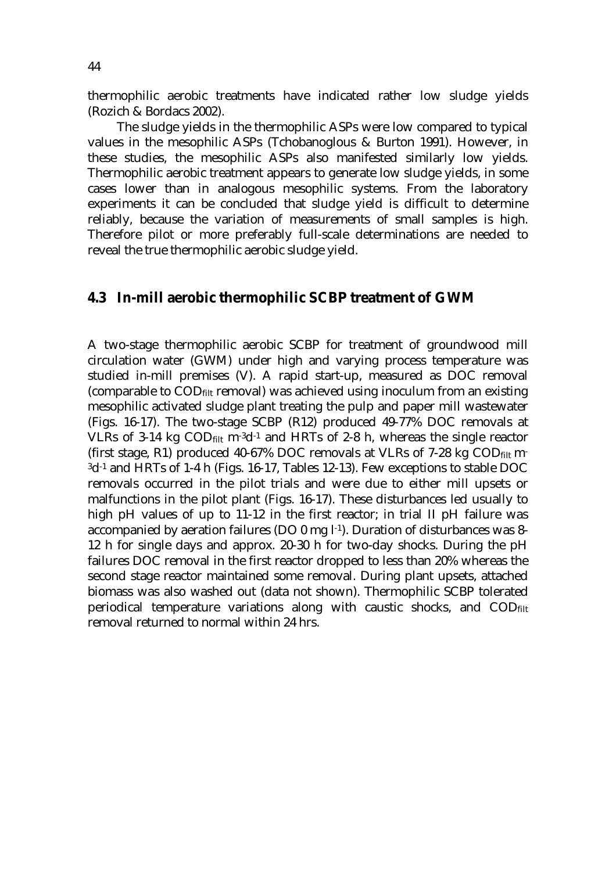thermophilic aerobic treatments have indicated rather low sludge yields (Rozich & Bordacs 2002).

 The sludge yields in the thermophilic ASPs were low compared to typical values in the mesophilic ASPs (Tchobanoglous & Burton 1991). However, in these studies, the mesophilic ASPs also manifested similarly low yields. Thermophilic aerobic treatment appears to generate low sludge yields, in some cases lower than in analogous mesophilic systems. From the laboratory experiments it can be concluded that sludge yield is difficult to determine reliably, because the variation of measurements of small samples is high. Therefore pilot or more preferably full-scale determinations are needed to reveal the true thermophilic aerobic sludge yield.

#### **4.3 In-mill aerobic thermophilic SCBP treatment of GWM**

A two-stage thermophilic aerobic SCBP for treatment of groundwood mill circulation water (GWM) under high and varying process temperature was studied in-mill premises (V). A rapid start-up, measured as DOC removal (comparable to  $\text{COD}_{\text{filt}}$  removal) was achieved using inoculum from an existing mesophilic activated sludge plant treating the pulp and paper mill wastewater (Figs. 16-17). The two-stage SCBP (R12) produced 49-77% DOC removals at VLRs of 3-14 kg  $\text{COD}_{\text{filt}}$  m<sup>-3</sup>d<sup>-1</sup> and HRTs of 2-8 h, whereas the single reactor (first stage, R1) produced 40-67% DOC removals at VLRs of 7-28 kg  $\text{COD}_{\text{filt}}$  m-3d-1 and HRTs of 1-4 h (Figs. 16-17, Tables 12-13). Few exceptions to stable DOC removals occurred in the pilot trials and were due to either mill upsets or malfunctions in the pilot plant (Figs. 16-17). These disturbances led usually to high pH values of up to 11-12 in the first reactor; in trial II pH failure was accompanied by aeration failures (DO 0 mg l-1). Duration of disturbances was 8- 12 h for single days and approx. 20-30 h for two-day shocks. During the pH failures DOC removal in the first reactor dropped to less than 20% whereas the second stage reactor maintained some removal. During plant upsets, attached biomass was also washed out (data not shown). Thermophilic SCBP tolerated periodical temperature variations along with caustic shocks, and  $\text{COD}_{\text{filt}}$ removal returned to normal within 24 hrs.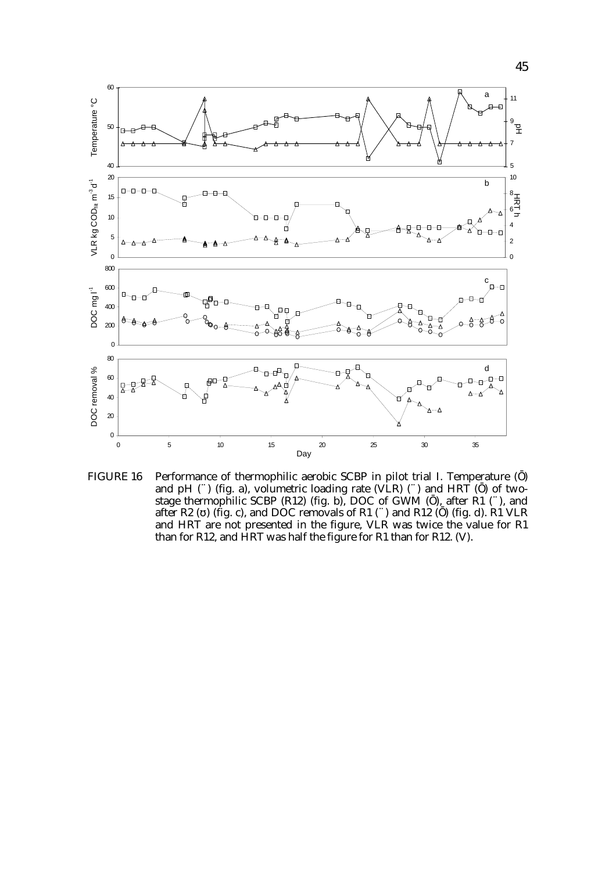

FIGURE 16 Performance of thermophilic aerobic SCBP in pilot trial I. Temperature ( ) and pH (A) (fig. a), volumetric loading rate (VLR) (A) and HRT ( ) of twostage thermophilic SCBP (R12) (fig. b), DOC of GWM (), after R1 (A), and after R2 ( ) (fig. c), and DOC removals of R1 (A) and R12 ( ) (fig. d). R1 VLR and HRT are not presented in the figure, VLR was twice the value for R1 than for R12, and HRT was half the figure for R1 than for R12. (V).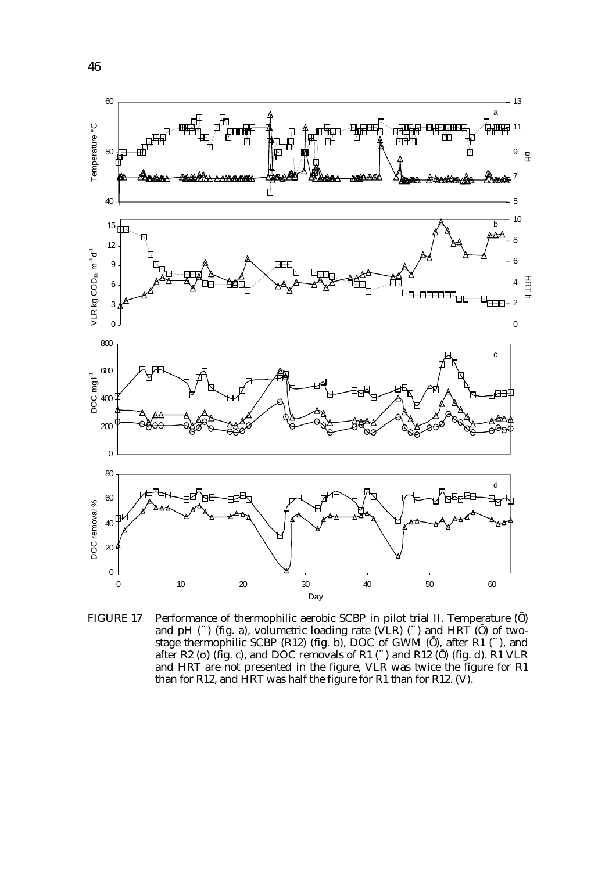

FIGURE 17 Performance of thermophilic aerobic SCBP in pilot trial II. Temperature ( ) and pH  $(\hat{A})$  (fig. a), volumetric loading rate (VLR)  $(\hat{A})$  and HRT () of twostage thermophilic SCBP (R12) (fig. b), DOC of GWM (), after R1 (A), and after R2 ( ) (fig. c), and DOC removals of R1 (A) and R12 ( ) (fig. d). R1 VLR and HRT are not presented in the figure, VLR was twice the figure for R1 than for R12, and HRT was half the figure for R1 than for R12. (V).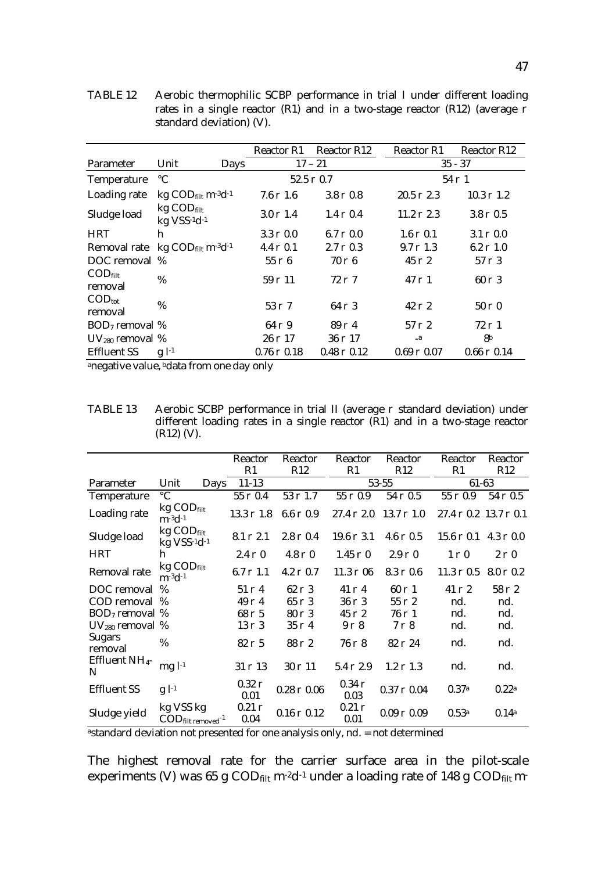|                                                         |                                                               |             | <b>Reactor R12</b><br><b>Reactor R1</b> |                      | <b>Reactor R1</b>    | <b>Reactor R12</b>     |
|---------------------------------------------------------|---------------------------------------------------------------|-------------|-----------------------------------------|----------------------|----------------------|------------------------|
| Parameter                                               | Unit                                                          | <b>Days</b> | $17 - 21$                               |                      | $35 - 37$            |                        |
| Temperature                                             | $\rm ^{\circ}C$                                               |             | $52.5 \partial 0.7$                     |                      |                      | $54 \partial 1$        |
| Loading rate                                            | kg $\text{COD}_{\text{filt}}$ m <sup>-3</sup> d <sup>-1</sup> |             | $7.6 \partial 1.6$                      | $3.8 \partial 0.8$   | $20.5 \partial 2.3$  | $10.3$ $\partial$ 1.2  |
| Sludge load                                             | $kg$ COD $_{\text{filt}}$<br>kg VSS-1d-1                      |             | $3.0 \partial 1.4$                      | $1.4 \partial 0.4$   | $11.2 \partial 2.3$  | $3.8 \partial 0.5$     |
| <b>HRT</b>                                              | h                                                             |             | $3.3 \partial 0.0$                      | $6.7 \partial 0.0$   | $1.6 \partial 0.1$   | $3.1 \partial 0.0$     |
| Removal rate kg CODfilt m <sup>-3</sup> d <sup>-1</sup> |                                                               |             | $4.4 \partial 0.1$                      | $2.7 \partial 0.3$   | $9.7 \partial 1.3$   | $6.2 \partial 1.0$     |
| DOC removal %                                           |                                                               |             | $55 \partial 6$                         | $70\ \theta\ 6$      | $45 \partial 2$      | $57 \partial 3$        |
| $\mathrm{COD}_{\text{filt}}$<br>removal                 | %                                                             |             | $59 \partial 11$                        | $72\partial$ 7       | $47 \partial 1$      | $60 \partial 3$        |
| $\text{COD}_{\text{tot}}$<br>removal                    | %                                                             |             | $53 \partial 7$                         | $64 \partial 3$      | $42 \partial 2$      | $50\ \partial\ 0$      |
| $BOD7$ removal %                                        |                                                               |             | $64\partial9$                           | $89\partial 4$       | $57 \partial 2$      | $72\partial$ 1         |
| $UV_{280}$ removal %                                    |                                                               |             | $26 \partial 17$                        | $36 \partial 17$     | $\mathbf{a}$         | 8 <sup>b</sup>         |
| <b>Effluent SS</b>                                      | $g$ $l^{-1}$                                                  |             | $0.76 \partial 0.18$                    | $0.48 \partial 0.12$ | $0.69 \partial 0.07$ | $0.66$ $\partial$ 0.14 |

TABLE 12 Aerobic thermophilic SCBP performance in trial I under different loading rates in a single reactor (R1) and in a two-stage reactor (R12) (average  $\partial$ standard deviation) (V).

anegative value, bdata from one day only

TABLE 13 Aerobic SCBP performance in trial II (average  $\partial$  standard deviation) under different loading rates in a single reactor (R1) and in a two-stage reactor (R12) (V).

|                                 |                                                                   | <b>Reactor</b><br>R1    | Reactor<br>R12         | Reactor<br>R1           | Reactor<br>R12       | Reactor<br>R1                          | Reactor<br>R12     |
|---------------------------------|-------------------------------------------------------------------|-------------------------|------------------------|-------------------------|----------------------|----------------------------------------|--------------------|
| <b>Parameter</b>                | Unit<br>Days                                                      | $11 - 13$               |                        |                         | $53 - 55$            | 61-63                                  |                    |
| Temperature                     | $\rm ^{\circ}C$                                                   | $55$ $\partial$ $0.4$   | $53 \partial 1.7$      | $55 \partial 0.9$       | $54$ $\partial$ 0.5  | $55 \partial 0.9$                      | $54 \partial 0.5$  |
| Loading rate                    | kg CODfilt<br>$m-3d-1$                                            | $13.3 \partial 1.8$     | $6.6 \partial 0.9$     | $27.4 \partial 2.0$     | 13.7 $\partial$ 1.0  | $27.4 \partial 0.2 13.7 \partial 0.1$  |                    |
| Sludge load                     | $kg$ COD $_{\text{filt}}$<br>kg VSS-1d-1                          | $8.1 \partial 2.1$      | $2.8 \partial 0.4$     | $19.6 \partial 3.1$     | 4.6 $\partial$ 0.5   | $15.6 \partial 0.1$ 4.3 $\partial 0.0$ |                    |
| <b>HRT</b>                      | h                                                                 | $2.4 \partial 0$        | $4.8$ $\partial$ 0     | $1.45 \partial 0$       | $2.9 \partial 0$     | $1 \partial 0$                         | $2 \partial 0$     |
| Removal rate                    | $kg$ COD $_{\text{filt}}$<br>$m - 3d - 1$                         | $6.7 \partial 1.1$      | 4.2 $\partial$ 0.7     | $11.3 \partial 06$      | $8.3 \partial 0.6$   | $11.3 \partial 0.5$                    | $8.0 \partial 0.2$ |
| DOC removal                     | $\%$                                                              | $51 \partial 4$         | $62 \partial 3$        | $41 \partial 4$         | $60$ $\partial$ 1    | $41 \partial 2$                        | $58 \partial 2$    |
| COD removal %                   |                                                                   | $49$ $\partial$ 4       | $65 \partial 3$        | $36 \partial 3$         | $55 \partial 2$      | nd.                                    | nd.                |
| $BOD7$ removal %                |                                                                   | $68$ $\partial$ 5       | $80$ $\partial$ 3      | $45 \partial 2$         | $76\partial$ 1       | nd.                                    | nd.                |
| $UV_{280}$ removal %            |                                                                   | $13 \partial 3$         | $35 \partial 4$        | $9\ \partial\ 8$        | $7\,\partial\,8$     | nd.                                    | nd.                |
| <b>Sugars</b><br>removal        | %                                                                 | $82\partial 5$          | $88$ $\partial$ 2      | $76\ \partial\ 8$       | 82 ∂ 24              | nd.                                    | nd.                |
| Effluent NH <sub>4</sub> -<br>N | $mgl-1$                                                           | $31 \partial 13$        | $30\partial 11$        | $5.4 \partial 2.9$      | $1.2 \partial 1.3$   | nd.                                    | nd.                |
| <b>Effluent SS</b>              | $g$ $l^{-1}$                                                      | $0.32 \partial$<br>0.01 | $0.28 \partial 0.06$   | $0.34 \partial$<br>0.03 | $0.37 \partial 0.04$ | 0.37 <sup>a</sup>                      | 0.22 <sup>a</sup>  |
| Sludge yield                    | kg VSS kg<br>$\mathrm{COD}_{\mathrm{filt}~\mathrm{removed}}^{-1}$ | $0.21 \partial$<br>0.04 | $0.16$ $\partial$ 0.12 | $0.21 \partial$<br>0.01 | $0.09 \partial 0.09$ | 0.53 <sup>a</sup>                      | 0.14 <sup>a</sup>  |

<sup>a</sup>standard deviation not presented for one analysis only, nd. = not determined

The highest removal rate for the carrier surface area in the pilot-scale experiments (V) was 65 g  $\text{COD}_{\text{filt}}$  m<sup>-2</sup>d<sup>-1</sup> under a loading rate of 148 g  $\text{COD}_{\text{filt}}$  m-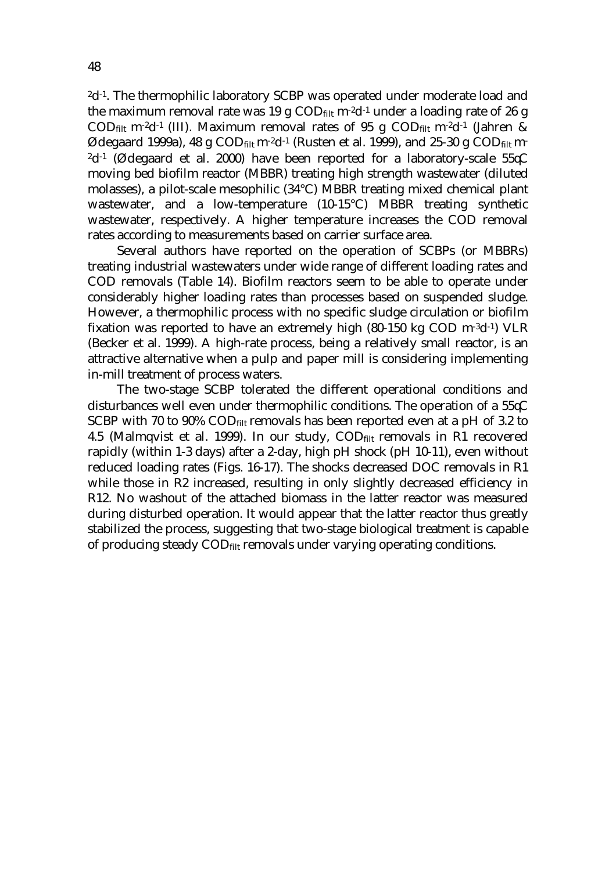<sup>2</sup>d<sup>-1</sup>. The thermophilic laboratory SCBP was operated under moderate load and the maximum removal rate was 19 g  $\text{COD}_{\text{filt}}$  m<sup>-2</sup>d<sup>-1</sup> under a loading rate of 26 g CODfilt m<sup>-2</sup>d<sup>-1</sup> (III). Maximum removal rates of 95 g CODfilt m<sup>-2</sup>d<sup>-1</sup> (Jahren & Ødegaard 1999a), 48 g COD<sub>filt</sub> m<sup>-2</sup>d<sup>-1</sup> (Rusten et al. 1999), and 25-30 g COD<sub>filt</sub> m-<sup>2</sup>d<sup>-1</sup> (Ødegaard et al. 2000) have been reported for a laboratory-scale 55 $\mathcal{C}$ moving bed biofilm reactor (MBBR) treating high strength wastewater (diluted molasses), a pilot-scale mesophilic (34°C) MBBR treating mixed chemical plant wastewater, and a low-temperature (10-15°C) MBBR treating synthetic wastewater, respectively. A higher temperature increases the COD removal rates according to measurements based on carrier surface area.

 Several authors have reported on the operation of SCBPs (or MBBRs) treating industrial wastewaters under wide range of different loading rates and COD removals (Table 14). Biofilm reactors seem to be able to operate under considerably higher loading rates than processes based on suspended sludge. However, a thermophilic process with no specific sludge circulation or biofilm fixation was reported to have an extremely high  $(80-150 \text{ kg } COD \text{ m}^{-3}d^{-1})$  VLR (Becker et al. 1999). A high-rate process, being a relatively small reactor, is an attractive alternative when a pulp and paper mill is considering implementing in-mill treatment of process waters.

 The two-stage SCBP tolerated the different operational conditions and disturbances well even under thermophilic conditions. The operation of a  $55\text{C}$ SCBP with 70 to 90% COD $_{\text{filt}}$  removals has been reported even at a pH of 3.2 to 4.5 (Malmqvist et al. 1999). In our study,  $\text{COD}_{\text{filt}}$  removals in R1 recovered rapidly (within 1-3 days) after a 2-day, high pH shock (pH 10-11), even without reduced loading rates (Figs. 16-17). The shocks decreased DOC removals in R1 while those in R2 increased, resulting in only slightly decreased efficiency in R12. No washout of the attached biomass in the latter reactor was measured during disturbed operation. It would appear that the latter reactor thus greatly stabilized the process, suggesting that two-stage biological treatment is capable of producing steady COD<sub>filt</sub> removals under varying operating conditions.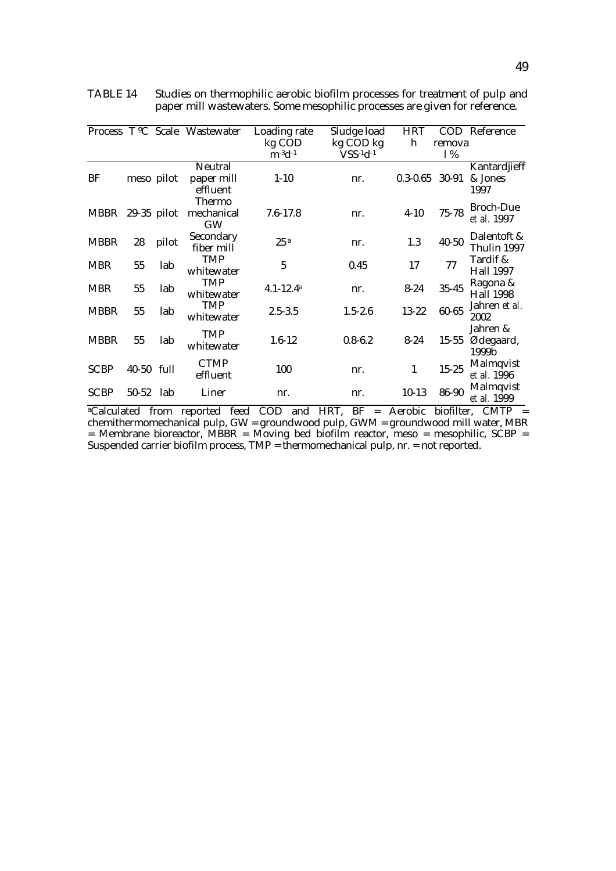|                         |               |       | Process T <sup>o</sup> C Scale Wastewater | Loading rate                        | Sludge load       | <b>HRT</b>   | <b>COD</b> | Reference                       |
|-------------------------|---------------|-------|-------------------------------------------|-------------------------------------|-------------------|--------------|------------|---------------------------------|
|                         |               |       |                                           | kg COD                              | kg COD kg         | h            | remova     |                                 |
|                         |               |       |                                           | $m$ <sup>-3</sup> $d$ <sup>-1</sup> | $VSS-1d-1$        |              | 1%         |                                 |
| BF                      | meso pilot    |       | <b>Neutral</b><br>paper mill<br>effluent  | $1 - 10$                            | nr.               | $0.3 - 0.65$ | 30-91      | Kantardjieff<br>& Jones<br>1997 |
| <b>MBBR</b>             | $29-35$ pilot |       | <b>Thermo</b><br>mechanical<br><b>GW</b>  | $7.6 - 17.8$                        | nr.               | $4 - 10$     | $75 - 78$  | <b>Broch-Due</b><br>et al. 1997 |
| <b>MBBR</b>             | 28            | pilot | Secondary<br>fiber mill                   | 25a                                 | nr.               | 1.3          | $40 - 50$  | Dalentoft &<br>Thulin 1997      |
| <b>MBR</b>              | 55            | lab   | <b>TMP</b><br>whitewater                  | 5                                   | 0.45              | 17           | 77         | Tardif &<br><b>Hall 1997</b>    |
| <b>MBR</b>              | 55            | lab   | <b>TMP</b><br>whitewater                  | $4.1 - 12.4$ <sup>a</sup>           | nr.               | $8 - 24$     | $35 - 45$  | Ragona &<br><b>Hall 1998</b>    |
| <b>MBBR</b>             | 55            | lab   | <b>TMP</b><br>whitewater                  | $2.5 - 3.5$                         | $1.5 - 2.6$       | $13 - 22$    | 60-65      | Jahren et al.<br>2002           |
| <b>MBBR</b>             | 55            | lab   | <b>TMP</b><br>whitewater                  | $1.6 - 12$                          | $0.8 - 6.2$       | $8 - 24$     | $15 - 55$  | Jahren &<br>Ødegaard,<br>1999b  |
| <b>SCBP</b>             | 40-50 full    |       | <b>CTMP</b><br>effluent                   | 100                                 | nr.               | 1            | $15 - 25$  | Malmqvist<br>et al. 1996        |
| <b>SCBP</b>             | $50 - 52$     | lab   | Liner                                     | nr.                                 | nr.               | $10-13$      | 86-90      | <b>Malmqvist</b><br>et al. 1999 |
| <sup>a</sup> Calculated |               | from  | reported feed                             | <b>COD</b><br>and                   | HRT,<br>BF<br>$=$ | Aerobic      | biofilter, | <b>CMTP</b>                     |

TABLE 14 Studies on thermophilic aerobic biofilm processes for treatment of pulp and paper mill wastewaters. Some mesophilic processes are given for reference.

chemithermomechanical pulp, GW = groundwood pulp, GWM = groundwood mill water, MBR = Membrane bioreactor, MBBR = Moving bed biofilm reactor, meso = mesophilic, SCBP = Suspended carrier biofilm process, TMP = thermomechanical pulp, nr. = not reported.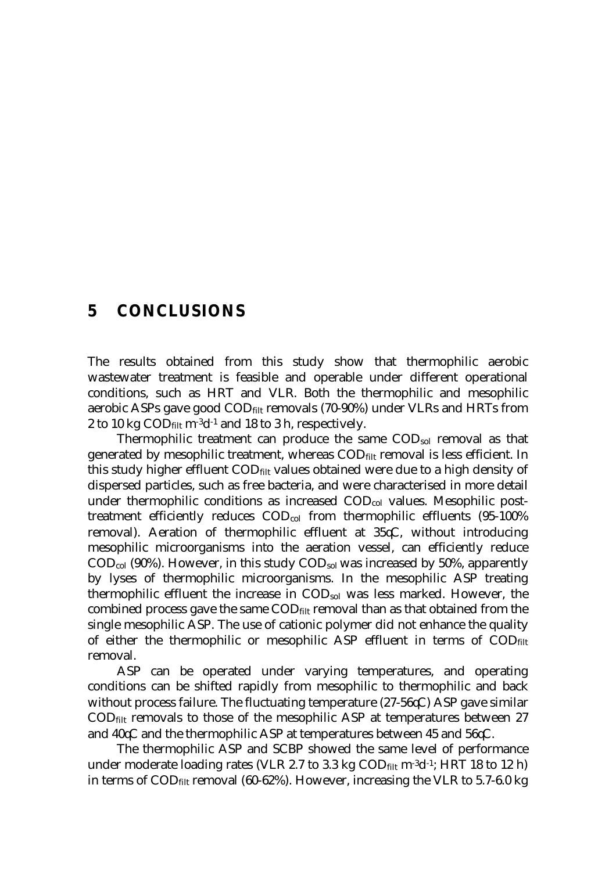### **5 CONCLUSIONS**

The results obtained from this study show that thermophilic aerobic wastewater treatment is feasible and operable under different operational conditions, such as HRT and VLR. Both the thermophilic and mesophilic aerobic ASPs gave good  $\text{COD}_{\text{filt}}$  removals (70-90%) under VLRs and HRTs from 2 to 10 kg  $\text{COD}_{\text{filt}}$  m<sup>-3</sup>d<sup>-1</sup> and 18 to 3 h, respectively.

 Thermophilic treatment can produce the same CODsol removal as that generated by mesophilic treatment, whereas  $\text{COD}_{\text{filt}}$  removal is less efficient. In this study higher effluent  $\text{COD}_{\text{filt}}$  values obtained were due to a high density of dispersed particles, such as free bacteria, and were characterised in more detail under thermophilic conditions as increased COD<sub>col</sub> values. Mesophilic posttreatment efficiently reduces CODcol from thermophilic effluents (95-100% removal). Aeration of thermophilic effluent at  $35\text{C}$ , without introducing mesophilic microorganisms into the aeration vessel, can efficiently reduce  $\text{COD}_{\text{col}}$  (90%). However, in this study  $\text{COD}_{\text{sol}}$  was increased by 50%, apparently by lyses of thermophilic microorganisms. In the mesophilic ASP treating thermophilic effluent the increase in CODsol was less marked. However, the combined process gave the same  $\text{COD}_{\text{filt}}$  removal than as that obtained from the single mesophilic ASP. The use of cationic polymer did not enhance the quality of either the thermophilic or mesophilic ASP effluent in terms of  $\text{COD}_{\text{filt}}$ removal.

 ASP can be operated under varying temperatures, and operating conditions can be shifted rapidly from mesophilic to thermophilic and back without process failure. The fluctuating temperature  $(27-56\sqrt{C})$  ASP gave similar  $\text{COD}_{\text{filt}}$  removals to those of the mesophilic ASP at temperatures between 27 and  $40\text{C}$  and the thermophilic ASP at temperatures between 45 and 56 $\text{C}$ .

 The thermophilic ASP and SCBP showed the same level of performance under moderate loading rates (VLR 2.7 to 3.3 kg  $\text{COD}_{\text{filt}}$  m<sup>-3</sup>d<sup>-1</sup>; HRT 18 to 12 h) in terms of  $\text{COD}_{\text{filt}}$  removal (60-62%). However, increasing the VLR to 5.7-6.0 kg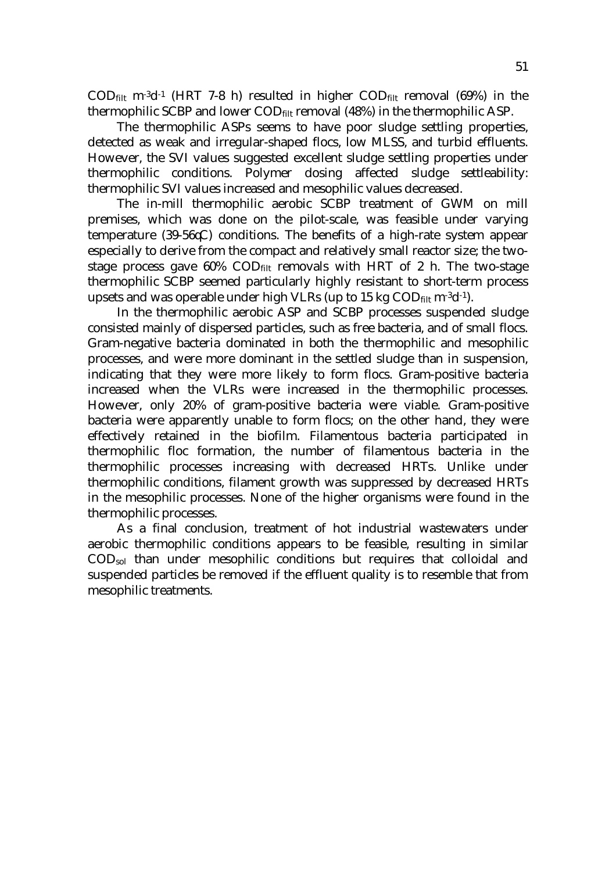$\text{COD}_{\text{filt}}$  m<sup>-3</sup>d<sup>-1</sup> (HRT 7-8 h) resulted in higher  $\text{COD}_{\text{filt}}$  removal (69%) in the thermophilic SCBP and lower CODfilt removal (48%) in the thermophilic ASP.

 The thermophilic ASPs seems to have poor sludge settling properties, detected as weak and irregular-shaped flocs, low MLSS, and turbid effluents. However, the SVI values suggested excellent sludge settling properties under thermophilic conditions. Polymer dosing affected sludge settleability: thermophilic SVI values increased and mesophilic values decreased.

 The in-mill thermophilic aerobic SCBP treatment of GWM on mill premises, which was done on the pilot-scale, was feasible under varying temperature (39-56 $\mathcal{LC}$ ) conditions. The benefits of a high-rate system appear especially to derive from the compact and relatively small reactor size; the twostage process gave  $60\%$  COD $_{\text{filt}}$  removals with HRT of 2 h. The two-stage thermophilic SCBP seemed particularly highly resistant to short-term process upsets and was operable under high VLRs (up to 15 kg  $\text{COD}_{\text{filt}}$  m<sup>-3</sup>d<sup>-1</sup>).

 In the thermophilic aerobic ASP and SCBP processes suspended sludge consisted mainly of dispersed particles, such as free bacteria, and of small flocs. Gram-negative bacteria dominated in both the thermophilic and mesophilic processes, and were more dominant in the settled sludge than in suspension, indicating that they were more likely to form flocs. Gram-positive bacteria increased when the VLRs were increased in the thermophilic processes. However, only 20% of gram-positive bacteria were viable. Gram-positive bacteria were apparently unable to form flocs; on the other hand, they were effectively retained in the biofilm. Filamentous bacteria participated in thermophilic floc formation, the number of filamentous bacteria in the thermophilic processes increasing with decreased HRTs. Unlike under thermophilic conditions, filament growth was suppressed by decreased HRTs in the mesophilic processes. None of the higher organisms were found in the thermophilic processes.

 As a final conclusion, treatment of hot industrial wastewaters under aerobic thermophilic conditions appears to be feasible, resulting in similar CODsol than under mesophilic conditions but requires that colloidal and suspended particles be removed if the effluent quality is to resemble that from mesophilic treatments.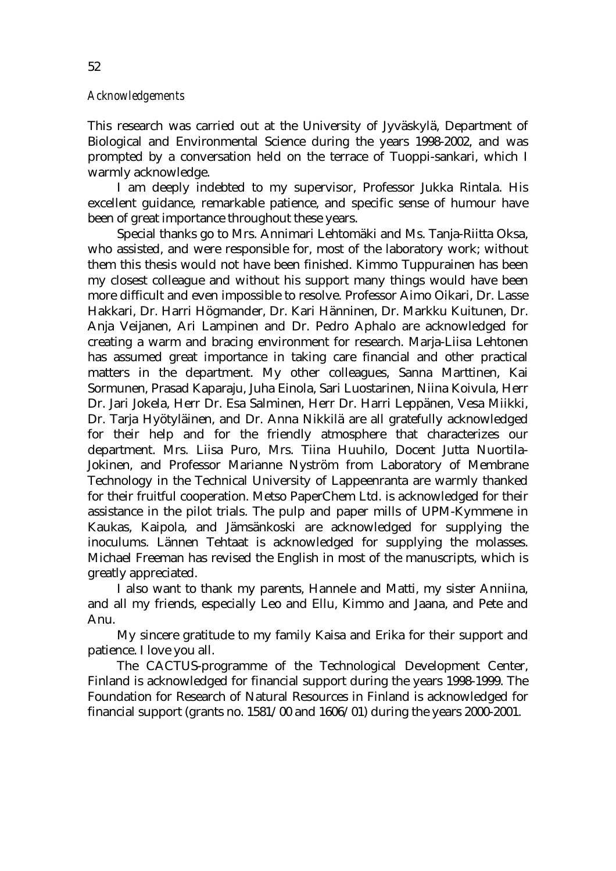#### *Acknowledgements*

This research was carried out at the University of Jyväskylä, Department of Biological and Environmental Science during the years 1998-2002, and was prompted by a conversation held on the terrace of Tuoppi-sankari, which I warmly acknowledge.

 I am deeply indebted to my supervisor, Professor Jukka Rintala. His excellent guidance, remarkable patience, and specific sense of humour have been of great importance throughout these years.

 Special thanks go to Mrs. Annimari Lehtomäki and Ms. Tanja-Riitta Oksa, who assisted, and were responsible for, most of the laboratory work; without them this thesis would not have been finished. Kimmo Tuppurainen has been my closest colleague and without his support many things would have been more difficult and even impossible to resolve. Professor Aimo Oikari, Dr. Lasse Hakkari, Dr. Harri Högmander, Dr. Kari Hänninen, Dr. Markku Kuitunen, Dr. Anja Veijanen, Ari Lampinen and Dr. Pedro Aphalo are acknowledged for creating a warm and bracing environment for research. Marja-Liisa Lehtonen has assumed great importance in taking care financial and other practical matters in the department. My other colleagues, Sanna Marttinen, Kai Sormunen, Prasad Kaparaju, Juha Einola, Sari Luostarinen, Niina Koivula, Herr Dr. Jari Jokela, Herr Dr. Esa Salminen, Herr Dr. Harri Leppänen, Vesa Miikki, Dr. Tarja Hyötyläinen, and Dr. Anna Nikkilä are all gratefully acknowledged for their help and for the friendly atmosphere that characterizes our department. Mrs. Liisa Puro, Mrs. Tiina Huuhilo, Docent Jutta Nuortila-Jokinen, and Professor Marianne Nyström from Laboratory of Membrane Technology in the Technical University of Lappeenranta are warmly thanked for their fruitful cooperation. Metso PaperChem Ltd. is acknowledged for their assistance in the pilot trials. The pulp and paper mills of UPM-Kymmene in Kaukas, Kaipola, and Jämsänkoski are acknowledged for supplying the inoculums. Lännen Tehtaat is acknowledged for supplying the molasses. Michael Freeman has revised the English in most of the manuscripts, which is greatly appreciated.

 I also want to thank my parents, Hannele and Matti, my sister Anniina, and all my friends, especially Leo and Ellu, Kimmo and Jaana, and Pete and Anu.

 My sincere gratitude to my family Kaisa and Erika for their support and patience. I love you all.

 The CACTUS-programme of the Technological Development Center, Finland is acknowledged for financial support during the years 1998-1999. The Foundation for Research of Natural Resources in Finland is acknowledged for financial support (grants no. 1581/00 and 1606/01) during the years 2000-2001.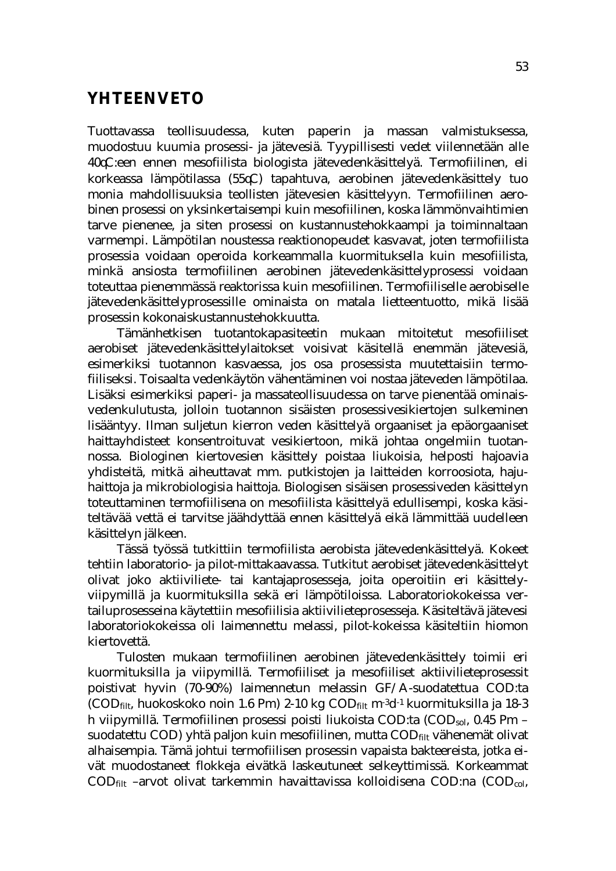## **YHTEENVETO**

Tuottavassa teollisuudessa, kuten paperin ja massan valmistuksessa, muodostuu kuumia prosessi- ja jätevesiä. Tyypillisesti vedet viilennetään alle 40 C:een ennen mesofiilista biologista jätevedenkäsittelyä. Termofiilinen, eli korkeassa lämpötilassa (55°C) tapahtuva, aerobinen jätevedenkäsittely tuo monia mahdollisuuksia teollisten jätevesien käsittelyyn. Termofiilinen aerobinen prosessi on yksinkertaisempi kuin mesofiilinen, koska lämmönvaihtimien tarve pienenee, ja siten prosessi on kustannustehokkaampi ja toiminnaltaan varmempi. Lämpötilan noustessa reaktionopeudet kasvavat, joten termofiilista prosessia voidaan operoida korkeammalla kuormituksella kuin mesofiilista, minkä ansiosta termofiilinen aerobinen jätevedenkäsittelyprosessi voidaan toteuttaa pienemmässä reaktorissa kuin mesofiilinen. Termofiiliselle aerobiselle jätevedenkäsittelyprosessille ominaista on matala lietteentuotto, mikä lisää prosessin kokonaiskustannustehokkuutta.

Tämänhetkisen tuotantokapasiteetin mukaan mitoitetut mesofiiliset aerobiset jätevedenkäsittelylaitokset voisivat käsitellä enemmän jätevesiä, esimerkiksi tuotannon kasvaessa, jos osa prosessista muutettaisiin termofiiliseksi. Toisaalta vedenkäytön vähentäminen voi nostaa jäteveden lämpötilaa. Lisäksi esimerkiksi paperi- ja massateollisuudessa on tarve pienentää ominaisvedenkulutusta, jolloin tuotannon sisäisten prosessivesikiertojen sulkeminen lisääntyy. Ilman suljetun kierron veden käsittelyä orgaaniset ja epäorgaaniset haittayhdisteet konsentroituvat vesikiertoon, mikä johtaa ongelmiin tuotannossa. Biologinen kiertovesien käsittely poistaa liukoisia, helposti hajoavia yhdisteitä, mitkä aiheuttavat mm. putkistojen ja laitteiden korroosiota, hajuhaittoja ja mikrobiologisia haittoja. Biologisen sisäisen prosessiveden käsittelyn toteuttaminen termofiilisena on mesofiilista käsittelyä edullisempi, koska käsiteltävää vettä ei tarvitse jäähdyttää ennen käsittelyä eikä lämmittää uudelleen käsittelyn jälkeen.

Tässä työssä tutkittiin termofiilista aerobista jätevedenkäsittelyä. Kokeet tehtiin laboratorio- ja pilot-mittakaavassa. Tutkitut aerobiset jätevedenkäsittelyt olivat joko aktiiviliete- tai kantajaprosesseja, joita operoitiin eri käsittelyviipymillä ja kuormituksilla sekä eri lämpötiloissa. Laboratoriokokeissa vertailuprosesseina käytettiin mesofiilisia aktiivilieteprosesseja. Käsiteltävä jätevesi laboratoriokokeissa oli laimennettu melassi, pilot-kokeissa käsiteltiin hiomon kiertovettä.

 Tulosten mukaan termofiilinen aerobinen jätevedenkäsittely toimii eri kuormituksilla ja viipymillä. Termofiiliset ja mesofiiliset aktiivilieteprosessit poistivat hyvin (70-90%) laimennetun melassin GF/A-suodatettua COD:ta (COD<sub>filt</sub>, huokoskoko noin 1.6  $\sigma$ m) 2-10 kg COD<sub>filt</sub> m<sup>-3</sup>d<sup>-1</sup> kuormituksilla ja 18-3 h viipymillä. Termofiilinen prosessi poisti liukoista COD:ta  $(COD_{sol}, 0.45$   $\sigma$ m – suodatettu COD) yhtä paljon kuin mesofiilinen, mutta CODfilt vähenemät olivat alhaisempia. Tämä johtui termofiilisen prosessin vapaista bakteereista, jotka eivät muodostaneet flokkeja eivätkä laskeutuneet selkeyttimissä. Korkeammat  $\text{COD}_{\text{filt}}$  –arvot olivat tarkemmin havaittavissa kolloidisena  $\text{COD}$ :na  $(\text{COD}_{\text{col}},$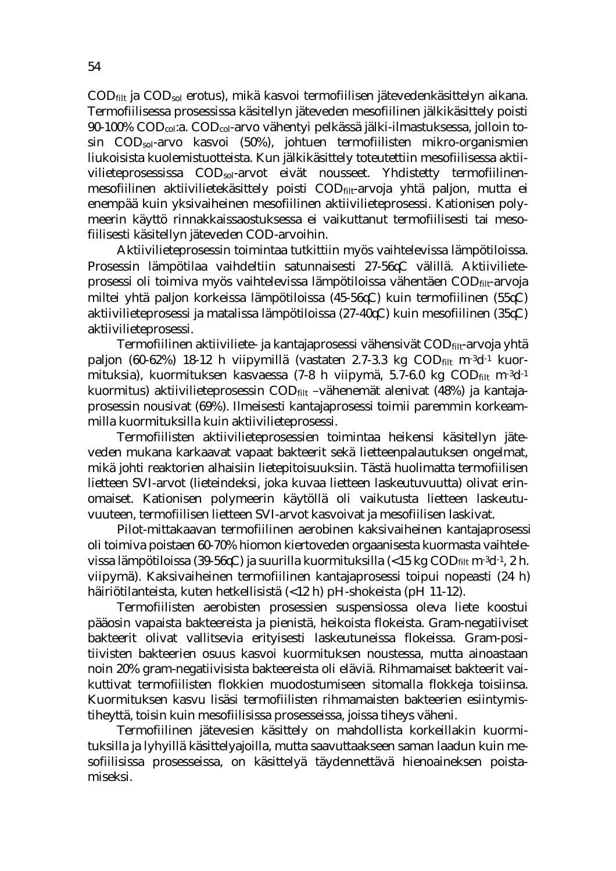CODfilt ja CODsol erotus), mikä kasvoi termofiilisen jätevedenkäsittelyn aikana. Termofiilisessa prosessissa käsitellyn jäteveden mesofiilinen jälkikäsittely poisti 90-100% CODcol:a. CODcol-arvo vähentyi pelkässä jälki-ilmastuksessa, jolloin tosin CODsol-arvo kasvoi (50%), johtuen termofiilisten mikro-organismien liukoisista kuolemistuotteista. Kun jälkikäsittely toteutettiin mesofiilisessa aktiivilieteprosessissa COD<sub>sol</sub>-arvot eivät nousseet. Yhdistetty termofiilinenmesofiilinen aktiivilietekäsittely poisti CODfilt-arvoja yhtä paljon, mutta ei enempää kuin yksivaiheinen mesofiilinen aktiivilieteprosessi. Kationisen polymeerin käyttö rinnakkaissaostuksessa ei vaikuttanut termofiilisesti tai mesofiilisesti käsitellyn jäteveden COD-arvoihin.

Aktiivilieteprosessin toimintaa tutkittiin myös vaihtelevissa lämpötiloissa. Prosessin lämpötilaa vaihdeltiin satunnaisesti 27-56<sup>k</sup>C välillä. Aktiivilieteprosessi oli toimiva myös vaihtelevissa lämpötiloissa vähentäen CODfilt-arvoja miltei yhtä paljon korkeissa lämpötiloissa  $(45-56\text{C})$  kuin termofiilinen  $(55\text{C})$ aktiivilieteprosessi ja matalissa lämpötiloissa (27-40 $\&$ ) kuin mesofiilinen (35 $\&$ ) aktiivilieteprosessi.

Termofiilinen aktiiviliete- ja kantajaprosessi vähensivät CODfilt-arvoja yhtä paljon (60-62%) 18-12 h viipymillä (vastaten 2.7-3.3 kg CODfilt m<sup>-3</sup>d<sup>-1</sup> kuormituksia), kuormituksen kasvaessa (7-8 h viipymä, 5.7-6.0 kg  $\text{COD}_{\text{filt}}$  m<sup>-3</sup>d<sup>-1</sup> kuormitus) aktiivilieteprosessin COD<sub>filt</sub> –vähenemät alenivat (48%) ja kantajaprosessin nousivat (69%). Ilmeisesti kantajaprosessi toimii paremmin korkeammilla kuormituksilla kuin aktiivilieteprosessi.

Termofiilisten aktiivilieteprosessien toimintaa heikensi käsitellyn jäteveden mukana karkaavat vapaat bakteerit sekä lietteenpalautuksen ongelmat, mikä johti reaktorien alhaisiin lietepitoisuuksiin. Tästä huolimatta termofiilisen lietteen SVI-arvot (lieteindeksi, joka kuvaa lietteen laskeutuvuutta) olivat erinomaiset. Kationisen polymeerin käytöllä oli vaikutusta lietteen laskeutuvuuteen, termofiilisen lietteen SVI-arvot kasvoivat ja mesofiilisen laskivat.

Pilot-mittakaavan termofiilinen aerobinen kaksivaiheinen kantajaprosessi oli toimiva poistaen 60-70% hiomon kiertoveden orgaanisesta kuormasta vaihtelevissa lämpötiloissa (39-56 $C$ ) ja suurilla kuormituksilla (<15 kg CODfilt m<sup>-3</sup>d<sup>-1</sup>, 2 h. viipymä). Kaksivaiheinen termofiilinen kantajaprosessi toipui nopeasti (24 h) häiriötilanteista, kuten hetkellisistä (<12 h) pH-shokeista (pH 11-12).

Termofiilisten aerobisten prosessien suspensiossa oleva liete koostui pääosin vapaista bakteereista ja pienistä, heikoista flokeista. Gram-negatiiviset bakteerit olivat vallitsevia erityisesti laskeutuneissa flokeissa. Gram-positiivisten bakteerien osuus kasvoi kuormituksen noustessa, mutta ainoastaan noin 20% gram-negatiivisista bakteereista oli eläviä. Rihmamaiset bakteerit vaikuttivat termofiilisten flokkien muodostumiseen sitomalla flokkeja toisiinsa. Kuormituksen kasvu lisäsi termofiilisten rihmamaisten bakteerien esiintymistiheyttä, toisin kuin mesofiilisissa prosesseissa, joissa tiheys väheni.

Termofiilinen jätevesien käsittely on mahdollista korkeillakin kuormituksilla ja lyhyillä käsittelyajoilla, mutta saavuttaakseen saman laadun kuin mesofiilisissa prosesseissa, on käsittelyä täydennettävä hienoaineksen poistamiseksi.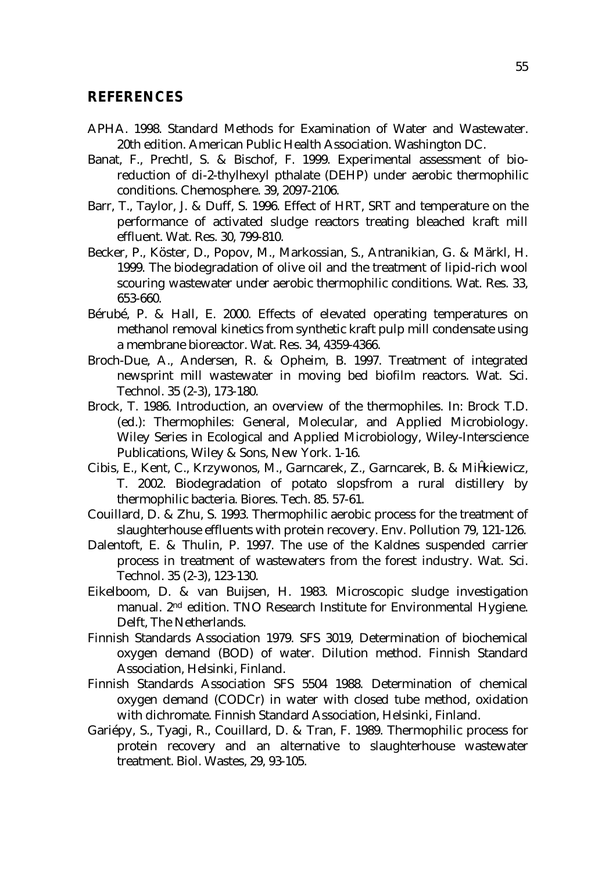#### **REFERENCES**

- APHA. 1998. Standard Methods for Examination of Water and Wastewater. 20th edition. American Public Health Association. Washington DC.
- Banat, F., Prechtl, S. & Bischof, F. 1999. Experimental assessment of bioreduction of di-2-thylhexyl pthalate (DEHP) under aerobic thermophilic conditions. Chemosphere. 39, 2097-2106.
- Barr, T., Taylor, J. & Duff, S. 1996. Effect of HRT, SRT and temperature on the performance of activated sludge reactors treating bleached kraft mill effluent. Wat. Res. 30, 799-810.
- Becker, P., Köster, D., Popov, M., Markossian, S., Antranikian, G. & Märkl, H. 1999. The biodegradation of olive oil and the treatment of lipid-rich wool scouring wastewater under aerobic thermophilic conditions. Wat. Res. 33, 653-660.
- Bérubé, P. & Hall, E. 2000. Effects of elevated operating temperatures on methanol removal kinetics from synthetic kraft pulp mill condensate using a membrane bioreactor. Wat. Res. 34, 4359-4366.
- Broch-Due, A., Andersen, R. & Opheim, B. 1997. Treatment of integrated newsprint mill wastewater in moving bed biofilm reactors. Wat. Sci. Technol. 35 (2-3), 173-180.
- Brock, T. 1986. Introduction, an overview of the thermophiles. In: Brock T.D. (ed.): Thermophiles: General, Molecular, and Applied Microbiology. Wiley Series in Ecological and Applied Microbiology, Wiley-Interscience Publications, Wiley & Sons, New York. 1-16.
- Cibis, E., Kent, C., Krzywonos, M., Garncarek, Z., Garncarek, B. & Mi kiewicz, T. 2002. Biodegradation of potato slopsfrom a rural distillery by thermophilic bacteria. Biores. Tech. 85. 57-61.
- Couillard, D. & Zhu, S. 1993. Thermophilic aerobic process for the treatment of slaughterhouse effluents with protein recovery. Env. Pollution 79, 121-126.
- Dalentoft, E. & Thulin, P. 1997. The use of the Kaldnes suspended carrier process in treatment of wastewaters from the forest industry. Wat. Sci. Technol. 35 (2-3), 123-130.
- Eikelboom, D. & van Buijsen, H. 1983. Microscopic sludge investigation manual. 2nd edition. TNO Research Institute for Environmental Hygiene. Delft, The Netherlands.
- Finnish Standards Association 1979. SFS 3019, Determination of biochemical oxygen demand (BOD) of water. Dilution method. Finnish Standard Association, Helsinki, Finland.
- Finnish Standards Association SFS 5504 1988. Determination of chemical oxygen demand (CODCr) in water with closed tube method, oxidation with dichromate. Finnish Standard Association, Helsinki, Finland.
- Gariépy, S., Tyagi, R., Couillard, D. & Tran, F. 1989. Thermophilic process for protein recovery and an alternative to slaughterhouse wastewater treatment. Biol. Wastes, 29, 93-105.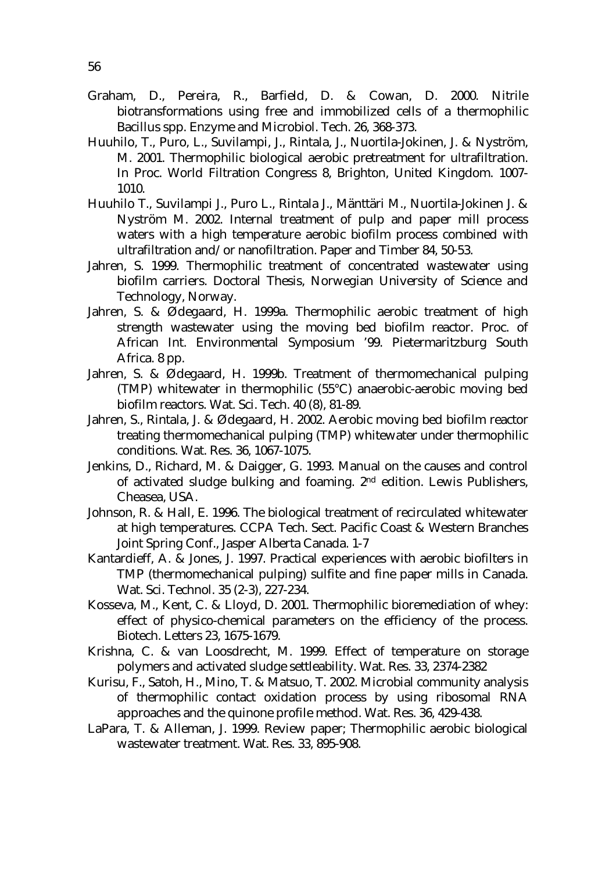- Graham, D., Pereira, R., Barfield, D. & Cowan, D. 2000. Nitrile biotransformations using free and immobilized cells of a thermophilic Bacillus spp. Enzyme and Microbiol. Tech. 26, 368-373.
- Huuhilo, T., Puro, L., Suvilampi, J., Rintala, J., Nuortila-Jokinen, J. & Nyström, M. 2001. Thermophilic biological aerobic pretreatment for ultrafiltration. In Proc. World Filtration Congress 8, Brighton, United Kingdom. 1007- 1010.
- Huuhilo T., Suvilampi J., Puro L., Rintala J., Mänttäri M., Nuortila-Jokinen J. & Nyström M. 2002. Internal treatment of pulp and paper mill process waters with a high temperature aerobic biofilm process combined with ultrafiltration and/or nanofiltration. Paper and Timber 84, 50-53.
- Jahren, S. 1999. Thermophilic treatment of concentrated wastewater using biofilm carriers. Doctoral Thesis, Norwegian University of Science and Technology, Norway.
- Jahren, S. & Ødegaard, H. 1999a. Thermophilic aerobic treatment of high strength wastewater using the moving bed biofilm reactor. Proc. of African Int. Environmental Symposium '99. Pietermaritzburg South Africa. 8 pp.
- Jahren, S. & Ødegaard, H. 1999b. Treatment of thermomechanical pulping (TMP) whitewater in thermophilic (55°C) anaerobic-aerobic moving bed biofilm reactors. Wat. Sci. Tech. 40 (8), 81-89.
- Jahren, S., Rintala, J. & Ødegaard, H. 2002. Aerobic moving bed biofilm reactor treating thermomechanical pulping (TMP) whitewater under thermophilic conditions. Wat. Res. 36, 1067-1075.
- Jenkins, D., Richard, M. & Daigger, G. 1993. Manual on the causes and control of activated sludge bulking and foaming. 2nd edition. Lewis Publishers, Cheasea, USA.
- Johnson, R. & Hall, E. 1996. The biological treatment of recirculated whitewater at high temperatures. CCPA Tech. Sect. Pacific Coast & Western Branches Joint Spring Conf., Jasper Alberta Canada. 1-7
- Kantardieff, A. & Jones, J. 1997. Practical experiences with aerobic biofilters in TMP (thermomechanical pulping) sulfite and fine paper mills in Canada. Wat. Sci. Technol. 35 (2-3), 227-234.
- Kosseva, M., Kent, C. & Lloyd, D. 2001. Thermophilic bioremediation of whey: effect of physico-chemical parameters on the efficiency of the process. Biotech. Letters 23, 1675-1679.
- Krishna, C. & van Loosdrecht, M. 1999. Effect of temperature on storage polymers and activated sludge settleability. Wat. Res. 33, 2374-2382
- Kurisu, F., Satoh, H., Mino, T. & Matsuo, T. 2002. Microbial community analysis of thermophilic contact oxidation process by using ribosomal RNA approaches and the quinone profile method. Wat. Res. 36, 429-438.
- LaPara, T. & Alleman, J. 1999. Review paper; Thermophilic aerobic biological wastewater treatment. Wat. Res. 33, 895-908.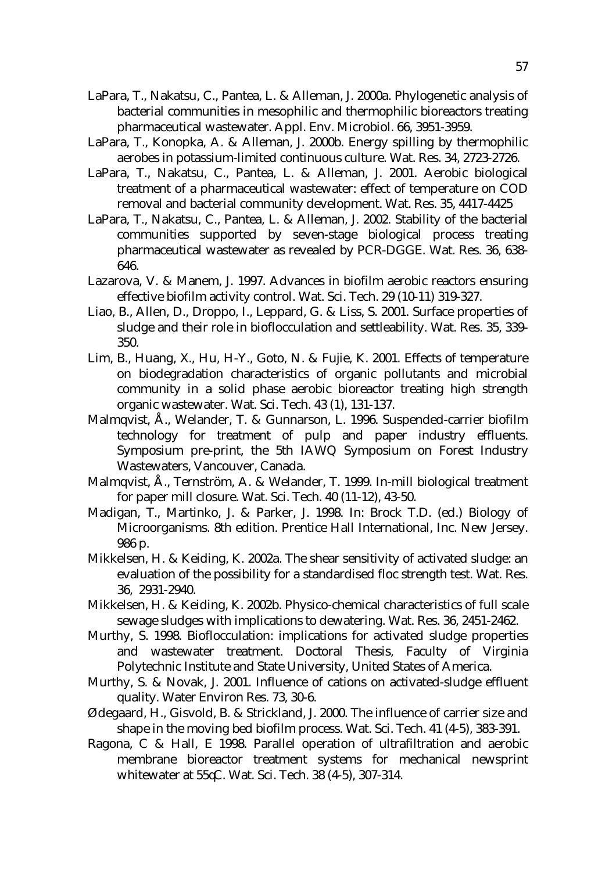- LaPara, T., Nakatsu, C., Pantea, L. & Alleman, J. 2000a. Phylogenetic analysis of bacterial communities in mesophilic and thermophilic bioreactors treating pharmaceutical wastewater. Appl. Env. Microbiol. 66, 3951-3959.
- LaPara, T., Konopka, A. & Alleman, J. 2000b. Energy spilling by thermophilic aerobes in potassium-limited continuous culture. Wat. Res. 34, 2723-2726.
- LaPara, T., Nakatsu, C., Pantea, L. & Alleman, J. 2001. Aerobic biological treatment of a pharmaceutical wastewater: effect of temperature on COD removal and bacterial community development. Wat. Res. 35, 4417-4425
- LaPara, T., Nakatsu, C., Pantea, L. & Alleman, J. 2002. Stability of the bacterial communities supported by seven-stage biological process treating pharmaceutical wastewater as revealed by PCR-DGGE. Wat. Res. 36, 638- 646.
- Lazarova, V. & Manem, J. 1997. Advances in biofilm aerobic reactors ensuring effective biofilm activity control. Wat. Sci. Tech. 29 (10-11) 319-327.
- Liao, B., Allen, D., Droppo, I., Leppard, G. & Liss, S. 2001. Surface properties of sludge and their role in bioflocculation and settleability. Wat. Res. 35, 339- 350.
- Lim, B., Huang, X., Hu, H-Y., Goto, N. & Fujie, K. 2001. Effects of temperature on biodegradation characteristics of organic pollutants and microbial community in a solid phase aerobic bioreactor treating high strength organic wastewater. Wat. Sci. Tech. 43 (1), 131-137.
- Malmqvist, Å., Welander, T. & Gunnarson, L. 1996. Suspended-carrier biofilm technology for treatment of pulp and paper industry effluents. Symposium pre-print, the 5th IAWQ Symposium on Forest Industry Wastewaters, Vancouver, Canada.
- Malmqvist, Å., Ternström, A. & Welander, T. 1999. In-mill biological treatment for paper mill closure. Wat. Sci. Tech. 40 (11-12), 43-50.
- Madigan, T., Martinko, J. & Parker, J. 1998. In: Brock T.D. (ed.) Biology of Microorganisms. 8th edition. Prentice Hall International, Inc. New Jersey. 986 p.
- Mikkelsen, H. & Keiding, K. 2002a. The shear sensitivity of activated sludge: an evaluation of the possibility for a standardised floc strength test. Wat. Res. 36, 2931-2940.
- Mikkelsen, H. & Keiding, K. 2002b. Physico-chemical characteristics of full scale sewage sludges with implications to dewatering. Wat. Res. 36, 2451-2462.
- Murthy, S. 1998. Bioflocculation: implications for activated sludge properties and wastewater treatment. Doctoral Thesis, Faculty of Virginia Polytechnic Institute and State University, United States of America.
- Murthy, S. & Novak, J. 2001. Influence of cations on activated-sludge effluent quality. Water Environ Res. 73, 30-6.
- Ødegaard, H., Gisvold, B. & Strickland, J. 2000. The influence of carrier size and shape in the moving bed biofilm process. Wat. Sci. Tech. 41 (4-5), 383-391.
- Ragona, C & Hall, E 1998. Parallel operation of ultrafiltration and aerobic membrane bioreactor treatment systems for mechanical newsprint whitewater at 55qC. Wat. Sci. Tech. 38 (4-5), 307-314.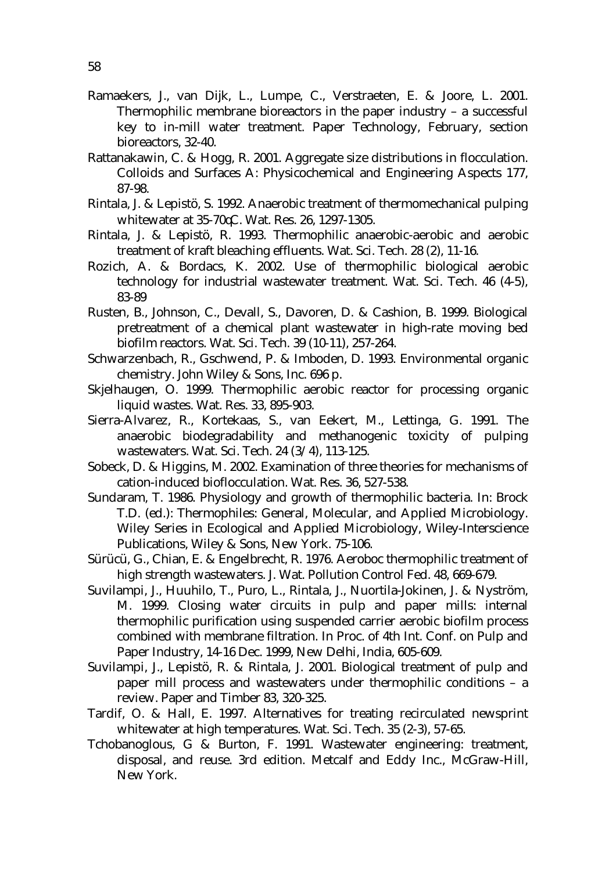- Ramaekers, J., van Dijk, L., Lumpe, C., Verstraeten, E. & Joore, L. 2001. Thermophilic membrane bioreactors in the paper industry – a successful key to in-mill water treatment. Paper Technology, February, section bioreactors, 32-40.
- Rattanakawin, C. & Hogg, R. 2001. Aggregate size distributions in flocculation. Colloids and Surfaces A: Physicochemical and Engineering Aspects 177, 87-98.
- Rintala, J. & Lepistö, S. 1992. Anaerobic treatment of thermomechanical pulping whitewater at 35-70 C. Wat. Res. 26, 1297-1305.
- Rintala, J. & Lepistö, R. 1993. Thermophilic anaerobic-aerobic and aerobic treatment of kraft bleaching effluents. Wat. Sci. Tech. 28 (2), 11-16.
- Rozich, A. & Bordacs, K. 2002. Use of thermophilic biological aerobic technology for industrial wastewater treatment. Wat. Sci. Tech. 46 (4-5), 83-89
- Rusten, B., Johnson, C., Devall, S., Davoren, D. & Cashion, B. 1999. Biological pretreatment of a chemical plant wastewater in high-rate moving bed biofilm reactors. Wat. Sci. Tech. 39 (10-11), 257-264.
- Schwarzenbach, R., Gschwend, P. & Imboden, D. 1993. Environmental organic chemistry. John Wiley & Sons, Inc. 696 p.
- Skjelhaugen, O. 1999. Thermophilic aerobic reactor for processing organic liquid wastes. Wat. Res. 33, 895-903.
- Sierra-Alvarez, R., Kortekaas, S., van Eekert, M., Lettinga, G. 1991. The anaerobic biodegradability and methanogenic toxicity of pulping wastewaters. Wat. Sci. Tech. 24 (3/4), 113-125.
- Sobeck, D. & Higgins, M. 2002. Examination of three theories for mechanisms of cation-induced bioflocculation. Wat. Res. 36, 527-538.
- Sundaram, T. 1986. Physiology and growth of thermophilic bacteria. In: Brock T.D. (ed.): Thermophiles: General, Molecular, and Applied Microbiology. Wiley Series in Ecological and Applied Microbiology, Wiley-Interscience Publications, Wiley & Sons, New York. 75-106.
- Sürücü, G., Chian, E. & Engelbrecht, R. 1976. Aeroboc thermophilic treatment of high strength wastewaters. J. Wat. Pollution Control Fed. 48, 669-679.
- Suvilampi, J., Huuhilo, T., Puro, L., Rintala, J., Nuortila-Jokinen, J. & Nyström, M. 1999. Closing water circuits in pulp and paper mills: internal thermophilic purification using suspended carrier aerobic biofilm process combined with membrane filtration. In Proc. of 4th Int. Conf. on Pulp and Paper Industry, 14-16 Dec. 1999, New Delhi, India, 605-609.
- Suvilampi, J., Lepistö, R. & Rintala, J. 2001. Biological treatment of pulp and paper mill process and wastewaters under thermophilic conditions – a review. Paper and Timber 83, 320-325.
- Tardif, O. & Hall, E. 1997. Alternatives for treating recirculated newsprint whitewater at high temperatures. Wat. Sci. Tech. 35 (2-3), 57-65.
- Tchobanoglous, G & Burton, F. 1991. Wastewater engineering: treatment, disposal, and reuse. 3rd edition. Metcalf and Eddy Inc., McGraw-Hill, New York.